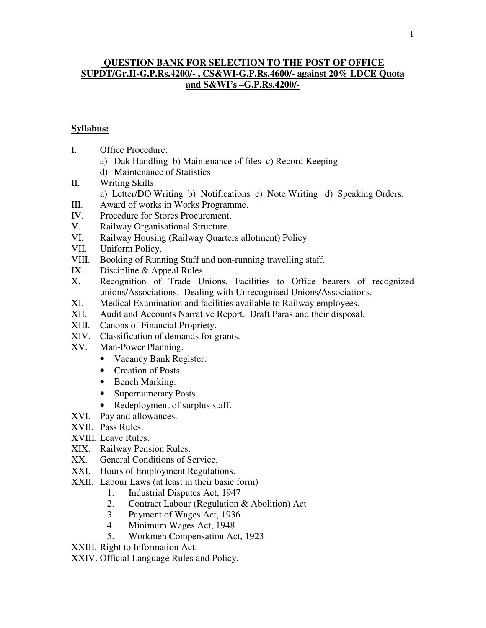#### **QUESTION BANK FOR SELECTION TO THE POST OF OFFICE SUPDT/Gr.II-G.P.Rs.4200/- , CS&WI-G.P.Rs.4600/- against 20% LDCE Quota and S&WI's –G.P.Rs.4200/-**

#### **Syllabus:**

- I. Office Procedure:
	- a) Dak Handling b) Maintenance of files c) Record Keeping
	- d) Maintenance of Statistics
- II. Writing Skills:
	- a) Letter/DO Writing b) Notifications c) Note Writing d) Speaking Orders.
- III. Award of works in Works Programme.
- IV. Procedure for Stores Procurement.
- V. Railway Organisational Structure.
- VI. Railway Housing (Railway Quarters allotment) Policy.
- VII. Uniform Policy.
- VIII. Booking of Running Staff and non-running travelling staff.
- IX. Discipline & Appeal Rules.
- X. Recognition of Trade Unions. Facilities to Office bearers of recognized unions/Associations. Dealing with Unrecognised Unions/Associations.
- XI. Medical Examination and facilities available to Railway employees.
- XII. Audit and Accounts Narrative Report. Draft Paras and their disposal.
- XIII. Canons of Financial Propriety.
- XIV. Classification of demands for grants.
- XV. Man-Power Planning.
	- Vacancy Bank Register.
	- Creation of Posts.
	- Bench Marking.
	- Supernumerary Posts.
	- Redeployment of surplus staff.
- XVI. Pay and allowances.
- XVII. Pass Rules.
- XVIII. Leave Rules.
- XIX. Railway Pension Rules.
- XX. General Conditions of Service.
- XXI. Hours of Employment Regulations.
- XXII. Labour Laws (at least in their basic form)
	- 1. Industrial Disputes Act, 1947
	- 2. Contract Labour (Regulation & Abolition) Act
	- 3. Payment of Wages Act, 1936
	- 4. Minimum Wages Act, 1948
	- 5. Workmen Compensation Act, 1923

XXIII. Right to Information Act.

XXIV. Official Language Rules and Policy.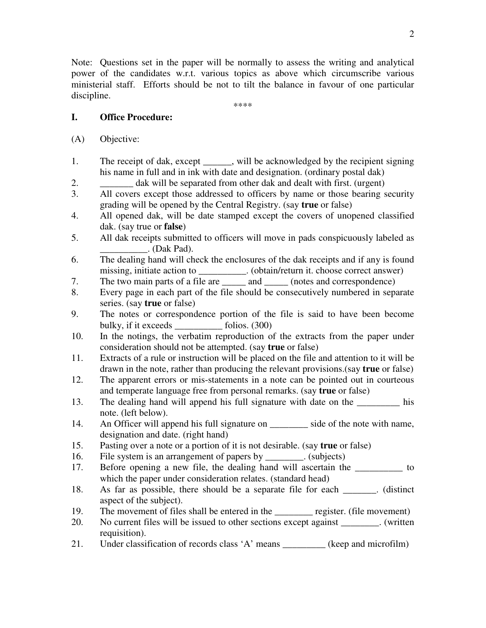Note: Questions set in the paper will be normally to assess the writing and analytical power of the candidates w.r.t. various topics as above which circumscribe various ministerial staff. Efforts should be not to tilt the balance in favour of one particular discipline.

\*\*\*\*

#### **I. Office Procedure:**

- (A) Objective:
- 1. The receipt of dak, except \_\_\_\_\_, will be acknowledged by the recipient signing his name in full and in ink with date and designation. (ordinary postal dak)
- 2. \_\_\_\_\_\_\_ dak will be separated from other dak and dealt with first. (urgent)
- 3. All covers except those addressed to officers by name or those bearing security grading will be opened by the Central Registry. (say **true** or false)
- 4. All opened dak, will be date stamped except the covers of unopened classified dak. (say true or **false**)
- 5. All dak receipts submitted to officers will move in pads conspicuously labeled as \_\_\_\_\_\_\_\_\_\_. (Dak Pad).
- 6. The dealing hand will check the enclosures of the dak receipts and if any is found missing, initiate action to \_\_\_\_\_\_\_\_\_. (obtain/return it. choose correct answer)
- 7. The two main parts of a file are \_\_\_\_\_ and \_\_\_\_\_ (notes and correspondence)
- 8. Every page in each part of the file should be consecutively numbered in separate series. (say **true** or false)
- 9. The notes or correspondence portion of the file is said to have been become bulky, if it exceeds folios. (300)
- 10. In the notings, the verbatim reproduction of the extracts from the paper under consideration should not be attempted. (say **true** or false)
- 11. Extracts of a rule or instruction will be placed on the file and attention to it will be drawn in the note, rather than producing the relevant provisions.(say **true** or false)
- 12. The apparent errors or mis-statements in a note can be pointed out in courteous and temperate language free from personal remarks. (say **true** or false)
- 13. The dealing hand will append his full signature with date on the his note. (left below).
- 14. An Officer will append his full signature on \_\_\_\_\_\_\_\_ side of the note with name, designation and date. (right hand)
- 15. Pasting over a note or a portion of it is not desirable. (say **true** or false)
- 16. File system is an arrangement of papers by \_\_\_\_\_\_\_\_. (subjects)
- 17. Before opening a new file, the dealing hand will ascertain the to which the paper under consideration relates. (standard head)
- 18. As far as possible, there should be a separate file for each (distinct aspect of the subject).
- 19. The movement of files shall be entered in the register. (file movement)
- 20. No current files will be issued to other sections except against \_\_\_\_\_\_\_\_. (written requisition).
- 21. Under classification of records class 'A' means \_\_\_\_\_\_\_\_\_ (keep and microfilm)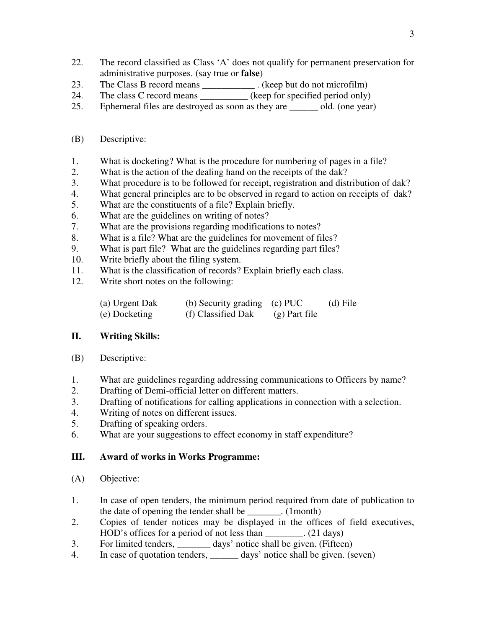- 22. The record classified as Class 'A' does not qualify for permanent preservation for administrative purposes. (say true or **false**)
- 23. The Class B record means \_\_\_\_\_\_\_\_\_\_\_\_\_. (keep but do not microfilm)
- 24. The class C record means (keep for specified period only)
- 25. Ephemeral files are destroyed as soon as they are \_\_\_\_\_\_ old. (one year)
- (B) Descriptive:
- 1. What is docketing? What is the procedure for numbering of pages in a file?
- 2. What is the action of the dealing hand on the receipts of the dak?
- 3. What procedure is to be followed for receipt, registration and distribution of dak?
- 4. What general principles are to be observed in regard to action on receipts of dak?
- 5. What are the constituents of a file? Explain briefly.
- 6. What are the guidelines on writing of notes?
- 7. What are the provisions regarding modifications to notes?
- 8. What is a file? What are the guidelines for movement of files?
- 9. What is part file? What are the guidelines regarding part files?
- 10. Write briefly about the filing system.
- 11. What is the classification of records? Explain briefly each class.
- 12. Write short notes on the following:

| (a) Urgent Dak | (b) Security grading (c) PUC |                 | (d) File |
|----------------|------------------------------|-----------------|----------|
| (e) Docketing  | (f) Classified Dak           | $(g)$ Part file |          |

# **II. Writing Skills:**

- (B) Descriptive:
- 1. What are guidelines regarding addressing communications to Officers by name?
- 2. Drafting of Demi-official letter on different matters.
- 3. Drafting of notifications for calling applications in connection with a selection.
- 4. Writing of notes on different issues.
- 5. Drafting of speaking orders.
- 6. What are your suggestions to effect economy in staff expenditure?

### **III. Award of works in Works Programme:**

- (A) Objective:
- 1. In case of open tenders, the minimum period required from date of publication to the date of opening the tender shall be  $(1$  month)
- 2. Copies of tender notices may be displayed in the offices of field executives, HOD's offices for a period of not less than \_\_\_\_\_\_\_\_. (21 days)
- 3. For limited tenders, \_\_\_\_\_\_\_ days' notice shall be given. (Fifteen)
- 4. In case of quotation tenders, \_\_\_\_\_\_\_ days' notice shall be given. (seven)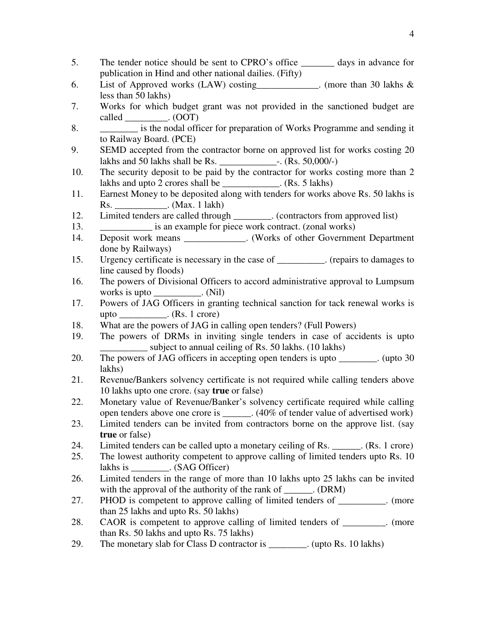| 5.  | The tender notice should be sent to CPRO's office _________ days in advance for     |
|-----|-------------------------------------------------------------------------------------|
|     | publication in Hind and other national dailies. (Fifty)                             |
| 6.  | List of Approved works (LAW) costing___________. (more than 30 lakhs &              |
|     | less than 50 lakhs)                                                                 |
| 7.  | Works for which budget grant was not provided in the sanctioned budget are          |
|     | called __________. (OOT)                                                            |
| 8.  | is the nodal officer for preparation of Works Programme and sending it              |
|     | to Railway Board. (PCE)                                                             |
| 9.  | SEMD accepted from the contractor borne on approved list for works costing 20       |
|     |                                                                                     |
| 10. | The security deposit to be paid by the contractor for works costing more than 2     |
|     | lakhs and upto 2 crores shall be ____________. (Rs. 5 lakhs)                        |
| 11. | Earnest Money to be deposited along with tenders for works above Rs. 50 lakhs is    |
|     | Rs. _______________. (Max. 1 lakh)                                                  |
| 12. | Limited tenders are called through ________. (contractors from approved list)       |
| 13. | is an example for piece work contract. (zonal works)                                |
| 14. | Deposit work means ______________. (Works of other Government Department            |
|     | done by Railways)                                                                   |
| 15. | Urgency certificate is necessary in the case of _________. (repairs to damages to   |
|     | line caused by floods)                                                              |
| 16. | The powers of Divisional Officers to accord administrative approval to Lumpsum      |
|     | works is upto ___________. (Nil)                                                    |
| 17. | Powers of JAG Officers in granting technical sanction for tack renewal works is     |
|     | upto ____________. (Rs. 1 crore)                                                    |
| 18. | What are the powers of JAG in calling open tenders? (Full Powers)                   |
| 19. | The powers of DRMs in inviting single tenders in case of accidents is upto          |
|     | subject to annual ceiling of Rs. 50 lakhs. (10 lakhs)                               |
| 20. | The powers of JAG officers in accepting open tenders is upto ________. (upto 30     |
|     | lakhs)                                                                              |
| 21. | Revenue/Bankers solvency certificate is not required while calling tenders above    |
|     | 10 lakhs upto one crore. (say true or false)                                        |
| 22. | Monetary value of Revenue/Banker's solvency certificate required while calling      |
|     | open tenders above one crore is ______. (40% of tender value of advertised work)    |
| 23. | Limited tenders can be invited from contractors borne on the approve list. (say     |
|     | <b>true</b> or false)                                                               |
| 24. | Limited tenders can be called upto a monetary ceiling of Rs. _______. (Rs. 1 crore) |
| 25. | The lowest authority competent to approve calling of limited tenders upto Rs. 10    |
|     | lakhs is ___________. (SAG Officer)                                                 |
| 26. | Limited tenders in the range of more than 10 lakhs upto 25 lakhs can be invited     |
|     | with the approval of the authority of the rank of ______. (DRM)                     |
| 27. | PHOD is competent to approve calling of limited tenders of _________. (more         |
|     | than 25 lakhs and upto Rs. 50 lakhs)                                                |
| 28. | CAOR is competent to approve calling of limited tenders of ________. (more          |
|     | than Rs. 50 lakhs and upto Rs. 75 lakhs)                                            |
| 29. | The monetary slab for Class D contractor is _________. (upto Rs. 10 lakhs)          |
|     |                                                                                     |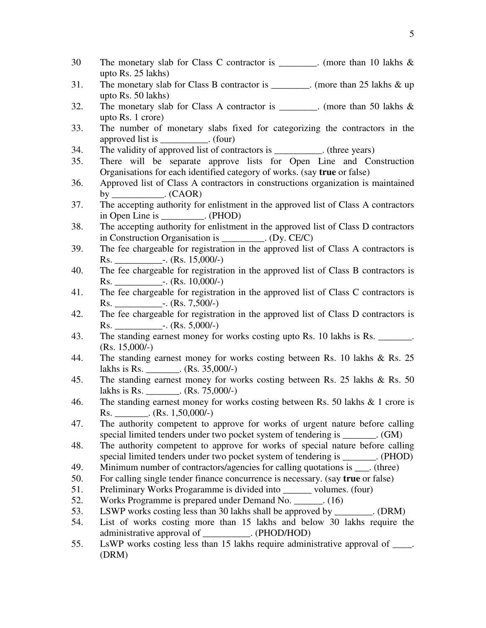- 30 The monetary slab for Class C contractor is \_\_\_\_\_\_\_. (more than 10 lakhs & upto Rs. 25 lakhs)
- 31. The monetary slab for Class B contractor is \_\_\_\_\_\_\_\_. (more than 25 lakhs & up upto Rs. 50 lakhs)
- 32. The monetary slab for Class A contractor is  $\therefore$  (more than 50 lakhs & upto Rs. 1 crore)
- 33. The number of monetary slabs fixed for categorizing the contractors in the approved list is  $\qquad \qquad$  . (four)
- 34. The validity of approved list of contractors is \_\_\_\_\_\_\_\_\_\_. (three years)
- 35. There will be separate approve lists for Open Line and Construction Organisations for each identified category of works. (say **true** or false)
- 36. Approved list of Class A contractors in constructions organization is maintained by  $\qquad \qquad . (CAOR)$
- 37. The accepting authority for enlistment in the approved list of Class A contractors in Open Line is  $(PHOD)$
- 38. The accepting authority for enlistment in the approved list of Class D contractors in Construction Organisation is  $(Dy, CE/C)$
- 39. The fee chargeable for registration in the approved list of Class A contractors is Rs. \_\_\_\_\_\_\_\_\_\_-. (Rs. 15,000/-)
- 40. The fee chargeable for registration in the approved list of Class B contractors is  $\text{Rs.}$   $-$ . (Rs. 10,000/-)
- 41. The fee chargeable for registration in the approved list of Class C contractors is Rs. \_\_\_\_\_\_\_\_\_\_-. (Rs. 7,500/-)
- 42. The fee chargeable for registration in the approved list of Class D contractors is Rs.  $\qquad \qquad$  -. (Rs. 5,000/-)
- 43. The standing earnest money for works costing upto Rs. 10 lakhs is Rs. \_\_\_\_\_\_\_. (Rs. 15,000/-)
- 44. The standing earnest money for works costing between Rs. 10 lakhs & Rs. 25 lakhs is Rs. \_\_\_\_\_\_\_. (Rs. 35,000/-)
- 45. The standing earnest money for works costing between Rs. 25 lakhs & Rs. 50 lakhs is Rs.  $\qquad \qquad$  . (Rs. 75,000/-)
- 46. The standing earnest money for works costing between Rs. 50 lakhs & 1 crore is Rs.  $\qquad \qquad$  (Rs. 1,50,000/-)
- 47. The authority competent to approve for works of urgent nature before calling special limited tenders under two pocket system of tendering is  $\qquad \qquad . (GM)$
- 48. The authority competent to approve for works of special nature before calling special limited tenders under two pocket system of tendering is  $(PHOD)$
- 49. Minimum number of contractors/agencies for calling quotations is \_\_\_. (three)
- 50. For calling single tender finance concurrence is necessary. (say **true** or false)
- 51. Preliminary Works Progaramme is divided into volumes. (four)
- 52. Works Programme is prepared under Demand No. \_\_\_\_\_\_. (16)
- 53. LSWP works costing less than 30 lakhs shall be approved by  $\qquad \qquad$  . (DRM)
- 54. List of works costing more than 15 lakhs and below 30 lakhs require the administrative approval of \_\_\_\_\_\_\_\_\_\_. (PHOD/HOD)
- 55. LsWP works costing less than 15 lakhs require administrative approval of \_\_\_\_. (DRM)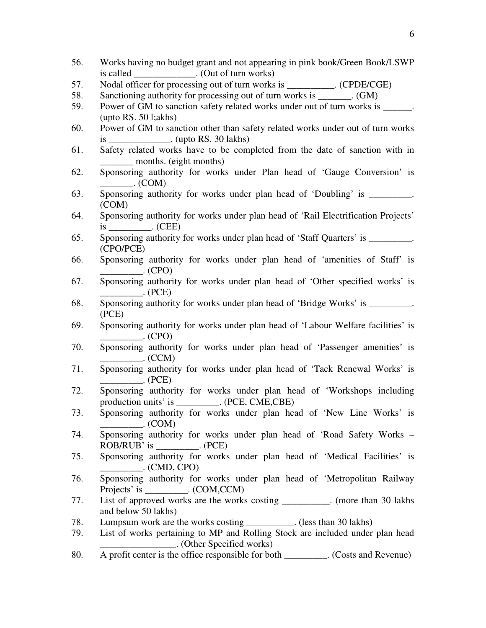is called \_\_\_\_\_\_\_\_\_\_\_\_\_. (Out of turn works) 57. Nodal officer for processing out of turn works is  $(CPDE/CGE)$ 58. Sanctioning authority for processing out of turn works is \_\_\_\_\_\_\_. (GM) 59. Power of GM to sanction safety related works under out of turn works is (upto RS. 50 l;akhs) 60. Power of GM to sanction other than safety related works under out of turn works is \_\_\_\_\_\_\_\_\_\_\_\_\_. (upto RS. 30 lakhs) 61. Safety related works have to be completed from the date of sanction with in months. (eight months) 62. Sponsoring authority for works under Plan head of 'Gauge Conversion' is  $_{\rm c}$  (COM) 63. Sponsoring authority for works under plan head of 'Doubling' is . (COM) 64. Sponsoring authority for works under plan head of 'Rail Electrification Projects' is  $(CEE)$ 65. Sponsoring authority for works under plan head of 'Staff Quarters' is (CPO/PCE) 66. Sponsoring authority for works under plan head of 'amenities of Staff' is  $\qquad \qquad \qquad . \qquad \qquad \text{(CPO)}$ 67. Sponsoring authority for works under plan head of 'Other specified works' is  $\cdot$  (PCE) 68. Sponsoring authority for works under plan head of 'Bridge Works' is  $\blacksquare$ (PCE) 69. Sponsoring authority for works under plan head of 'Labour Welfare facilities' is  $_{\rm C}$  (CPO) 70. Sponsoring authority for works under plan head of 'Passenger amenities' is  $\Gamma$  (CCM) 71. Sponsoring authority for works under plan head of 'Tack Renewal Works' is  $\cdot$  (PCE) 72. Sponsoring authority for works under plan head of 'Workshops including production units' is \_\_\_\_\_\_\_\_\_. (PCE, CME,CBE) 73. Sponsoring authority for works under plan head of 'New Line Works' is  $\ldots$  (COM) 74. Sponsoring authority for works under plan head of 'Road Safety Works – ROB/RUB' is  $(PCE)$ 75. Sponsoring authority for works under plan head of 'Medical Facilities' is  $\Gamma$ . (CMD, CPO) 76. Sponsoring authority for works under plan head of 'Metropolitan Railway Projects' is \_\_\_\_\_\_\_\_\_. (COM,CCM) 77. List of approved works are the works costing \_\_\_\_\_\_\_\_\_\_. (more than 30 lakhs and below 50 lakhs) 78. Lumpsum work are the works costing \_\_\_\_\_\_\_\_\_\_. (less than 30 lakhs) 79. List of works pertaining to MP and Rolling Stock are included under plan head \_\_\_\_\_\_\_\_\_\_\_\_\_\_\_\_. (Other Specified works) 80. A profit center is the office responsible for both \_\_\_\_\_\_\_\_\_. (Costs and Revenue)

56. Works having no budget grant and not appearing in pink book/Green Book/LSWP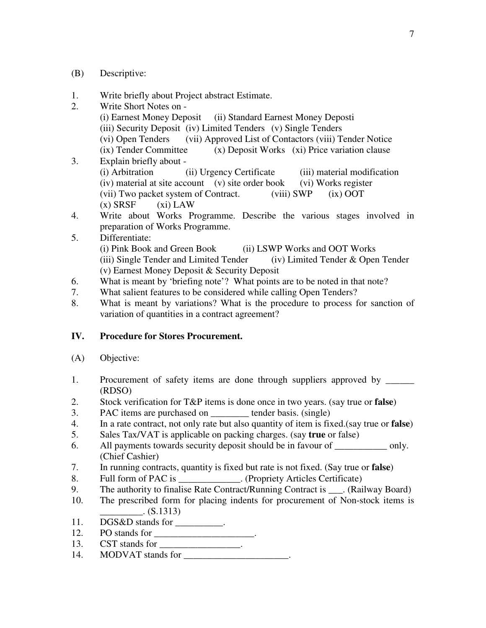- (B) Descriptive:
- 1. Write briefly about Project abstract Estimate.
- 2. Write Short Notes on (i) Earnest Money Deposit (ii) Standard Earnest Money Deposti (iii) Security Deposit (iv) Limited Tenders (v) Single Tenders (vi) Open Tenders (vii) Approved List of Contactors (viii) Tender Notice (ix) Tender Committee (x) Deposit Works (xi) Price variation clause 3. Explain briefly about - (i) Arbitration (ii) Urgency Certificate (iii) material modification (iv) material at site account (v) site order book (vi) Works register
	- (vii) Two packet system of Contract. (viii) SWP (ix) OOT  $(x)$  SRSF  $(xi)$  LAW
- 4. Write about Works Programme. Describe the various stages involved in preparation of Works Programme.
- 5. Differentiate: (i) Pink Book and Green Book (ii) LSWP Works and OOT Works (iii) Single Tender and Limited Tender (iv) Limited Tender  $\&$  Open Tender (v) Earnest Money Deposit & Security Deposit
- 6. What is meant by 'briefing note'? What points are to be noted in that note?
- 7. What salient features to be considered while calling Open Tenders?
- 8. What is meant by variations? What is the procedure to process for sanction of variation of quantities in a contract agreement?

### **IV. Procedure for Stores Procurement.**

- (A) Objective:
- 1. Procurement of safety items are done through suppliers approved by (RDSO)
- 2. Stock verification for T&P items is done once in two years. (say true or **false**)
- 3. PAC items are purchased on \_\_\_\_\_\_\_\_ tender basis. (single)
- 4. In a rate contract, not only rate but also quantity of item is fixed.(say true or **false**)
- 5. Sales Tax/VAT is applicable on packing charges. (say **true** or false)
- 6. All payments towards security deposit should be in favour of only. (Chief Cashier)
- 7. In running contracts, quantity is fixed but rate is not fixed. (Say true or **false**)
- 8. Full form of PAC is \_\_\_\_\_\_\_\_\_\_\_. (Propriety Articles Certificate)
- 9. The authority to finalise Rate Contract/Running Contract is (Railway Board)
- 10. The prescribed form for placing indents for procurement of Non-stock items is  $($ S.1313)
- 11. DGS&D stands for \_\_\_\_\_\_\_\_\_\_.
- 12. PO stands for \_\_\_\_\_\_\_\_\_\_\_\_\_\_\_\_\_\_\_\_\_.
- 13. CST stands for \_\_\_\_\_\_\_\_\_\_\_\_\_\_\_\_\_\_.
- 14. MODVAT stands for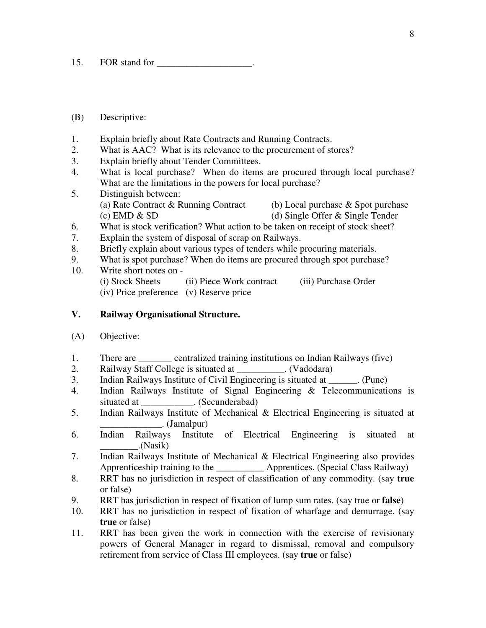15. FOR stand for

#### (B) Descriptive:

- 1. Explain briefly about Rate Contracts and Running Contracts.
- 2. What is AAC? What is its relevance to the procurement of stores?
- 3. Explain briefly about Tender Committees.
- 4. What is local purchase? When do items are procured through local purchase? What are the limitations in the powers for local purchase?
- 5. Distinguish between: (a) Rate Contract & Running Contract (b) Local purchase & Spot purchase (c) EMD & SD (d) Single Offer & Single Tender
- 6. What is stock verification? What action to be taken on receipt of stock sheet?
- 7. Explain the system of disposal of scrap on Railways.
- 8. Briefly explain about various types of tenders while procuring materials.
- 9. What is spot purchase? When do items are procured through spot purchase?
- 10. Write short notes on (i) Stock Sheets (ii) Piece Work contract (iii) Purchase Order (iv) Price preference (v) Reserve price

#### **V. Railway Organisational Structure.**

- (A) Objective:
- 1. There are \_\_\_\_\_\_\_ centralized training institutions on Indian Railways (five)
- 2. Railway Staff College is situated at \_\_\_\_\_\_\_\_\_\_. (Vadodara)
- 3. Indian Railways Institute of Civil Engineering is situated at \_\_\_\_\_\_. (Pune)
- 4. Indian Railways Institute of Signal Engineering & Telecommunications is situated at \_\_\_\_\_\_\_\_\_\_\_\_. (Secunderabad)
- 5. Indian Railways Institute of Mechanical & Electrical Engineering is situated at  $\Box$ . (Jamalpur)
- 6. Indian Railways Institute of Electrical Engineering is situated at \_\_\_\_\_\_\_\_.(Nasik)
- 7. Indian Railways Institute of Mechanical & Electrical Engineering also provides Apprenticeship training to the Apprentices. (Special Class Railway)
- 8. RRT has no jurisdiction in respect of classification of any commodity. (say **true** or false)
- 9. RRT has jurisdiction in respect of fixation of lump sum rates. (say true or **false**)
- 10. RRT has no jurisdiction in respect of fixation of wharfage and demurrage. (say **true** or false)
- 11. RRT has been given the work in connection with the exercise of revisionary powers of General Manager in regard to dismissal, removal and compulsory retirement from service of Class III employees. (say **true** or false)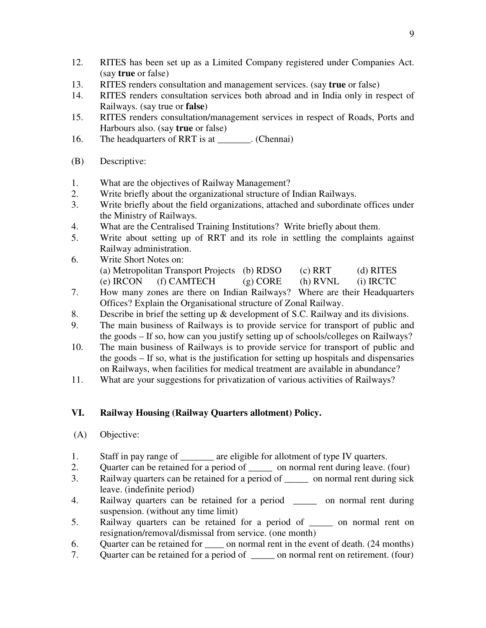- 12. RITES has been set up as a Limited Company registered under Companies Act. (say **true** or false)
- 13. RITES renders consultation and management services. (say **true** or false)
- 14. RITES renders consultation services both abroad and in India only in respect of Railways. (say true or **false**)
- 15. RITES renders consultation/management services in respect of Roads, Ports and Harbours also. (say **true** or false)
- 16. The headquarters of RRT is at \_\_\_\_\_\_\_. (Chennai)
- (B) Descriptive:
- 1. What are the objectives of Railway Management?
- 2. Write briefly about the organizational structure of Indian Railways.
- 3. Write briefly about the field organizations, attached and subordinate offices under the Ministry of Railways.
- 4. What are the Centralised Training Institutions? Write briefly about them.
- 5. Write about setting up of RRT and its role in settling the complaints against Railway administration.
- 6. Write Short Notes on: (a) Metropolitan Transport Projects (b) RDSO (c) RRT (d) RITES (e) IRCON (f) CAMTECH (g) CORE (h) RVNL (i) IRCTC
- 7. How many zones are there on Indian Railways? Where are their Headquarters Offices? Explain the Organisational structure of Zonal Railway.
- 8. Describe in brief the setting up & development of S.C. Railway and its divisions.
- 9. The main business of Railways is to provide service for transport of public and the goods – If so, how can you justify setting up of schools/colleges on Railways?
- 10. The main business of Railways is to provide service for transport of public and the goods – If so, what is the justification for setting up hospitals and dispensaries on Railways, when facilities for medical treatment are available in abundance?
- 11. What are your suggestions for privatization of various activities of Railways?

### **VI. Railway Housing (Railway Quarters allotment) Policy.**

- (A) Objective:
- 1. Staff in pay range of \_\_\_\_\_\_\_\_ are eligible for allotment of type IV quarters.
- 2. Quarter can be retained for a period of on normal rent during leave. (four)
- 3. Railway quarters can be retained for a period of \_\_\_\_\_ on normal rent during sick leave. (indefinite period)
- 4. Railway quarters can be retained for a period \_\_\_\_\_ on normal rent during suspension. (without any time limit)
- 5. Railway quarters can be retained for a period of \_\_\_\_\_ on normal rent on resignation/removal/dismissal from service. (one month)
- 6. Quarter can be retained for on normal rent in the event of death. (24 months)
- 7. Quarter can be retained for a period of \_\_\_\_\_ on normal rent on retirement. (four)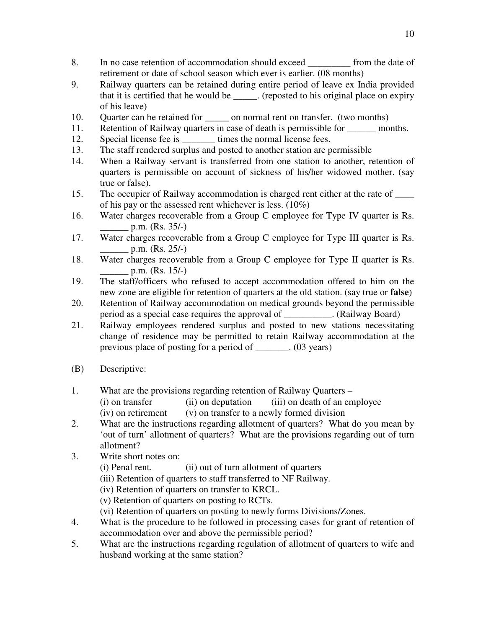- 8. In no case retention of accommodation should exceed from the date of retirement or date of school season which ever is earlier. (08 months)
- 9. Railway quarters can be retained during entire period of leave ex India provided that it is certified that he would be \_\_\_\_\_. (reposted to his original place on expiry of his leave)
- 10. Quarter can be retained for \_\_\_\_\_\_ on normal rent on transfer. (two months)
- 11. Retention of Railway quarters in case of death is permissible for months.
- 12. Special license fee is \_\_\_\_\_\_\_\_\_ times the normal license fees.
- 13. The staff rendered surplus and posted to another station are permissible
- 14. When a Railway servant is transferred from one station to another, retention of quarters is permissible on account of sickness of his/her widowed mother. (say true or false).
- 15. The occupier of Railway accommodation is charged rent either at the rate of \_\_\_\_ of his pay or the assessed rent whichever is less. (10%)
- 16. Water charges recoverable from a Group C employee for Type IV quarter is Rs.  $p.m.$  (Rs. 35/-)
- 17. Water charges recoverable from a Group C employee for Type III quarter is Rs.  $p.m.$  (Rs. 25/-)
- 18. Water charges recoverable from a Group C employee for Type II quarter is Rs.  $p.m.$  (Rs. 15/-)
- 19. The staff/officers who refused to accept accommodation offered to him on the new zone are eligible for retention of quarters at the old station. (say true or **false**)
- 20. Retention of Railway accommodation on medical grounds beyond the permissible period as a special case requires the approval of \_\_\_\_\_\_\_\_\_\_. (Railway Board)
- 21. Railway employees rendered surplus and posted to new stations necessitating change of residence may be permitted to retain Railway accommodation at the previous place of posting for a period of \_\_\_\_\_\_\_. (03 years)
- (B) Descriptive:
- 1. What are the provisions regarding retention of Railway Quarters
	- (i) on transfer (ii) on deputation (iii) on death of an employee
	- $(iv)$  on retirement  $(v)$  on transfer to a newly formed division
- 2. What are the instructions regarding allotment of quarters? What do you mean by 'out of turn' allotment of quarters? What are the provisions regarding out of turn allotment?
- 3. Write short notes on:
	- (i) Penal rent. (ii) out of turn allotment of quarters
	- (iii) Retention of quarters to staff transferred to NF Railway.
	- (iv) Retention of quarters on transfer to KRCL.
	- (v) Retention of quarters on posting to RCTs.
	- (vi) Retention of quarters on posting to newly forms Divisions/Zones.
- 4. What is the procedure to be followed in processing cases for grant of retention of accommodation over and above the permissible period?
- 5. What are the instructions regarding regulation of allotment of quarters to wife and husband working at the same station?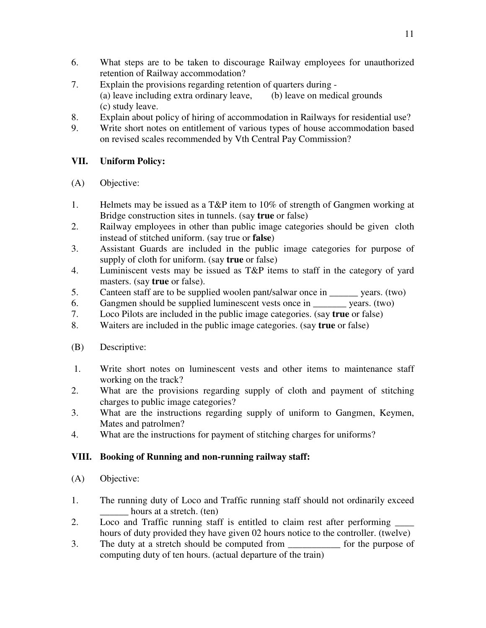- 6. What steps are to be taken to discourage Railway employees for unauthorized retention of Railway accommodation?
- 7. Explain the provisions regarding retention of quarters during (a) leave including extra ordinary leave, (b) leave on medical grounds (c) study leave.
- 8. Explain about policy of hiring of accommodation in Railways for residential use?
- 9. Write short notes on entitlement of various types of house accommodation based on revised scales recommended by Vth Central Pay Commission?

# **VII. Uniform Policy:**

- (A) Objective:
- 1. Helmets may be issued as a T&P item to 10% of strength of Gangmen working at Bridge construction sites in tunnels. (say **true** or false)
- 2. Railway employees in other than public image categories should be given cloth instead of stitched uniform. (say true or **false**)
- 3. Assistant Guards are included in the public image categories for purpose of supply of cloth for uniform. (say **true** or false)
- 4. Luminiscent vests may be issued as T&P items to staff in the category of yard masters. (say **true** or false).
- 5. Canteen staff are to be supplied woolen pant/salwar once in \_\_\_\_\_\_\_ years. (two)
- 6. Gangmen should be supplied luminescent vests once in  $\frac{1}{\sqrt{1-\frac{1}{n}}}$  years. (two)<br>7. Loco Pilots are included in the public image categories. (say **true** or false)
- 7. Loco Pilots are included in the public image categories. (say **true** or false)
- 8. Waiters are included in the public image categories. (say **true** or false)
- (B) Descriptive:
- 1. Write short notes on luminescent vests and other items to maintenance staff working on the track?
- 2. What are the provisions regarding supply of cloth and payment of stitching charges to public image categories?
- 3. What are the instructions regarding supply of uniform to Gangmen, Keymen, Mates and patrolmen?
- 4. What are the instructions for payment of stitching charges for uniforms?

### **VIII. Booking of Running and non-running railway staff:**

- (A) Objective:
- 1. The running duty of Loco and Traffic running staff should not ordinarily exceed hours at a stretch. (ten)
- 2. Loco and Traffic running staff is entitled to claim rest after performing \_\_\_\_\_ hours of duty provided they have given 02 hours notice to the controller. (twelve)
- 3. The duty at a stretch should be computed from for the purpose of computing duty of ten hours. (actual departure of the train)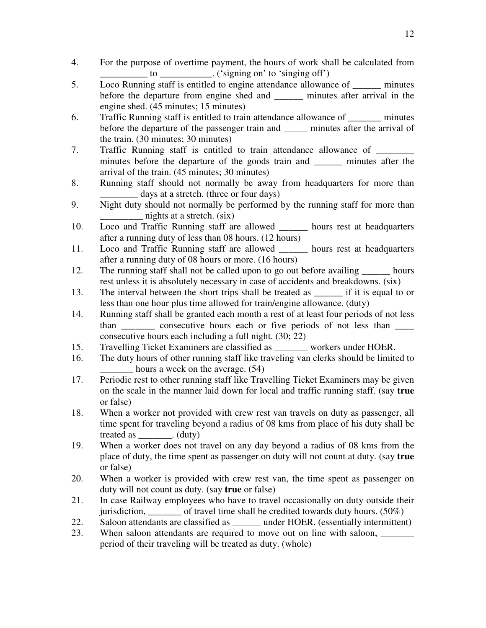- 4. For the purpose of overtime payment, the hours of work shall be calculated from  $\_\_$  to  $\_\_\_\_\_\_\_\_\_\_\_\_\_\_\_\_\_\_\_\_$ . ('signing on' to 'singing off')
- 5. Loco Running staff is entitled to engine attendance allowance of minutes before the departure from engine shed and \_\_\_\_\_\_ minutes after arrival in the engine shed. (45 minutes; 15 minutes)
- 6. Traffic Running staff is entitled to train attendance allowance of \_\_\_\_\_\_\_ minutes before the departure of the passenger train and \_\_\_\_\_\_ minutes after the arrival of the train. (30 minutes; 30 minutes)
- 7. Traffic Running staff is entitled to train attendance allowance of \_\_\_\_\_\_\_\_\_\_\_ minutes before the departure of the goods train and \_\_\_\_\_\_ minutes after the arrival of the train. (45 minutes; 30 minutes)
- 8. Running staff should not normally be away from headquarters for more than days at a stretch. (three or four days)
- 9. Night duty should not normally be performed by the running staff for more than nights at a stretch.  $(six)$
- 10. Loco and Traffic Running staff are allowed \_\_\_\_\_\_ hours rest at headquarters after a running duty of less than 08 hours. (12 hours)
- 11. Loco and Traffic Running staff are allowed \_\_\_\_\_\_ hours rest at headquarters after a running duty of 08 hours or more. (16 hours)
- 12. The running staff shall not be called upon to go out before availing \_\_\_\_\_\_ hours rest unless it is absolutely necessary in case of accidents and breakdowns. (six)
- 13. The interval between the short trips shall be treated as  $\cdot$  if it is equal to or less than one hour plus time allowed for train/engine allowance. (duty)
- 14. Running staff shall be granted each month a rest of at least four periods of not less than consecutive hours each or five periods of not less than consecutive hours each including a full night. (30; 22)
- 15. Travelling Ticket Examiners are classified as \_\_\_\_\_\_\_ workers under HOER.
- 16. The duty hours of other running staff like traveling van clerks should be limited to hours a week on the average. (54)
- 17. Periodic rest to other running staff like Travelling Ticket Examiners may be given on the scale in the manner laid down for local and traffic running staff. (say **true** or false)
- 18. When a worker not provided with crew rest van travels on duty as passenger, all time spent for traveling beyond a radius of 08 kms from place of his duty shall be treated as  $(duty)$
- 19. When a worker does not travel on any day beyond a radius of 08 kms from the place of duty, the time spent as passenger on duty will not count at duty. (say **true** or false)
- 20. When a worker is provided with crew rest van, the time spent as passenger on duty will not count as duty. (say **true** or false)
- 21. In case Railway employees who have to travel occasionally on duty outside their jurisdiction, of travel time shall be credited towards duty hours.  $(50\%)$
- 22. Saloon attendants are classified as \_\_\_\_\_\_ under HOER. (essentially intermittent)
- 23. When saloon attendants are required to move out on line with saloon, period of their traveling will be treated as duty. (whole)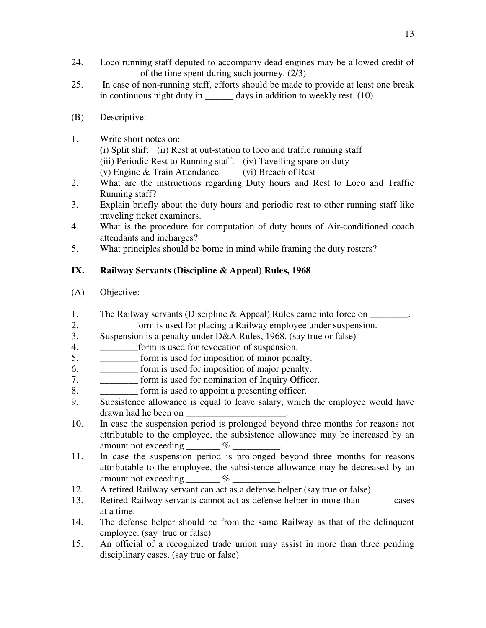- 24. Loco running staff deputed to accompany dead engines may be allowed credit of of the time spent during such journey.  $(2/3)$
- 25. In case of non-running staff, efforts should be made to provide at least one break in continuous night duty in  $\qquad \qquad$  days in addition to weekly rest. (10)
- (B) Descriptive:
- 1. Write short notes on:
	- (i) Split shift (ii) Rest at out-station to loco and traffic running staff (iii) Periodic Rest to Running staff. (iv) Tavelling spare on duty
	- (v) Engine & Train Attendance (vi) Breach of Rest
- 2. What are the instructions regarding Duty hours and Rest to Loco and Traffic Running staff?
- 3. Explain briefly about the duty hours and periodic rest to other running staff like traveling ticket examiners.
- 4. What is the procedure for computation of duty hours of Air-conditioned coach attendants and incharges?
- 5. What principles should be borne in mind while framing the duty rosters?

# **IX. Railway Servants (Discipline & Appeal) Rules, 1968**

- (A) Objective:
- 1. The Railway servants (Discipline & Appeal) Rules came into force on \_\_\_\_\_\_\_\_.
- 2. **Example 1** form is used for placing a Railway employee under suspension.
- 3. Suspension is a penalty under D&A Rules, 1968. (say true or false)
- 4. \_\_\_\_\_\_\_\_form is used for revocation of suspension.
- 5. \_\_\_\_\_\_\_\_ form is used for imposition of minor penalty.
- 6. \_\_\_\_\_\_\_\_ form is used for imposition of major penalty.
- 7. \_\_\_\_\_\_\_\_ form is used for nomination of Inquiry Officer.
- 8. \_\_\_\_\_\_\_\_\_\_\_\_\_\_\_ form is used to appoint a presenting officer.
- 9. Subsistence allowance is equal to leave salary, which the employee would have drawn had he been on \_\_\_\_\_\_\_\_\_\_\_\_\_\_\_\_\_\_\_\_\_.
- 10. In case the suspension period is prolonged beyond three months for reasons not attributable to the employee, the subsistence allowance may be increased by an amount not exceeding  $\%$
- 11. In case the suspension period is prolonged beyond three months for reasons attributable to the employee, the subsistence allowance may be decreased by an amount not exceeding  $\sim$   $\%$
- 12. A retired Railway servant can act as a defense helper (say true or false)
- 13. Retired Railway servants cannot act as defense helper in more than \_\_\_\_\_\_ cases at a time.
- 14. The defense helper should be from the same Railway as that of the delinquent employee. (say true or false)
- 15. An official of a recognized trade union may assist in more than three pending disciplinary cases. (say true or false)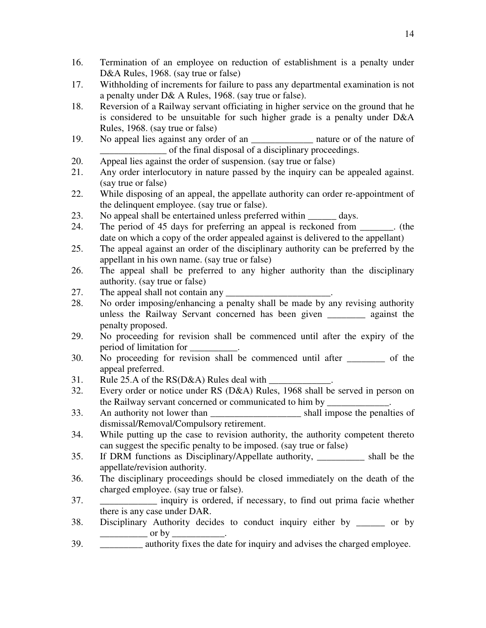- 16. Termination of an employee on reduction of establishment is a penalty under D&A Rules, 1968. (say true or false)
- 17. Withholding of increments for failure to pass any departmental examination is not a penalty under D& A Rules, 1968. (say true or false).
- 18. Reversion of a Railway servant officiating in higher service on the ground that he is considered to be unsuitable for such higher grade is a penalty under D&A Rules, 1968. (say true or false)
- 19. No appeal lies against any order of an \_\_\_\_\_\_\_\_\_\_\_\_\_ nature or of the nature of \_\_\_\_\_\_\_\_\_\_\_\_\_\_ of the final disposal of a disciplinary proceedings.
- 20. Appeal lies against the order of suspension. (say true or false)
- 21. Any order interlocutory in nature passed by the inquiry can be appealed against. (say true or false)
- 22. While disposing of an appeal, the appellate authority can order re-appointment of the delinquent employee. (say true or false).
- 23. No appeal shall be entertained unless preferred within days.
- 24. The period of 45 days for preferring an appeal is reckoned from \_\_\_\_\_\_\_. (the date on which a copy of the order appealed against is delivered to the appellant)
- 25. The appeal against an order of the disciplinary authority can be preferred by the appellant in his own name. (say true or false)
- 26. The appeal shall be preferred to any higher authority than the disciplinary authority. (say true or false)
- 27. The appeal shall not contain any
- 28. No order imposing/enhancing a penalty shall be made by any revising authority unless the Railway Servant concerned has been given \_\_\_\_\_\_\_\_ against the penalty proposed.
- 29. No proceeding for revision shall be commenced until after the expiry of the period of limitation for \_\_\_\_\_\_\_\_\_\_.
- 30. No proceeding for revision shall be commenced until after \_\_\_\_\_\_\_\_ of the appeal preferred.
- 31. Rule 25.A of the  $RS(D&A)$  Rules deal with
- 32. Every order or notice under RS (D&A) Rules, 1968 shall be served in person on the Railway servant concerned or communicated to him by
- 33. An authority not lower than shall impose the penalties of dismissal/Removal/Compulsory retirement.
- 34. While putting up the case to revision authority, the authority competent thereto can suggest the specific penalty to be imposed. (say true or false)
- 35. If DRM functions as Disciplinary/Appellate authority, \_\_\_\_\_\_\_\_\_\_ shall be the appellate/revision authority.
- 36. The disciplinary proceedings should be closed immediately on the death of the charged employee. (say true or false).
- 37. \_\_\_\_\_\_\_\_\_\_\_\_ inquiry is ordered, if necessary, to find out prima facie whether there is any case under DAR.
- 38. Disciplinary Authority decides to conduct inquiry either by \_\_\_\_\_\_ or by  $\frac{1}{2}$  or by
- 39.  $\qquad \qquad \text{authority fixes the date for inquiry and advise the charged employee.}$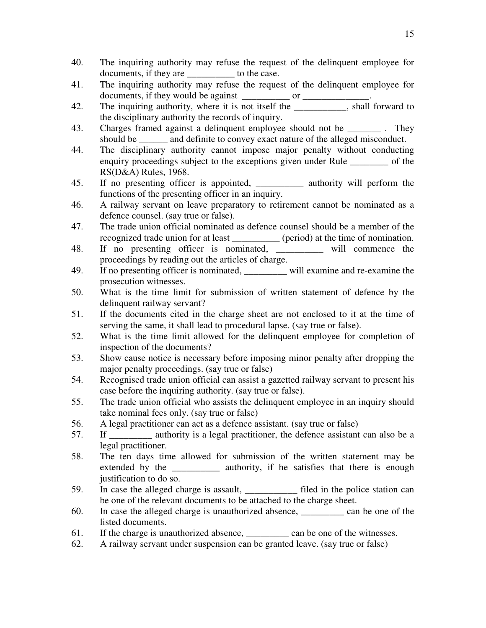- 40. The inquiring authority may refuse the request of the delinquent employee for documents, if they are \_\_\_\_\_\_\_\_\_\_ to the case.
- 41. The inquiring authority may refuse the request of the delinquent employee for documents, if they would be against \_\_\_\_\_\_\_\_\_\_ or \_\_\_\_\_\_\_\_\_\_\_\_\_\_.
- 42. The inquiring authority, where it is not itself the \_\_\_\_\_\_\_\_, shall forward to the disciplinary authority the records of inquiry.
- 43. Charges framed against a delinquent employee should not be \_\_\_\_\_\_\_\_. They should be \_\_\_\_\_\_ and definite to convey exact nature of the alleged misconduct.
- 44. The disciplinary authority cannot impose major penalty without conducting enquiry proceedings subject to the exceptions given under Rule of the RS(D&A) Rules, 1968.
- 45. If no presenting officer is appointed, \_\_\_\_\_\_\_\_\_\_ authority will perform the functions of the presenting officer in an inquiry.
- 46. A railway servant on leave preparatory to retirement cannot be nominated as a defence counsel. (say true or false).
- 47. The trade union official nominated as defence counsel should be a member of the recognized trade union for at least \_\_\_\_\_\_\_\_\_\_ (period) at the time of nomination.
- 48. If no presenting officer is nominated, \_\_\_\_\_\_\_\_\_\_ will commence the proceedings by reading out the articles of charge.
- 49. If no presenting officer is nominated, \_\_\_\_\_\_\_\_\_ will examine and re-examine the prosecution witnesses.
- 50. What is the time limit for submission of written statement of defence by the delinquent railway servant?
- 51. If the documents cited in the charge sheet are not enclosed to it at the time of serving the same, it shall lead to procedural lapse. (say true or false).
- 52. What is the time limit allowed for the delinquent employee for completion of inspection of the documents?
- 53. Show cause notice is necessary before imposing minor penalty after dropping the major penalty proceedings. (say true or false)
- 54. Recognised trade union official can assist a gazetted railway servant to present his case before the inquiring authority. (say true or false).
- 55. The trade union official who assists the delinquent employee in an inquiry should take nominal fees only. (say true or false)
- 56. A legal practitioner can act as a defence assistant. (say true or false)
- 57. If authority is a legal practitioner, the defence assistant can also be a legal practitioner.
- 58. The ten days time allowed for submission of the written statement may be extended by the authority, if he satisfies that there is enough justification to do so.
- 59. In case the alleged charge is assault, \_\_\_\_\_\_\_\_\_\_\_ filed in the police station can be one of the relevant documents to be attached to the charge sheet.
- 60. In case the alleged charge is unauthorized absence, \_\_\_\_\_\_\_\_\_ can be one of the listed documents.
- 61. If the charge is unauthorized absence, can be one of the witnesses.
- 62. A railway servant under suspension can be granted leave. (say true or false)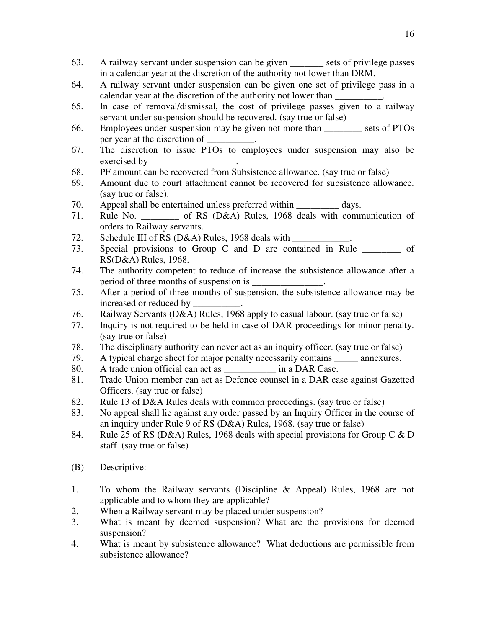- 63. A railway servant under suspension can be given \_\_\_\_\_\_\_ sets of privilege passes in a calendar year at the discretion of the authority not lower than DRM.
- 64. A railway servant under suspension can be given one set of privilege pass in a calendar year at the discretion of the authority not lower than
- 65. In case of removal/dismissal, the cost of privilege passes given to a railway servant under suspension should be recovered. (say true or false)
- 66. Employees under suspension may be given not more than \_\_\_\_\_\_\_\_ sets of PTOs per year at the discretion of \_\_\_\_\_\_\_\_\_\_.
- 67. The discretion to issue PTOs to employees under suspension may also be exercised by
- 68. PF amount can be recovered from Subsistence allowance. (say true or false)
- 69. Amount due to court attachment cannot be recovered for subsistence allowance. (say true or false).
- 70. Appeal shall be entertained unless preferred within \_\_\_\_\_\_\_\_\_ days.
- 71. Rule No. \_\_\_\_\_\_\_\_ of RS (D&A) Rules, 1968 deals with communication of orders to Railway servants.
- 72. Schedule III of RS (D&A) Rules, 1968 deals with
- 73. Special provisions to Group C and D are contained in Rule  $\frac{1}{\sqrt{2\pi}}$  of RS(D&A) Rules, 1968.
- 74. The authority competent to reduce of increase the subsistence allowance after a period of three months of suspension is  $\overline{\phantom{a}}$
- 75. After a period of three months of suspension, the subsistence allowance may be increased or reduced by
- 76. Railway Servants (D&A) Rules, 1968 apply to casual labour. (say true or false)
- 77. Inquiry is not required to be held in case of DAR proceedings for minor penalty. (say true or false)
- 78. The disciplinary authority can never act as an inquiry officer. (say true or false)
- 79. A typical charge sheet for major penalty necessarily contains annexures.
- 80. A trade union official can act as \_\_\_\_\_\_\_\_\_\_\_\_ in a DAR Case.
- 81. Trade Union member can act as Defence counsel in a DAR case against Gazetted Officers. (say true or false)
- 82. Rule 13 of D&A Rules deals with common proceedings. (say true or false)
- 83. No appeal shall lie against any order passed by an Inquiry Officer in the course of an inquiry under Rule 9 of RS (D&A) Rules, 1968. (say true or false)
- 84. Rule 25 of RS (D&A) Rules, 1968 deals with special provisions for Group C & D staff. (say true or false)
- (B) Descriptive:
- 1. To whom the Railway servants (Discipline & Appeal) Rules, 1968 are not applicable and to whom they are applicable?
- 2. When a Railway servant may be placed under suspension?
- 3. What is meant by deemed suspension? What are the provisions for deemed suspension?
- 4. What is meant by subsistence allowance? What deductions are permissible from subsistence allowance?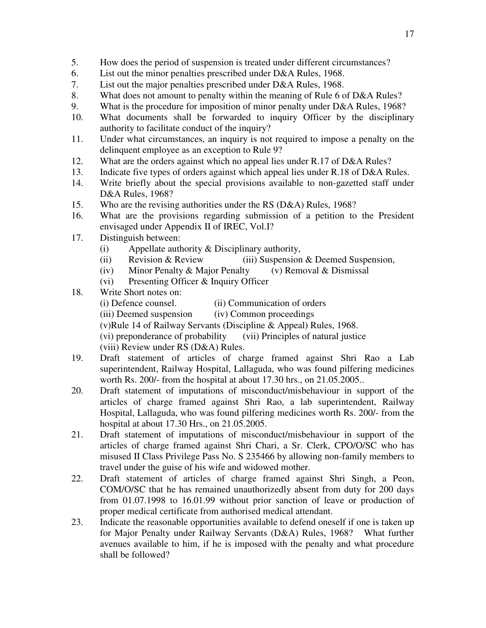- 5. How does the period of suspension is treated under different circumstances?
- 6. List out the minor penalties prescribed under D&A Rules, 1968.
- 7. List out the major penalties prescribed under D&A Rules, 1968.
- 8. What does not amount to penalty within the meaning of Rule 6 of D&A Rules?
- 9. What is the procedure for imposition of minor penalty under D&A Rules, 1968?
- 10. What documents shall be forwarded to inquiry Officer by the disciplinary authority to facilitate conduct of the inquiry?
- 11. Under what circumstances, an inquiry is not required to impose a penalty on the delinquent employee as an exception to Rule 9?
- 12. What are the orders against which no appeal lies under R.17 of D&A Rules?
- 13. Indicate five types of orders against which appeal lies under R.18 of D&A Rules.
- 14. Write briefly about the special provisions available to non-gazetted staff under D&A Rules, 1968?
- 15. Who are the revising authorities under the RS (D&A) Rules, 1968?
- 16. What are the provisions regarding submission of a petition to the President envisaged under Appendix II of IREC, Vol.I?
- 17. Distinguish between:
	- (i) Appellate authority & Disciplinary authority,
	- (ii) Revision & Review (iii) Suspension & Deemed Suspension,
	- (iv) Minor Penalty & Major Penalty (v) Removal & Dismissal
	- (vi) Presenting Officer & Inquiry Officer
- 18. Write Short notes on:
	- (i) Defence counsel. (ii) Communication of orders
	- (iii) Deemed suspension (iv) Common proceedings
	- (v)Rule 14 of Railway Servants (Discipline & Appeal) Rules, 1968.
	- (vi) preponderance of probability (vii) Principles of natural justice
		- (viii) Review under RS (D&A) Rules.
- 19. Draft statement of articles of charge framed against Shri Rao a Lab superintendent, Railway Hospital, Lallaguda, who was found pilfering medicines worth Rs. 200/- from the hospital at about 17.30 hrs., on 21.05.2005..
- 20. Draft statement of imputations of misconduct/misbehaviour in support of the articles of charge framed against Shri Rao, a lab superintendent, Railway Hospital, Lallaguda, who was found pilfering medicines worth Rs. 200/- from the hospital at about 17.30 Hrs., on 21.05.2005.
- 21. Draft statement of imputations of misconduct/misbehaviour in support of the articles of charge framed against Shri Chari, a Sr. Clerk, CPO/O/SC who has misused II Class Privilege Pass No. S 235466 by allowing non-family members to travel under the guise of his wife and widowed mother.
- 22. Draft statement of articles of charge framed against Shri Singh, a Peon, COM/O/SC that he has remained unauthorizedly absent from duty for 200 days from 01.07.1998 to 16.01.99 without prior sanction of leave or production of proper medical certificate from authorised medical attendant.
- 23. Indicate the reasonable opportunities available to defend oneself if one is taken up for Major Penalty under Railway Servants (D&A) Rules, 1968? What further avenues available to him, if he is imposed with the penalty and what procedure shall be followed?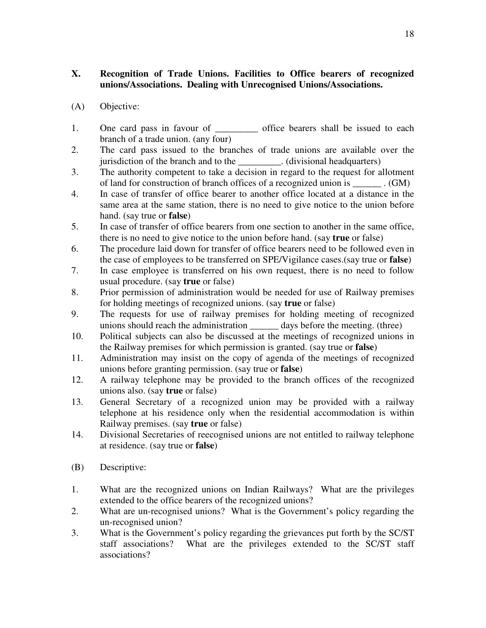### **X. Recognition of Trade Unions. Facilities to Office bearers of recognized unions/Associations. Dealing with Unrecognised Unions/Associations.**

- (A) Objective:
- 1. One card pass in favour of \_\_\_\_\_\_\_\_\_\_\_ office bearers shall be issued to each branch of a trade union. (any four)
- 2. The card pass issued to the branches of trade unions are available over the jurisdiction of the branch and to the  $\cdot$  (divisional headquarters)
- 3. The authority competent to take a decision in regard to the request for allotment of land for construction of branch offices of a recognized union is  $\qquad \qquad$  . (GM)
- 4. In case of transfer of office bearer to another office located at a distance in the same area at the same station, there is no need to give notice to the union before hand. (say true or **false**)
- 5. In case of transfer of office bearers from one section to another in the same office, there is no need to give notice to the union before hand. (say **true** or false)
- 6. The procedure laid down for transfer of office bearers need to be followed even in the case of employees to be transferred on SPE/Vigilance cases.(say true or **false**)
- 7. In case employee is transferred on his own request, there is no need to follow usual procedure. (say **true** or false)
- 8. Prior permission of administration would be needed for use of Railway premises for holding meetings of recognized unions. (say **true** or false)
- 9. The requests for use of railway premises for holding meeting of recognized unions should reach the administration days before the meeting. (three)
- 10. Political subjects can also be discussed at the meetings of recognized unions in the Railway premises for which permission is granted. (say true or **false**)
- 11. Administration may insist on the copy of agenda of the meetings of recognized unions before granting permission. (say true or **false**)
- 12. A railway telephone may be provided to the branch offices of the recognized unions also. (say **true** or false)
- 13. General Secretary of a recognized union may be provided with a railway telephone at his residence only when the residential accommodation is within Railway premises. (say **true** or false)
- 14. Divisional Secretaries of reecognised unions are not entitled to railway telephone at residence. (say true or **false**)
- (B) Descriptive:
- 1. What are the recognized unions on Indian Railways? What are the privileges extended to the office bearers of the recognized unions?
- 2. What are un-recognised unions? What is the Government's policy regarding the un-recognised union?
- 3. What is the Government's policy regarding the grievances put forth by the SC/ST staff associations? What are the privileges extended to the SC/ST staff associations?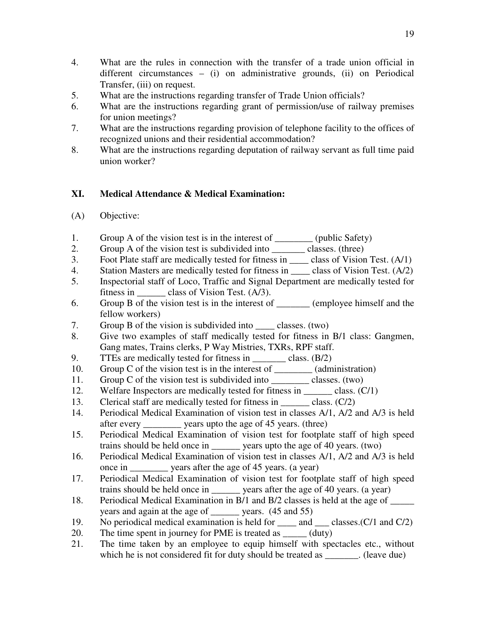- 4. What are the rules in connection with the transfer of a trade union official in different circumstances – (i) on administrative grounds, (ii) on Periodical Transfer, (iii) on request.
- 5. What are the instructions regarding transfer of Trade Union officials?
- 6. What are the instructions regarding grant of permission/use of railway premises for union meetings?
- 7. What are the instructions regarding provision of telephone facility to the offices of recognized unions and their residential accommodation?
- 8. What are the instructions regarding deputation of railway servant as full time paid union worker?

### **XI. Medical Attendance & Medical Examination:**

- (A) Objective:
- 1. Group A of the vision test is in the interest of \_\_\_\_\_\_\_\_\_\_ (public Safety)
- 2. Group A of the vision test is subdivided into \_\_\_\_\_\_\_\_\_ classes. (three)
- 3. Foot Plate staff are medically tested for fitness in \_\_\_\_ class of Vision Test. (A/1)
- 4. Station Masters are medically tested for fitness in \_\_\_\_\_\_ class of Vision Test. (A/2)
- 5. Inspectorial staff of Loco, Traffic and Signal Department are medically tested for fitness in class of Vision Test. (A/3).
- 6. Group B of the vision test is in the interest of \_\_\_\_\_\_\_ (employee himself and the fellow workers)
- 7. Group B of the vision is subdivided into classes. (two)
- 8. Give two examples of staff medically tested for fitness in B/1 class: Gangmen, Gang mates, Trains clerks, P Way Mistries, TXRs, RPF staff.
- 9. TTEs are medically tested for fitness in class.  $(B/2)$
- 10. Group C of the vision test is in the interest of \_\_\_\_\_\_\_\_ (administration)
- 11. Group C of the vision test is subdivided into classes. (two)
- 12. Welfare Inspectors are medically tested for fitness in \_\_\_\_\_\_ class. (C/1)
- 13. Clerical staff are medically tested for fitness in \_\_\_\_\_\_\_\_ class. (C/2)
- 14. Periodical Medical Examination of vision test in classes A/1, A/2 and A/3 is held after every \_\_\_\_\_\_\_\_ years upto the age of 45 years. (three)
- 15. Periodical Medical Examination of vision test for footplate staff of high speed trains should be held once in vears upto the age of 40 years. (two)
- 16. Periodical Medical Examination of vision test in classes A/1, A/2 and A/3 is held once in \_\_\_\_\_\_\_\_ years after the age of 45 years. (a year)
- 17. Periodical Medical Examination of vision test for footplate staff of high speed trains should be held once in \_\_\_\_\_\_ years after the age of 40 years. (a year)
- 18. Periodical Medical Examination in B/1 and B/2 classes is held at the age of \_\_\_\_\_ years and again at the age of vears. (45 and 55)
- 19. No periodical medical examination is held for \_\_\_\_ and \_\_\_ classes.(C/1 and C/2)
- 20. The time spent in journey for PME is treated as  $(duty)$
- 21. The time taken by an employee to equip himself with spectacles etc., without which he is not considered fit for duty should be treated as  $\qquad \qquad$  (leave due)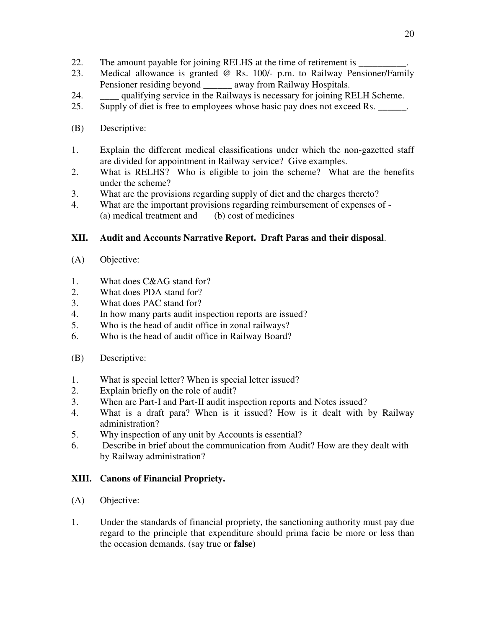- 22. The amount payable for joining RELHS at the time of retirement is  $\Box$
- 23. Medical allowance is granted @ Rs. 100/- p.m. to Railway Pensioner/Family Pensioner residing beyond away from Railway Hospitals.
- 24. \_\_\_\_ qualifying service in the Railways is necessary for joining RELH Scheme.
- 25. Supply of diet is free to employees whose basic pay does not exceed Rs.
- (B) Descriptive:
- 1. Explain the different medical classifications under which the non-gazetted staff are divided for appointment in Railway service? Give examples.
- 2. What is RELHS? Who is eligible to join the scheme? What are the benefits under the scheme?
- 3. What are the provisions regarding supply of diet and the charges thereto?
- 4. What are the important provisions regarding reimbursement of expenses of (a) medical treatment and (b) cost of medicines

# **XII. Audit and Accounts Narrative Report. Draft Paras and their disposal**.

- (A) Objective:
- 1. What does C&AG stand for?
- 2. What does PDA stand for?
- 3. What does PAC stand for?
- 4. In how many parts audit inspection reports are issued?
- 5. Who is the head of audit office in zonal railways?
- 6. Who is the head of audit office in Railway Board?
- (B) Descriptive:
- 1. What is special letter? When is special letter issued?
- 2. Explain briefly on the role of audit?
- 3. When are Part-I and Part-II audit inspection reports and Notes issued?
- 4. What is a draft para? When is it issued? How is it dealt with by Railway administration?
- 5. Why inspection of any unit by Accounts is essential?
- 6. Describe in brief about the communication from Audit? How are they dealt with by Railway administration?

### **XIII. Canons of Financial Propriety.**

- (A) Objective:
- 1. Under the standards of financial propriety, the sanctioning authority must pay due regard to the principle that expenditure should prima facie be more or less than the occasion demands. (say true or **false**)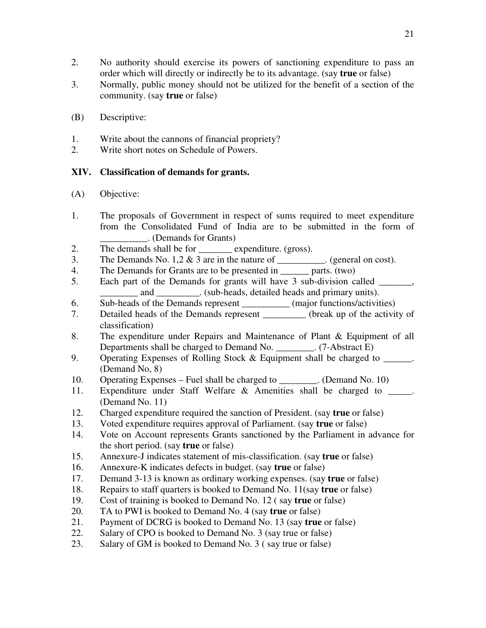- 2. No authority should exercise its powers of sanctioning expenditure to pass an order which will directly or indirectly be to its advantage. (say **true** or false)
- 3. Normally, public money should not be utilized for the benefit of a section of the community. (say **true** or false)
- (B) Descriptive:
- 1. Write about the cannons of financial propriety?
- 2. Write short notes on Schedule of Powers.

# **XIV. Classification of demands for grants.**

- (A) Objective:
- 1. The proposals of Government in respect of sums required to meet expenditure from the Consolidated Fund of India are to be submitted in the form of \_\_\_\_\_\_\_\_\_\_. (Demands for Grants)
- 2. The demands shall be for \_\_\_\_\_\_\_ expenditure. (gross).
- 3. The Demands No. 1,2  $\&$  3 are in the nature of \_\_\_\_\_\_\_\_\_. (general on cost).
- 4. The Demands for Grants are to be presented in \_\_\_\_\_\_ parts. (two)
- 5. Each part of the Demands for grants will have 3 sub-division called \_\_\_\_\_\_\_, and  $\qquad \qquad$  . (sub-heads, detailed heads and primary units).
- 6. Sub-heads of the Demands represent \_\_\_\_\_\_\_\_\_\_ (major functions/activities)
- 7. Detailed heads of the Demands represent \_\_\_\_\_\_\_\_\_ (break up of the activity of classification)
- 8. The expenditure under Repairs and Maintenance of Plant & Equipment of all Departments shall be charged to Demand No. \_\_\_\_\_\_\_\_. (7-Abstract E)
- 9. Operating Expenses of Rolling Stock & Equipment shall be charged to (Demand No, 8)
- 10. Operating Expenses Fuel shall be charged to (Demand No. 10)
- 11. Expenditure under Staff Welfare & Amenities shall be charged to \_\_\_\_\_. (Demand No. 11)
- 12. Charged expenditure required the sanction of President. (say **true** or false)
- 13. Voted expenditure requires approval of Parliament. (say **true** or false)
- 14. Vote on Account represents Grants sanctioned by the Parliament in advance for the short period. (say **true** or false)
- 15. Annexure-J indicates statement of mis-classification. (say **true** or false)
- 16. Annexure-K indicates defects in budget. (say **true** or false)
- 17. Demand 3-13 is known as ordinary working expenses. (say **true** or false)
- 18. Repairs to staff quarters is booked to Demand No. 11(say **true** or false)
- 19. Cost of training is booked to Demand No. 12 ( say **true** or false)
- 20. TA to PWI is booked to Demand No. 4 (say **true** or false)
- 21. Payment of DCRG is booked to Demand No. 13 (say **true** or false)
- 22. Salary of CPO is booked to Demand No. 3 (say true or false)
- 23. Salary of GM is booked to Demand No. 3 ( say true or false)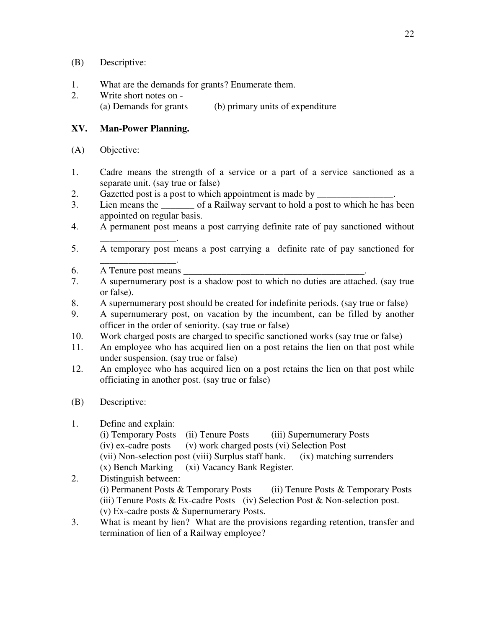- (B) Descriptive:
- 1. What are the demands for grants? Enumerate them.
- 2. Write short notes on (a) Demands for grants (b) primary units of expenditure

#### **XV. Man-Power Planning.**

- (A) Objective:
- 1. Cadre means the strength of a service or a part of a service sanctioned as a separate unit. (say true or false)
- 2. Gazetted post is a post to which appointment is made by \_\_\_\_\_\_\_\_\_\_\_\_\_\_\_\_\_\_\_\_\_
- 3. Lien means the \_\_\_\_\_\_\_ of a Railway servant to hold a post to which he has been appointed on regular basis.
- 4. A permanent post means a post carrying definite rate of pay sanctioned without
- \_\_\_\_\_\_\_\_\_\_\_\_\_\_\_\_. 5. A temporary post means a post carrying a definite rate of pay sanctioned for
- \_\_\_\_\_\_\_\_\_\_\_\_\_\_\_\_. 6. A Tenure post means
- 7. A supernumerary post is a shadow post to which no duties are attached. (say true or false).
- 8. A supernumerary post should be created for indefinite periods. (say true or false)
- 9. A supernumerary post, on vacation by the incumbent, can be filled by another officer in the order of seniority. (say true or false)
- 10. Work charged posts are charged to specific sanctioned works (say true or false)
- 11. An employee who has acquired lien on a post retains the lien on that post while under suspension. (say true or false)
- 12. An employee who has acquired lien on a post retains the lien on that post while officiating in another post. (say true or false)
- (B) Descriptive:

### 1. Define and explain:

- (i) Temporary Posts (ii) Tenure Posts (iii) Supernumerary Posts (iv) ex-cadre posts (v) work charged posts (vi) Selection Post (vii) Non-selection post (viii) Surplus staff bank. (ix) matching surrenders (x) Bench Marking (xi) Vacancy Bank Register.
- 2. Distinguish between: (i) Permanent Posts & Temporary Posts (ii) Tenure Posts & Temporary Posts (iii) Tenure Posts & Ex-cadre Posts (iv) Selection Post & Non-selection post. (v) Ex-cadre posts & Supernumerary Posts.
- 3. What is meant by lien? What are the provisions regarding retention, transfer and termination of lien of a Railway employee?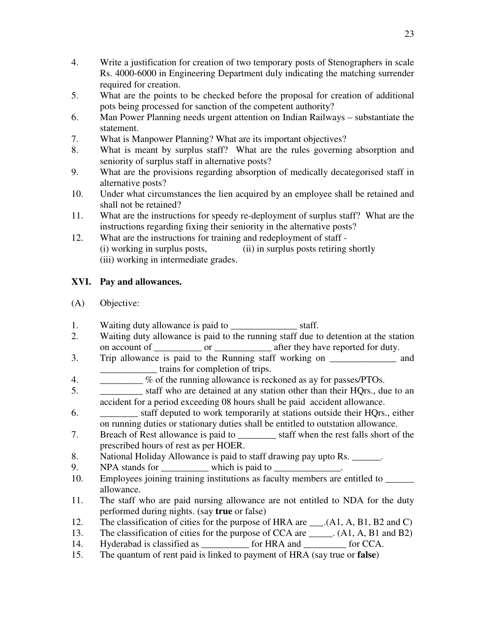- 4. Write a justification for creation of two temporary posts of Stenographers in scale Rs. 4000-6000 in Engineering Department duly indicating the matching surrender required for creation.
- 5. What are the points to be checked before the proposal for creation of additional pots being processed for sanction of the competent authority?
- 6. Man Power Planning needs urgent attention on Indian Railways substantiate the statement.
- 7. What is Manpower Planning? What are its important objectives?
- 8. What is meant by surplus staff? What are the rules governing absorption and seniority of surplus staff in alternative posts?
- 9. What are the provisions regarding absorption of medically decategorised staff in alternative posts?
- 10. Under what circumstances the lien acquired by an employee shall be retained and shall not be retained?
- 11. What are the instructions for speedy re-deployment of surplus staff? What are the instructions regarding fixing their seniority in the alternative posts?
- 12. What are the instructions for training and redeployment of staff (i) working in surplus posts, (ii) in surplus posts retiring shortly (iii) working in intermediate grades.

# **XVI. Pay and allowances.**

- (A) Objective:
- 1. Waiting duty allowance is paid to \_\_\_\_\_\_\_\_\_\_\_\_\_\_\_\_\_\_\_\_ staff.
- 2. Waiting duty allowance is paid to the running staff due to detention at the station on account of \_\_\_\_\_\_\_\_\_\_\_ or \_\_\_\_\_\_\_\_\_\_\_\_\_\_ after they have reported for duty.
- 3. Trip allowance is paid to the Running staff working on and \_\_\_\_\_\_\_\_\_\_\_\_ trains for completion of trips.
- 4. \_\_\_\_\_\_\_\_\_ % of the running allowance is reckoned as ay for passes/PTOs.
- 5. \_\_\_\_\_\_\_\_\_ staff who are detained at any station other than their HQrs., due to an accident for a period exceeding 08 hours shall be paid accident allowance.
- 6. \_\_\_\_\_\_\_\_ staff deputed to work temporarily at stations outside their HQrs., either on running duties or stationary duties shall be entitled to outstation allowance.
- 7. Breach of Rest allowance is paid to \_\_\_\_\_\_\_\_ staff when the rest falls short of the prescribed hours of rest as per HOER.
- 8. National Holiday Allowance is paid to staff drawing pay upto Rs. \_\_\_\_\_\_.
- 9. NPA stands for which is paid to  $\blacksquare$
- 10. Employees joining training institutions as faculty members are entitled to \_\_\_\_\_\_ allowance.
- 11. The staff who are paid nursing allowance are not entitled to NDA for the duty performed during nights. (say **true** or false)
- 12. The classification of cities for the purpose of HRA are \_\_\_.(A1, A, B1, B2 and C)
- 13. The classification of cities for the purpose of CCA are \_\_\_\_\_. (A1, A, B1 and B2)
- 14. Hyderabad is classified as  $\qquad \qquad$  for HRA and  $\qquad \qquad$  for CCA.
- 15. The quantum of rent paid is linked to payment of HRA (say true or **false**)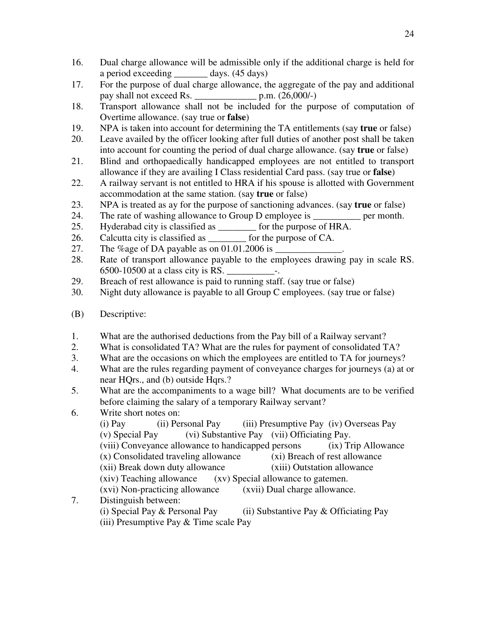- 16. Dual charge allowance will be admissible only if the additional charge is held for a period exceeding days. (45 days)
- 17. For the purpose of dual charge allowance, the aggregate of the pay and additional pay shall not exceed Rs.  $p.m. (26,000/-)$
- 18. Transport allowance shall not be included for the purpose of computation of Overtime allowance. (say true or **false**)
- 19. NPA is taken into account for determining the TA entitlements (say **true** or false)
- 20. Leave availed by the officer looking after full duties of another post shall be taken into account for counting the period of dual charge allowance. (say **true** or false)
- 21. Blind and orthopaedically handicapped employees are not entitled to transport allowance if they are availing I Class residential Card pass. (say true or **false**)
- 22. A railway servant is not entitled to HRA if his spouse is allotted with Government accommodation at the same station. (say **true** or false)
- 23. NPA is treated as ay for the purpose of sanctioning advances. (say **true** or false)
- 24. The rate of washing allowance to Group D employee is  $per$  per month.
- 25. Hyderabad city is classified as \_\_\_\_\_\_\_\_ for the purpose of HRA.
- 26. Calcutta city is classified as  $\qquad \qquad$  for the purpose of CA.
- 27. The %age of DA payable as on  $01.01.2006$  is  $\_$
- 28. Rate of transport allowance payable to the employees drawing pay in scale RS. 6500-10500 at a class city is RS. \_\_\_\_\_\_\_\_\_\_-.
- 29. Breach of rest allowance is paid to running staff. (say true or false)
- 30. Night duty allowance is payable to all Group C employees. (say true or false)
- (B) Descriptive:
- 1. What are the authorised deductions from the Pay bill of a Railway servant?
- 2. What is consolidated TA? What are the rules for payment of consolidated TA?
- 3. What are the occasions on which the employees are entitled to TA for journeys?
- 4. What are the rules regarding payment of conveyance charges for journeys (a) at or near HQrs., and (b) outside Hqrs.?
- 5. What are the accompaniments to a wage bill? What documents are to be verified before claiming the salary of a temporary Railway servant?
- 6. Write short notes on:
- (i) Pay (ii) Personal Pay (iii) Presumptive Pay (iv) Overseas Pay (v) Special Pay (vi) Substantive Pay (vii) Officiating Pay. (viii) Conveyance allowance to handicapped persons (ix) Trip Allowance (x) Consolidated traveling allowance (xi) Breach of rest allowance  $(x)$  Consolidated traveling allowance (xii) Break down duty allowance (xiii) Outstation allowance (xiv) Teaching allowance (xv) Special allowance to gatemen. (xvi) Non-practicing allowance (xvii) Dual charge allowance. 7. Distinguish between:
	- (i) Special Pay  $\&$  Personal Pay (ii) Substantive Pay  $\&$  Officiating Pay (iii) Presumptive Pay & Time scale Pay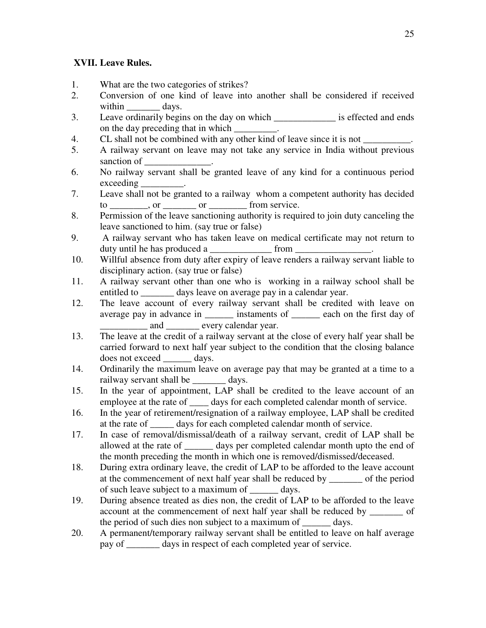# **XVII. Leave Rules.**

- 1. What are the two categories of strikes?
- 2. Conversion of one kind of leave into another shall be considered if received within days.
- 3. Leave ordinarily begins on the day on which \_\_\_\_\_\_\_\_\_\_\_\_\_ is effected and ends on the day preceding that in which \_\_\_\_\_\_\_\_.
- 4. CL shall not be combined with any other kind of leave since it is not \_\_\_\_\_\_\_\_.
- 5. A railway servant on leave may not take any service in India without previous sanction of
- 6. No railway servant shall be granted leave of any kind for a continuous period exceeding \_\_\_\_\_\_\_\_\_.
- 7. Leave shall not be granted to a railway whom a competent authority has decided  $to$  \_\_\_\_\_\_, or \_\_\_\_\_\_\_\_ or \_\_\_\_\_\_\_\_\_ from service.
- 8. Permission of the leave sanctioning authority is required to join duty canceling the leave sanctioned to him. (say true or false)
- 9. A railway servant who has taken leave on medical certificate may not return to duty until he has produced a set of from  $\mathbf{r}$
- 10. Willful absence from duty after expiry of leave renders a railway servant liable to disciplinary action. (say true or false)
- 11. A railway servant other than one who is working in a railway school shall be entitled to days leave on average pay in a calendar year.
- 12. The leave account of every railway servant shall be credited with leave on average pay in advance in \_\_\_\_\_\_ instaments of \_\_\_\_\_\_ each on the first day of and  $\qquad \qquad$  every calendar year.
- 13. The leave at the credit of a railway servant at the close of every half year shall be carried forward to next half year subject to the condition that the closing balance does not exceed days.
- 14. Ordinarily the maximum leave on average pay that may be granted at a time to a railway servant shall be days.
- 15. In the year of appointment, LAP shall be credited to the leave account of an employee at the rate of days for each completed calendar month of service.
- 16. In the year of retirement/resignation of a railway employee, LAP shall be credited at the rate of \_\_\_\_\_ days for each completed calendar month of service.
- 17. In case of removal/dismissal/death of a railway servant, credit of LAP shall be allowed at the rate of days per completed calendar month upto the end of the month preceding the month in which one is removed/dismissed/deceased.
- 18. During extra ordinary leave, the credit of LAP to be afforded to the leave account at the commencement of next half year shall be reduced by \_\_\_\_\_\_\_ of the period of such leave subject to a maximum of \_\_\_\_\_\_ days.
- 19. During absence treated as dies non, the credit of LAP to be afforded to the leave account at the commencement of next half year shall be reduced by of the period of such dies non subject to a maximum of \_\_\_\_\_\_ days.
- 20. A permanent/temporary railway servant shall be entitled to leave on half average pay of \_\_\_\_\_\_\_ days in respect of each completed year of service.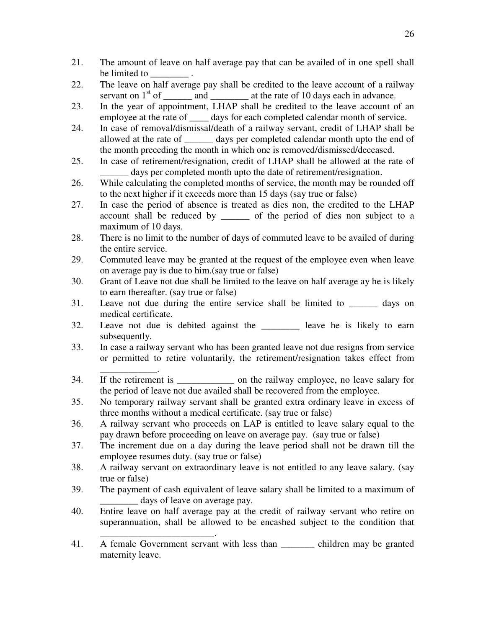- 21. The amount of leave on half average pay that can be availed of in one spell shall be limited to
- 22. The leave on half average pay shall be credited to the leave account of a railway servant on  $1<sup>st</sup>$  of  $\_\_\_\_\_\$  and  $\_\_\_\_\_\_\_\$ at the rate of 10 days each in advance.
- 23. In the year of appointment, LHAP shall be credited to the leave account of an employee at the rate of \_\_\_\_ days for each completed calendar month of service.
- 24. In case of removal/dismissal/death of a railway servant, credit of LHAP shall be allowed at the rate of \_\_\_\_\_\_ days per completed calendar month upto the end of the month preceding the month in which one is removed/dismissed/deceased.
- 25. In case of retirement/resignation, credit of LHAP shall be allowed at the rate of days per completed month upto the date of retirement/resignation.
- 26. While calculating the completed months of service, the month may be rounded off to the next higher if it exceeds more than 15 days (say true or false)
- 27. In case the period of absence is treated as dies non, the credited to the LHAP account shall be reduced by \_\_\_\_\_\_ of the period of dies non subject to a maximum of 10 days.
- 28. There is no limit to the number of days of commuted leave to be availed of during the entire service.
- 29. Commuted leave may be granted at the request of the employee even when leave on average pay is due to him.(say true or false)
- 30. Grant of Leave not due shall be limited to the leave on half average ay he is likely to earn thereafter. (say true or false)
- 31. Leave not due during the entire service shall be limited to \_\_\_\_\_\_ days on medical certificate.
- 32. Leave not due is debited against the \_\_\_\_\_\_\_\_ leave he is likely to earn subsequently.
- 33. In case a railway servant who has been granted leave not due resigns from service or permitted to retire voluntarily, the retirement/resignation takes effect from
- \_\_\_\_\_\_\_\_\_\_\_\_. 34. If the retirement is \_\_\_\_\_\_\_\_\_\_\_\_ on the railway employee, no leave salary for the period of leave not due availed shall be recovered from the employee.
- 35. No temporary railway servant shall be granted extra ordinary leave in excess of three months without a medical certificate. (say true or false)
- 36. A railway servant who proceeds on LAP is entitled to leave salary equal to the pay drawn before proceeding on leave on average pay. (say true or false)
- 37. The increment due on a day during the leave period shall not be drawn till the employee resumes duty. (say true or false)
- 38. A railway servant on extraordinary leave is not entitled to any leave salary. (say true or false)
- 39. The payment of cash equivalent of leave salary shall be limited to a maximum of days of leave on average pay.
- 40. Entire leave on half average pay at the credit of railway servant who retire on superannuation, shall be allowed to be encashed subject to the condition that

\_\_\_\_\_\_\_\_\_\_\_\_\_\_\_\_\_\_\_\_\_\_\_\_.

<sup>41.</sup> A female Government servant with less than \_\_\_\_\_\_\_ children may be granted maternity leave.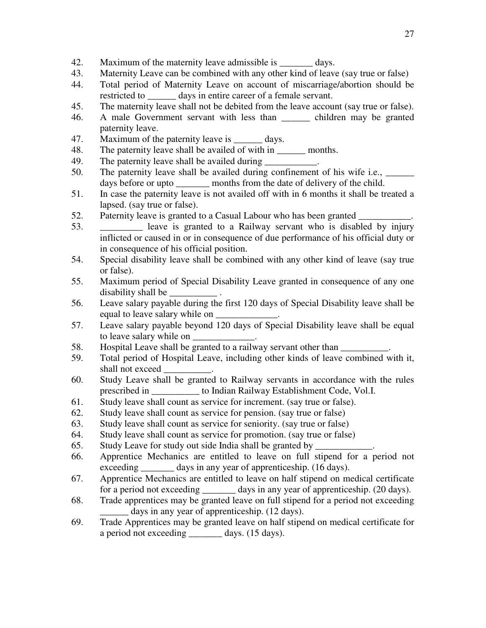- 42. Maximum of the maternity leave admissible is \_\_\_\_\_\_\_ days.
- 43. Maternity Leave can be combined with any other kind of leave (say true or false)
- 44. Total period of Maternity Leave on account of miscarriage/abortion should be restricted to \_\_\_\_\_\_\_ days in entire career of a female servant.
- 45. The maternity leave shall not be debited from the leave account (say true or false).
- 46. A male Government servant with less than \_\_\_\_\_\_ children may be granted paternity leave.
- 47. Maximum of the paternity leave is \_\_\_\_\_\_ days.
- 48. The paternity leave shall be availed of with in \_\_\_\_\_\_\_ months.
- 49. The paternity leave shall be availed during
- 50. The paternity leave shall be availed during confinement of his wife i.e.,  $\qquad \qquad$ days before or upto months from the date of delivery of the child.
- 51. In case the paternity leave is not availed off with in 6 months it shall be treated a lapsed. (say true or false).
- 52. Paternity leave is granted to a Casual Labour who has been granted
- 53. \_\_\_\_\_\_\_\_\_ leave is granted to a Railway servant who is disabled by injury inflicted or caused in or in consequence of due performance of his official duty or in consequence of his official position.
- 54. Special disability leave shall be combined with any other kind of leave (say true or false).
- 55. Maximum period of Special Disability Leave granted in consequence of any one disability shall be
- 56. Leave salary payable during the first 120 days of Special Disability leave shall be equal to leave salary while on
- 57. Leave salary payable beyond 120 days of Special Disability leave shall be equal to leave salary while on
- 58. Hospital Leave shall be granted to a railway servant other than
- 59. Total period of Hospital Leave, including other kinds of leave combined with it, shall not exceed
- 60. Study Leave shall be granted to Railway servants in accordance with the rules prescribed in \_\_\_\_\_\_\_\_\_\_ to Indian Railway Establishment Code, Vol.I.
- 61. Study leave shall count as service for increment. (say true or false).
- 62. Study leave shall count as service for pension. (say true or false)
- 63. Study leave shall count as service for seniority. (say true or false)
- 64. Study leave shall count as service for promotion. (say true or false)
- 65. Study Leave for study out side India shall be granted by
- 66. Apprentice Mechanics are entitled to leave on full stipend for a period not exceeding days in any year of apprenticeship. (16 days).
- 67. Apprentice Mechanics are entitled to leave on half stipend on medical certificate for a period not exceeding days in any year of apprenticeship. (20 days).
- 68. Trade apprentices may be granted leave on full stipend for a period not exceeding days in any year of apprenticeship. (12 days).
- 69. Trade Apprentices may be granted leave on half stipend on medical certificate for a period not exceeding \_\_\_\_\_\_\_ days. (15 days).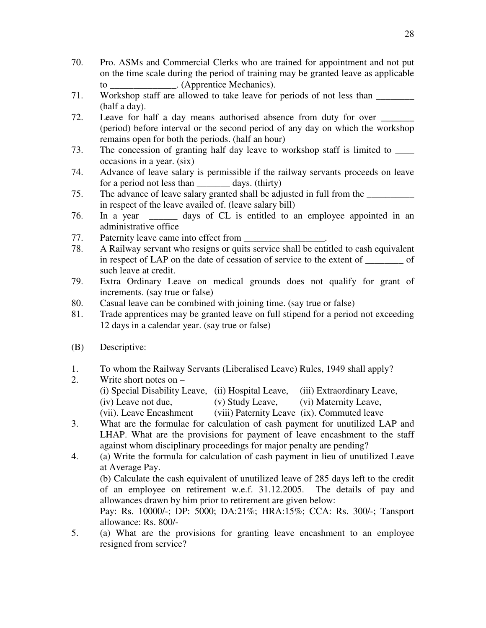- 70. Pro. ASMs and Commercial Clerks who are trained for appointment and not put on the time scale during the period of training may be granted leave as applicable to . (Apprentice Mechanics).
- 71. Workshop staff are allowed to take leave for periods of not less than \_\_\_\_\_\_\_\_ (half a day).
- 72. Leave for half a day means authorised absence from duty for over (period) before interval or the second period of any day on which the workshop remains open for both the periods. (half an hour)
- 73. The concession of granting half day leave to workshop staff is limited to \_\_\_\_ occasions in a year. (six)
- 74. Advance of leave salary is permissible if the railway servants proceeds on leave for a period not less than days. (thirty)
- 75. The advance of leave salary granted shall be adjusted in full from the in respect of the leave availed of. (leave salary bill)
- 76. In a year \_\_\_\_\_\_ days of CL is entitled to an employee appointed in an administrative office
- 77. Paternity leave came into effect from
- 78. A Railway servant who resigns or quits service shall be entitled to cash equivalent in respect of LAP on the date of cessation of service to the extent of \_\_\_\_\_\_\_\_ of such leave at credit.
- 79. Extra Ordinary Leave on medical grounds does not qualify for grant of increments. (say true or false)
- 80. Casual leave can be combined with joining time. (say true or false)
- 81. Trade apprentices may be granted leave on full stipend for a period not exceeding 12 days in a calendar year. (say true or false)
- (B) Descriptive:
- 1. To whom the Railway Servants (Liberalised Leave) Rules, 1949 shall apply?
- 2. Write short notes on (i) Special Disability Leave, (ii) Hospital Leave, (iii) Extraordinary Leave, (iv) Leave not due, (v) Study Leave, (vi) Maternity Leave, (vii). Leave Encashment (viii) Paternity Leave (ix). Commuted leave
- 3. What are the formulae for calculation of cash payment for unutilized LAP and LHAP. What are the provisions for payment of leave encashment to the staff against whom disciplinary proceedings for major penalty are pending?
- 4. (a) Write the formula for calculation of cash payment in lieu of unutilized Leave at Average Pay. (b) Calculate the cash equivalent of unutilized leave of 285 days left to the credit of an employee on retirement w.e.f. 31.12.2005. The details of pay and allowances drawn by him prior to retirement are given below: Pay: Rs. 10000/-; DP: 5000; DA:21%; HRA:15%; CCA: Rs. 300/-; Tansport allowance: Rs. 800/-
- 5. (a) What are the provisions for granting leave encashment to an employee resigned from service?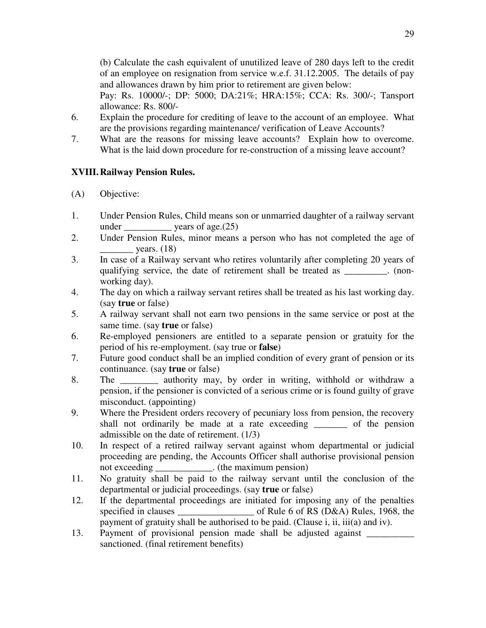(b) Calculate the cash equivalent of unutilized leave of 280 days left to the credit of an employee on resignation from service w.e.f. 31.12.2005. The details of pay and allowances drawn by him prior to retirement are given below:

Pay: Rs. 10000/-; DP: 5000; DA:21%; HRA:15%; CCA: Rs. 300/-; Tansport allowance: Rs. 800/-

- 6. Explain the procedure for crediting of leave to the account of an employee. What are the provisions regarding maintenance/ verification of Leave Accounts?
- 7. What are the reasons for missing leave accounts? Explain how to overcome. What is the laid down procedure for re-construction of a missing leave account?

# **XVIII. Railway Pension Rules.**

- (A) Objective:
- 1. Under Pension Rules, Child means son or unmarried daughter of a railway servant under  $\frac{\text{years of age}(25)}{25}$
- 2. Under Pension Rules, minor means a person who has not completed the age of years.  $(18)$
- 3. In case of a Railway servant who retires voluntarily after completing 20 years of qualifying service, the date of retirement shall be treated as \_\_\_\_\_\_\_\_\_. (nonworking day).
- 4. The day on which a railway servant retires shall be treated as his last working day. (say **true** or false)
- 5. A railway servant shall not earn two pensions in the same service or post at the same time. (say **true** or false)
- 6. Re-employed pensioners are entitled to a separate pension or gratuity for the period of his re-employment. (say true or **false**)
- 7. Future good conduct shall be an implied condition of every grant of pension or its continuance. (say **true** or false)
- 8. The authority may, by order in writing, withhold or withdraw a pension, if the pensioner is convicted of a serious crime or is found guilty of grave misconduct. (appointing)
- 9. Where the President orders recovery of pecuniary loss from pension, the recovery shall not ordinarily be made at a rate exceeding \_\_\_\_\_\_\_ of the pension admissible on the date of retirement. (1/3)
- 10. In respect of a retired railway servant against whom departmental or judicial proceeding are pending, the Accounts Officer shall authorise provisional pension not exceeding  $\qquad \qquad$  . (the maximum pension)
- 11. No gratuity shall be paid to the railway servant until the conclusion of the departmental or judicial proceedings. (say **true** or false)
- 12. If the departmental proceedings are initiated for imposing any of the penalties specified in clauses of Rule 6 of RS (D&A) Rules, 1968, the payment of gratuity shall be authorised to be paid. (Clause i, ii, iii(a) and iv).
- 13. Payment of provisional pension made shall be adjusted against \_\_\_\_\_\_\_\_\_\_ sanctioned. (final retirement benefits)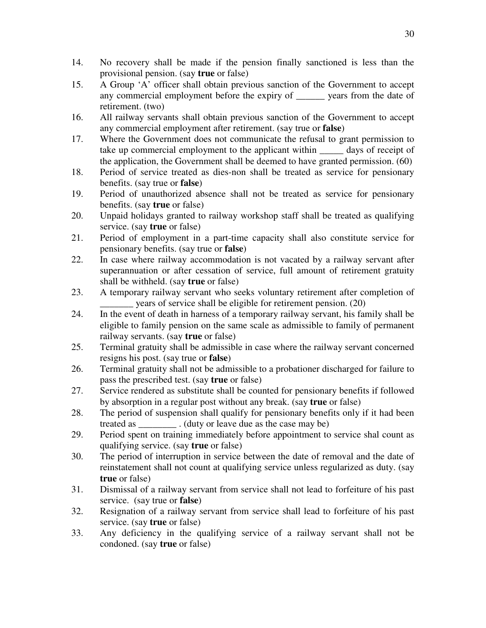- 14. No recovery shall be made if the pension finally sanctioned is less than the provisional pension. (say **true** or false)
- 15. A Group 'A' officer shall obtain previous sanction of the Government to accept any commercial employment before the expiry of \_\_\_\_\_\_ years from the date of retirement. (two)
- 16. All railway servants shall obtain previous sanction of the Government to accept any commercial employment after retirement. (say true or **false**)
- 17. Where the Government does not communicate the refusal to grant permission to take up commercial employment to the applicant within \_\_\_\_\_ days of receipt of the application, the Government shall be deemed to have granted permission. (60)
- 18. Period of service treated as dies-non shall be treated as service for pensionary benefits. (say true or **false**)
- 19. Period of unauthorized absence shall not be treated as service for pensionary benefits. (say **true** or false)
- 20. Unpaid holidays granted to railway workshop staff shall be treated as qualifying service. (say **true** or false)
- 21. Period of employment in a part-time capacity shall also constitute service for pensionary benefits. (say true or **false**)
- 22. In case where railway accommodation is not vacated by a railway servant after superannuation or after cessation of service, full amount of retirement gratuity shall be withheld. (say **true** or false)
- 23. A temporary railway servant who seeks voluntary retirement after completion of \_\_\_\_\_\_\_ years of service shall be eligible for retirement pension. (20)
- 24. In the event of death in harness of a temporary railway servant, his family shall be eligible to family pension on the same scale as admissible to family of permanent railway servants. (say **true** or false)
- 25. Terminal gratuity shall be admissible in case where the railway servant concerned resigns his post. (say true or **false**)
- 26. Terminal gratuity shall not be admissible to a probationer discharged for failure to pass the prescribed test. (say **true** or false)
- 27. Service rendered as substitute shall be counted for pensionary benefits if followed by absorption in a regular post without any break. (say **true** or false)
- 28. The period of suspension shall qualify for pensionary benefits only if it had been treated as \_\_\_\_\_\_\_\_ . (duty or leave due as the case may be)
- 29. Period spent on training immediately before appointment to service shal count as qualifying service. (say **true** or false)
- 30. The period of interruption in service between the date of removal and the date of reinstatement shall not count at qualifying service unless regularized as duty. (say **true** or false)
- 31. Dismissal of a railway servant from service shall not lead to forfeiture of his past service. (say true or **false**)
- 32. Resignation of a railway servant from service shall lead to forfeiture of his past service. (say **true** or false)
- 33. Any deficiency in the qualifying service of a railway servant shall not be condoned. (say **true** or false)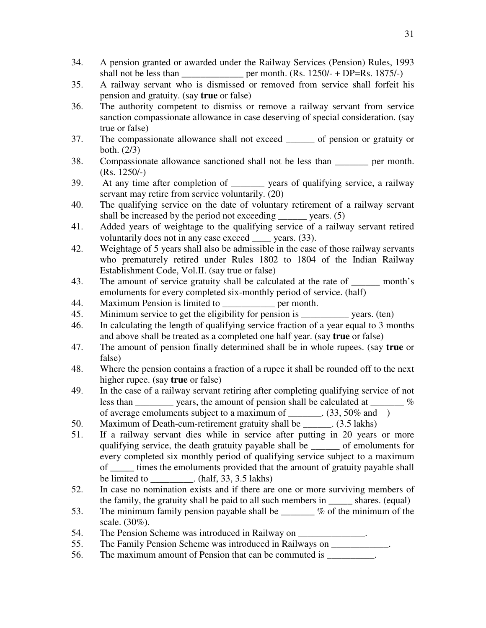- 34. A pension granted or awarded under the Railway Services (Pension) Rules, 1993 shall not be less than \_\_\_\_\_\_\_\_\_\_\_\_\_\_ per month.  $(Rs. 1250/- + DP=Rs. 1875/-)$
- 35. A railway servant who is dismissed or removed from service shall forfeit his pension and gratuity. (say **true** or false)
- 36. The authority competent to dismiss or remove a railway servant from service sanction compassionate allowance in case deserving of special consideration. (say true or false)
- 37. The compassionate allowance shall not exceed \_\_\_\_\_\_ of pension or gratuity or both. (2/3)
- 38. Compassionate allowance sanctioned shall not be less than \_\_\_\_\_\_\_ per month. (Rs. 1250/-)
- 39. At any time after completion of \_\_\_\_\_\_\_ years of qualifying service, a railway servant may retire from service voluntarily. (20)
- 40. The qualifying service on the date of voluntary retirement of a railway servant shall be increased by the period not exceeding  $\qquad \qquad$  years. (5)
- 41. Added years of weightage to the qualifying service of a railway servant retired voluntarily does not in any case exceed vears. (33).
- 42. Weightage of 5 years shall also be admissible in the case of those railway servants who prematurely retired under Rules 1802 to 1804 of the Indian Railway Establishment Code, Vol.II. (say true or false)
- 43. The amount of service gratuity shall be calculated at the rate of <u>second</u> month's emoluments for every completed six-monthly period of service. (half)
- 44. Maximum Pension is limited to per month.
- 45. Minimum service to get the eligibility for pension is \_\_\_\_\_\_\_\_\_\_ years. (ten)
- 46. In calculating the length of qualifying service fraction of a year equal to 3 months and above shall be treated as a completed one half year. (say **true** or false)
- 47. The amount of pension finally determined shall be in whole rupees. (say **true** or false)
- 48. Where the pension contains a fraction of a rupee it shall be rounded off to the next higher rupee. (say **true** or false)
- 49. In the case of a railway servant retiring after completing qualifying service of not less than  $\frac{1}{\sqrt{2}}$  years, the amount of pension shall be calculated at  $\frac{1}{\sqrt{2}}$ of average emoluments subject to a maximum of \_\_\_\_\_\_. (33, 50% and )
- 50. Maximum of Death-cum-retirement gratuity shall be \_\_\_\_\_\_. (3.5 lakhs)
- 51. If a railway servant dies while in service after putting in 20 years or more qualifying service, the death gratuity payable shall be of emoluments for every completed six monthly period of qualifying service subject to a maximum of \_\_\_\_\_ times the emoluments provided that the amount of gratuity payable shall be limited to  $\qquad \qquad$  . (half, 33, 3.5 lakhs)
- 52. In case no nomination exists and if there are one or more surviving members of the family, the gratuity shall be paid to all such members in \_\_\_\_\_ shares. (equal)
- 53. The minimum family pension payable shall be  $\%$  of the minimum of the scale. (30%).
- 54. The Pension Scheme was introduced in Railway on \_\_\_\_\_\_\_\_\_\_\_\_\_.
- 55. The Family Pension Scheme was introduced in Railways on \_\_\_\_\_\_\_\_\_\_\_\_.
- 56. The maximum amount of Pension that can be commuted is  $\blacksquare$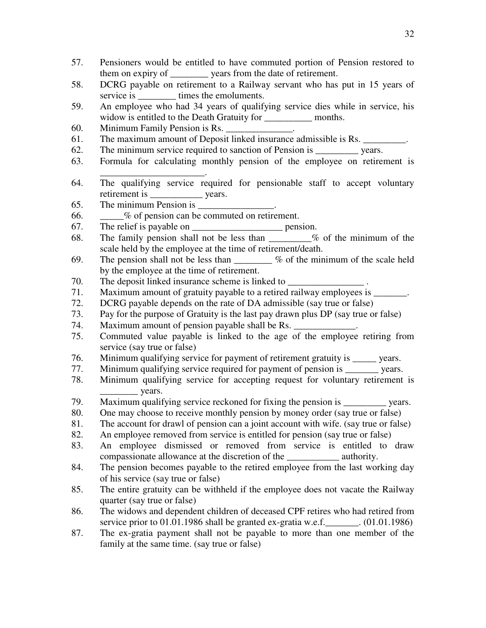- 57. Pensioners would be entitled to have commuted portion of Pension restored to them on expiry of \_\_\_\_\_\_\_\_ years from the date of retirement.
- 58. DCRG payable on retirement to a Railway servant who has put in 15 years of service is \_\_\_\_\_\_\_\_\_\_ times the emoluments.
- 59. An employee who had 34 years of qualifying service dies while in service, his widow is entitled to the Death Gratuity for \_\_\_\_\_\_\_\_\_\_\_\_\_ months.
- 60. Minimum Family Pension is Rs.
- 61. The maximum amount of Deposit linked insurance admissible is Rs. \_\_\_\_\_\_\_\_.
- 62. The minimum service required to sanction of Pension is \_\_\_\_\_\_\_\_\_ years.
- 63. Formula for calculating monthly pension of the employee on retirement is \_\_\_\_\_\_\_\_\_\_\_\_\_\_\_\_\_\_\_\_\_\_.
- 64. The qualifying service required for pensionable staff to accept voluntary retirement is vears.
- 65. The minimum Pension is  $\Box$
- 66. \_\_\_\_\_% of pension can be commuted on retirement.
- 67. The relief is payable on <u>equal</u> pension.
- 68. The family pension shall not be less than  $\%$  of the minimum of the scale held by the employee at the time of retirement/death.
- 69. The pension shall not be less than  $\%$  of the minimum of the scale held by the employee at the time of retirement.
- 70. The deposit linked insurance scheme is linked to
- 71. Maximum amount of gratuity payable to a retired railway employees is
- 72. DCRG payable depends on the rate of DA admissible (say true or false)
- 73. Pay for the purpose of Gratuity is the last pay drawn plus DP (say true or false)
- 74. Maximum amount of pension payable shall be Rs.
- 75. Commuted value payable is linked to the age of the employee retiring from service (say true or false)
- 76. Minimum qualifying service for payment of retirement gratuity is \_\_\_\_\_ years.
- 77. Minimum qualifying service required for payment of pension is \_\_\_\_\_\_\_ years.
- 78. Minimum qualifying service for accepting request for voluntary retirement is years.
- 79. Maximum qualifying service reckoned for fixing the pension is vears.
- 80. One may choose to receive monthly pension by money order (say true or false)
- 81. The account for drawl of pension can a joint account with wife. (say true or false)
- 82. An employee removed from service is entitled for pension (say true or false)
- 83. An employee dismissed or removed from service is entitled to draw compassionate allowance at the discretion of the \_\_\_\_\_\_\_\_\_\_\_ authority.
- 84. The pension becomes payable to the retired employee from the last working day of his service (say true or false)
- 85. The entire gratuity can be withheld if the employee does not vacate the Railway quarter (say true or false)
- 86. The widows and dependent children of deceased CPF retires who had retired from service prior to 01.01.1986 shall be granted ex-gratia w.e.f. (01.01.1986)
- 87. The ex-gratia payment shall not be payable to more than one member of the family at the same time. (say true or false)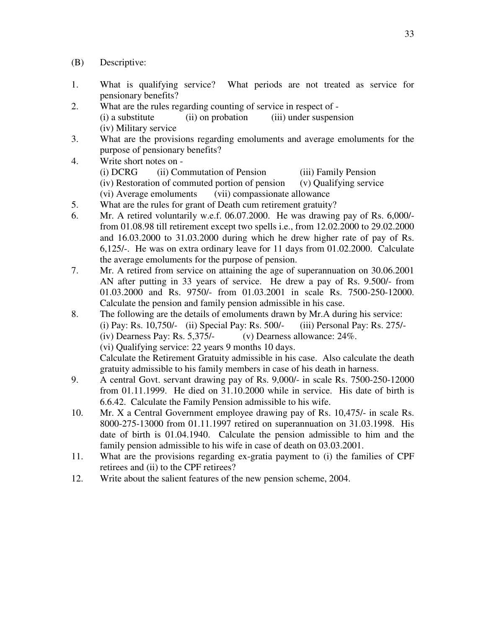- (B) Descriptive:
- 1. What is qualifying service? What periods are not treated as service for pensionary benefits?
- 2. What are the rules regarding counting of service in respect of (i) a substitute (ii) on probation (iii) under suspension (iv) Military service
- 3. What are the provisions regarding emoluments and average emoluments for the purpose of pensionary benefits?
- 4. Write short notes on (i) DCRG (ii) Commutation of Pension (iii) Family Pension (iv) Restoration of commuted portion of pension (v) Qualifying service (vi) Average emoluments (vii) compassionate allowance
- 5. What are the rules for grant of Death cum retirement gratuity?
- 6. Mr. A retired voluntarily w.e.f. 06.07.2000. He was drawing pay of Rs. 6,000/ from 01.08.98 till retirement except two spells i.e., from 12.02.2000 to 29.02.2000 and 16.03.2000 to 31.03.2000 during which he drew higher rate of pay of Rs. 6,125/-. He was on extra ordinary leave for 11 days from 01.02.2000. Calculate the average emoluments for the purpose of pension.
- 7. Mr. A retired from service on attaining the age of superannuation on 30.06.2001 AN after putting in 33 years of service. He drew a pay of Rs. 9.500/- from 01.03.2000 and Rs. 9750/- from 01.03.2001 in scale Rs. 7500-250-12000. Calculate the pension and family pension admissible in his case.
- 8. The following are the details of emoluments drawn by Mr.A during his service: (i) Pay: Rs. 10,750/- (ii) Special Pay: Rs. 500/- (iii) Personal Pay: Rs. 275/- (iv) Dearness Pay: Rs. 5,375/- (v) Dearness allowance: 24%. (vi) Qualifying service: 22 years 9 months 10 days. Calculate the Retirement Gratuity admissible in his case. Also calculate the death gratuity admissible to his family members in case of his death in harness.
- 9. A central Govt. servant drawing pay of Rs. 9,000/- in scale Rs. 7500-250-12000 from 01.11.1999. He died on 31.10.2000 while in service. His date of birth is 6.6.42. Calculate the Family Pension admissible to his wife.
- 10. Mr. X a Central Government employee drawing pay of Rs. 10,475/- in scale Rs. 8000-275-13000 from 01.11.1997 retired on superannuation on 31.03.1998. His date of birth is 01.04.1940. Calculate the pension admissible to him and the family pension admissible to his wife in case of death on 03.03.2001.
- 11. What are the provisions regarding ex-gratia payment to (i) the families of CPF retirees and (ii) to the CPF retirees?
- 12. Write about the salient features of the new pension scheme, 2004.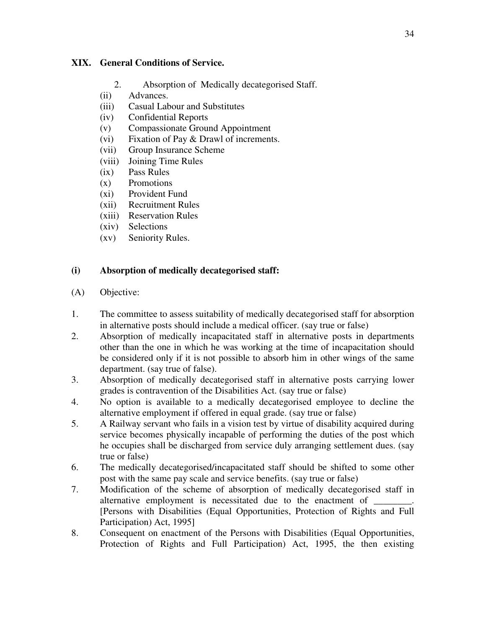#### **XIX. General Conditions of Service.**

- 2. Absorption of Medically decategorised Staff.
- (ii) Advances.
- (iii) Casual Labour and Substitutes
- (iv) Confidential Reports
- (v) Compassionate Ground Appointment
- (vi) Fixation of Pay & Drawl of increments.
- (vii) Group Insurance Scheme
- (viii) Joining Time Rules
- (ix) Pass Rules
- (x) Promotions
- (xi) Provident Fund
- (xii) Recruitment Rules
- (xiii) Reservation Rules
- (xiv) Selections
- (xv) Seniority Rules.

# **(i) Absorption of medically decategorised staff:**

- (A) Objective:
- 1. The committee to assess suitability of medically decategorised staff for absorption in alternative posts should include a medical officer. (say true or false)
- 2. Absorption of medically incapacitated staff in alternative posts in departments other than the one in which he was working at the time of incapacitation should be considered only if it is not possible to absorb him in other wings of the same department. (say true of false).
- 3. Absorption of medically decategorised staff in alternative posts carrying lower grades is contravention of the Disabilities Act. (say true or false)
- 4. No option is available to a medically decategorised employee to decline the alternative employment if offered in equal grade. (say true or false)
- 5. A Railway servant who fails in a vision test by virtue of disability acquired during service becomes physically incapable of performing the duties of the post which he occupies shall be discharged from service duly arranging settlement dues. (say true or false)
- 6. The medically decategorised/incapacitated staff should be shifted to some other post with the same pay scale and service benefits. (say true or false)
- 7. Modification of the scheme of absorption of medically decategorised staff in alternative employment is necessitated due to the enactment of [Persons with Disabilities (Equal Opportunities, Protection of Rights and Full Participation) Act, 1995]
- 8. Consequent on enactment of the Persons with Disabilities (Equal Opportunities, Protection of Rights and Full Participation) Act, 1995, the then existing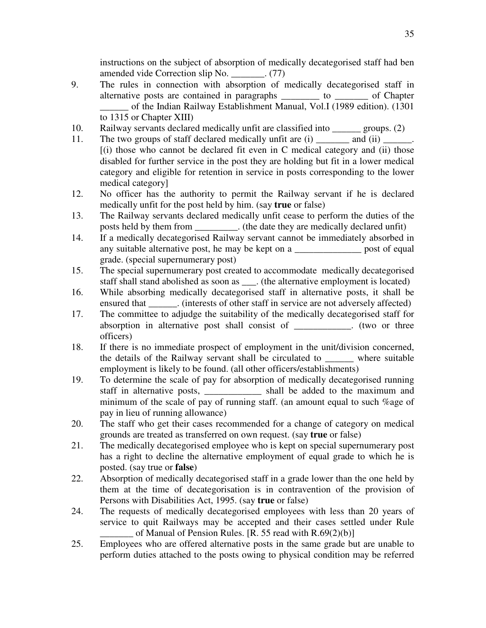instructions on the subject of absorption of medically decategorised staff had ben amended vide Correction slip No.  $(77)$ 

- 9. The rules in connection with absorption of medically decategorised staff in alternative posts are contained in paragraphs \_\_\_\_\_\_\_\_ to \_\_\_\_\_\_\_ of Chapter \_\_\_\_\_\_ of the Indian Railway Establishment Manual, Vol.I (1989 edition). (1301 to 1315 or Chapter XIII)
- 10. Railway servants declared medically unfit are classified into \_\_\_\_\_\_ groups. (2)
- 11. The two groups of staff declared medically unfit are (i) \_\_\_\_\_\_\_\_ and (ii) \_\_\_\_\_\_\_\_  $[(i)$  those who cannot be declared fit even in C medical category and  $(ii)$  those disabled for further service in the post they are holding but fit in a lower medical category and eligible for retention in service in posts corresponding to the lower medical category]
- 12. No officer has the authority to permit the Railway servant if he is declared medically unfit for the post held by him. (say **true** or false)
- 13. The Railway servants declared medically unfit cease to perform the duties of the posts held by them from \_\_\_\_\_\_\_\_\_. (the date they are medically declared unfit)
- 14. If a medically decategorised Railway servant cannot be immediately absorbed in any suitable alternative post, he may be kept on a \_\_\_\_\_\_\_\_\_\_\_\_\_\_\_\_ post of equal grade. (special supernumerary post)
- 15. The special supernumerary post created to accommodate medically decategorised staff shall stand abolished as soon as \_\_\_. (the alternative employment is located)
- 16. While absorbing medically decategorised staff in alternative posts, it shall be ensured that \_\_\_\_\_\_\_. (interests of other staff in service are not adversely affected)
- 17. The committee to adjudge the suitability of the medically decategorised staff for absorption in alternative post shall consist of two or three officers)
- 18. If there is no immediate prospect of employment in the unit/division concerned, the details of the Railway servant shall be circulated to \_\_\_\_\_\_ where suitable employment is likely to be found. (all other officers/establishments)
- 19. To determine the scale of pay for absorption of medically decategorised running staff in alternative posts, shall be added to the maximum and minimum of the scale of pay of running staff. (an amount equal to such %age of pay in lieu of running allowance)
- 20. The staff who get their cases recommended for a change of category on medical grounds are treated as transferred on own request. (say **true** or false)
- 21. The medically decategorised employee who is kept on special supernumerary post has a right to decline the alternative employment of equal grade to which he is posted. (say true or **false**)
- 22. Absorption of medically decategorised staff in a grade lower than the one held by them at the time of decategorisation is in contravention of the provision of Persons with Disabilities Act, 1995. (say **true** or false)
- 24. The requests of medically decategorised employees with less than 20 years of service to quit Railways may be accepted and their cases settled under Rule of Manual of Pension Rules.  $[R. 55$  read with  $R.69(2)(b)$ ]
- 25. Employees who are offered alternative posts in the same grade but are unable to perform duties attached to the posts owing to physical condition may be referred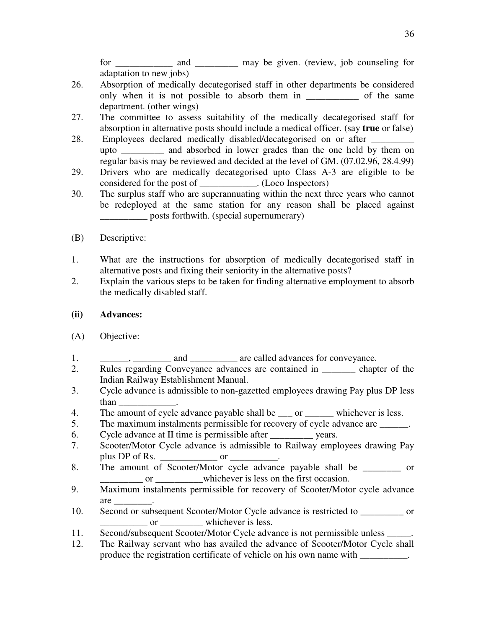for \_\_\_\_\_\_\_\_\_\_\_\_\_ and \_\_\_\_\_\_\_\_\_\_ may be given. (review, job counseling for adaptation to new jobs)

- 26. Absorption of medically decategorised staff in other departments be considered only when it is not possible to absorb them in \_\_\_\_\_\_\_\_\_\_\_\_ of the same department. (other wings)
- 27. The committee to assess suitability of the medically decategorised staff for absorption in alternative posts should include a medical officer. (say **true** or false)
- 28. Employees declared medically disabled/decategorised on or after \_\_\_\_\_\_\_\_\_\_\_\_ upto \_\_\_\_\_\_\_\_\_ and absorbed in lower grades than the one held by them on regular basis may be reviewed and decided at the level of GM. (07.02.96, 28.4.99)
- 29. Drivers who are medically decategorised upto Class A-3 are eligible to be considered for the post of \_\_\_\_\_\_\_\_\_\_\_\_. (Loco Inspectors)
- 30. The surplus staff who are superannuating within the next three years who cannot be redeployed at the same station for any reason shall be placed against \_\_\_\_\_\_\_\_\_\_ posts forthwith. (special supernumerary)
- (B) Descriptive:
- 1. What are the instructions for absorption of medically decategorised staff in alternative posts and fixing their seniority in the alternative posts?
- 2. Explain the various steps to be taken for finding alternative employment to absorb the medically disabled staff.
- **(ii) Advances:**
- (A) Objective:
- 1.  $\qquad \qquad$  and  $\qquad \qquad$  are called advances for conveyance.
- 2. Rules regarding Conveyance advances are contained in \_\_\_\_\_\_\_ chapter of the Indian Railway Establishment Manual.
- 3. Cycle advance is admissible to non-gazetted employees drawing Pay plus DP less than \_\_\_\_\_\_\_\_\_\_\_\_.
- 4. The amount of cycle advance payable shall be <u>eigenen contained</u> whichever is less.
- 5. The maximum instalments permissible for recovery of cycle advance are \_\_\_\_\_\_.
- 6. Cycle advance at II time is permissible after vears.
- 7. Scooter/Motor Cycle advance is admissible to Railway employees drawing Pay plus DP of Rs.  $\frac{1}{2}$  or  $\frac{1}{2}$
- 8. The amount of Scooter/Motor cycle advance payable shall be or or whichever is less on the first occasion.
- 9. Maximum instalments permissible for recovery of Scooter/Motor cycle advance are \_\_\_\_\_\_\_\_.
- 10. Second or subsequent Scooter/Motor Cycle advance is restricted to  $\qquad \qquad$  or or whichever is less.
- 11. Second/subsequent Scooter/Motor Cycle advance is not permissible unless \_\_\_\_\_.
- 12. The Railway servant who has availed the advance of Scooter/Motor Cycle shall produce the registration certificate of vehicle on his own name with \_\_\_\_\_\_\_\_\_\_.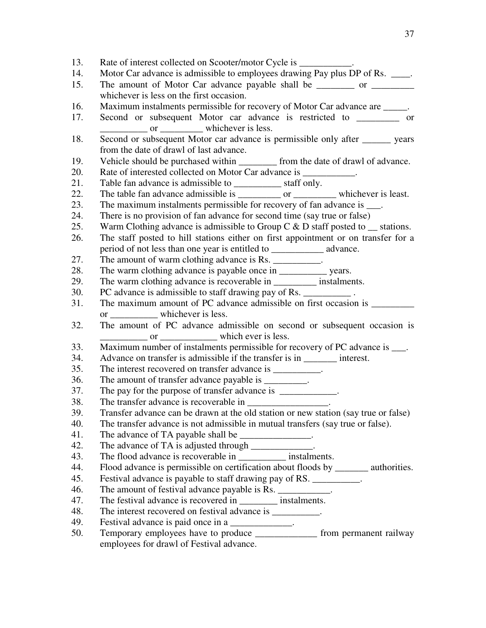13. Rate of interest collected on Scooter/motor Cycle is  $\qquad \qquad$ 14. Motor Car advance is admissible to employees drawing Pay plus DP of Rs. \_\_\_\_. 15. The amount of Motor Car advance payable shall be \_\_\_\_\_\_\_\_ or \_\_\_\_\_\_\_\_\_ whichever is less on the first occasion. 16. Maximum instalments permissible for recovery of Motor Car advance are  $\qquad \qquad$ . 17. Second or subsequent Motor car advance is restricted to \_\_\_\_\_\_\_\_\_ or or whichever is less. 18. Second or subsequent Motor car advance is permissible only after \_\_\_\_\_\_ years from the date of drawl of last advance. 19. Vehicle should be purchased within from the date of drawl of advance. 20. Rate of interested collected on Motor Car advance is 21. Table fan advance is admissible to \_\_\_\_\_\_\_\_\_\_\_\_\_ staff only. 22. The table fan advance admissible is \_\_\_\_\_\_\_\_\_\_ or \_\_\_\_\_\_\_\_\_ whichever is least. 23. The maximum instalments permissible for recovery of fan advance is  $\Box$ . 24. There is no provision of fan advance for second time (say true or false) 25. Warm Clothing advance is admissible to Group C  $\&$  D staff posted to  $\equiv$  stations. 26. The staff posted to hill stations either on first appointment or on transfer for a period of not less than one year is entitled to \_\_\_\_\_\_\_\_\_\_\_ advance. 27. The amount of warm clothing advance is Rs. \_\_\_\_\_\_\_\_\_\_. 28. The warm clothing advance is payable once in \_\_\_\_\_\_\_\_\_\_\_\_ years. 29. The warm clothing advance is recoverable in \_\_\_\_\_\_\_\_\_ instalments. 30. PC advance is admissible to staff drawing pay of Rs. 31. The maximum amount of PC advance admissible on first occasion is \_\_\_\_\_\_\_\_\_\_\_ or \_\_\_\_\_\_\_\_\_\_ whichever is less. 32. The amount of PC advance admissible on second or subsequent occasion is or <u>the same of the set of the set of the set of the set of the set of the set of the set of the set of the set of the set of the set of the set of the set of the set of the set of the set of the set of the set of the set </u> 33. Maximum number of instalments permissible for recovery of PC advance is  $\blacksquare$ . 34. Advance on transfer is admissible if the transfer is in interest. 35. The interest recovered on transfer advance is \_\_\_\_\_\_\_\_\_\_. 36. The amount of transfer advance payable is  $\blacksquare$ . 37. The pay for the purpose of transfer advance is \_\_\_\_\_\_\_\_\_\_\_. 38. The transfer advance is recoverable in \_\_\_\_\_\_\_\_\_\_\_\_\_\_\_\_\_. 39. Transfer advance can be drawn at the old station or new station (say true or false) 40. The transfer advance is not admissible in mutual transfers (say true or false). 41. The advance of TA payable shall be  $\blacksquare$ . 42. The advance of TA is adjusted through  $\blacksquare$ . 43. The flood advance is recoverable in \_\_\_\_\_\_\_\_\_\_ instalments. 44. Flood advance is permissible on certification about floods by \_\_\_\_\_\_\_ authorities. 45. Festival advance is payable to staff drawing pay of RS. 46. The amount of festival advance payable is Rs. \_\_\_\_\_\_\_\_\_\_\_. 47. The festival advance is recovered in \_\_\_\_\_\_\_\_\_\_ instalments. 48. The interest recovered on festival advance is \_\_\_\_\_\_\_\_\_. 49. Festival advance is paid once in a \_\_\_\_\_\_\_\_\_\_\_\_\_. 50. Temporary employees have to produce \_\_\_\_\_\_\_\_\_\_\_\_\_ from permanent railway employees for drawl of Festival advance.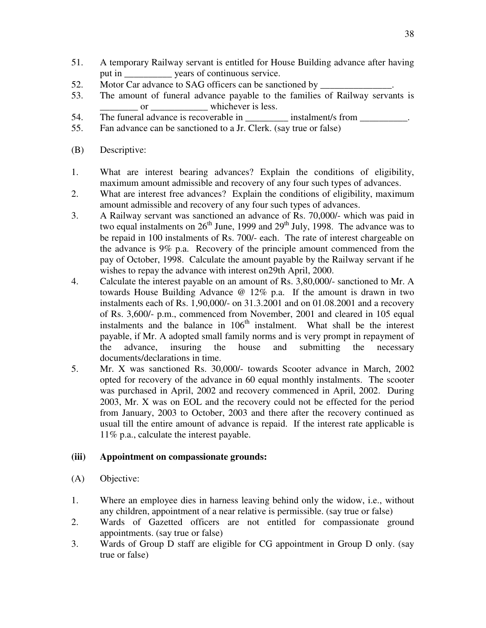- 51. A temporary Railway servant is entitled for House Building advance after having put in \_\_\_\_\_\_\_\_\_\_ years of continuous service.
- 52. Motor Car advance to SAG officers can be sanctioned by
- 53. The amount of funeral advance payable to the families of Railway servants is or whichever is less.
- 54. The funeral advance is recoverable in \_\_\_\_\_\_\_\_\_ instalment/s from \_\_\_\_\_\_\_\_\_\_.
- 55. Fan advance can be sanctioned to a Jr. Clerk. (say true or false)
- (B) Descriptive:
- 1. What are interest bearing advances? Explain the conditions of eligibility, maximum amount admissible and recovery of any four such types of advances.
- 2. What are interest free advances? Explain the conditions of eligibility, maximum amount admissible and recovery of any four such types of advances.
- 3. A Railway servant was sanctioned an advance of Rs. 70,000/- which was paid in two equal instalments on  $26<sup>th</sup>$  June, 1999 and  $29<sup>th</sup>$  July, 1998. The advance was to be repaid in 100 instalments of Rs. 700/- each. The rate of interest chargeable on the advance is 9% p.a. Recovery of the principle amount commenced from the pay of October, 1998. Calculate the amount payable by the Railway servant if he wishes to repay the advance with interest on29th April, 2000.
- 4. Calculate the interest payable on an amount of Rs. 3,80,000/- sanctioned to Mr. A towards House Building Advance @ 12% p.a. If the amount is drawn in two instalments each of Rs. 1,90,000/- on 31.3.2001 and on 01.08.2001 and a recovery of Rs. 3,600/- p.m., commenced from November, 2001 and cleared in 105 equal instalments and the balance in 106<sup>th</sup> instalment. What shall be the interest payable, if Mr. A adopted small family norms and is very prompt in repayment of the advance, insuring the house and submitting the necessary documents/declarations in time.
- 5. Mr. X was sanctioned Rs. 30,000/- towards Scooter advance in March, 2002 opted for recovery of the advance in 60 equal monthly instalments. The scooter was purchased in April, 2002 and recovery commenced in April, 2002. During 2003, Mr. X was on EOL and the recovery could not be effected for the period from January, 2003 to October, 2003 and there after the recovery continued as usual till the entire amount of advance is repaid. If the interest rate applicable is 11% p.a., calculate the interest payable.

#### **(iii) Appointment on compassionate grounds:**

- (A) Objective:
- 1. Where an employee dies in harness leaving behind only the widow, i.e., without any children, appointment of a near relative is permissible. (say true or false)
- 2. Wards of Gazetted officers are not entitled for compassionate ground appointments. (say true or false)
- 3. Wards of Group D staff are eligible for CG appointment in Group D only. (say true or false)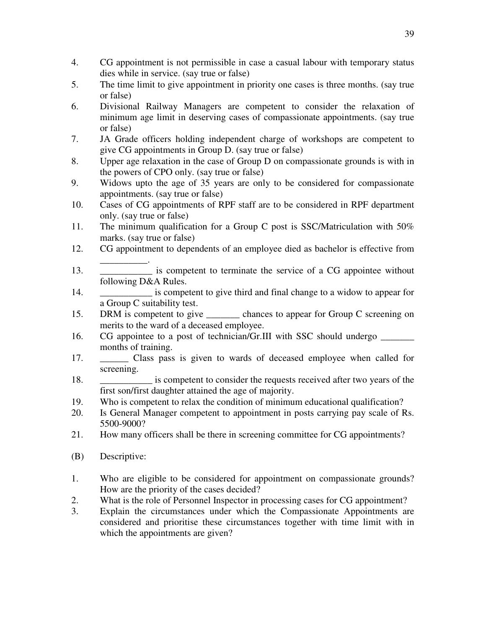- 4. CG appointment is not permissible in case a casual labour with temporary status dies while in service. (say true or false)
- 5. The time limit to give appointment in priority one cases is three months. (say true or false)
- 6. Divisional Railway Managers are competent to consider the relaxation of minimum age limit in deserving cases of compassionate appointments. (say true or false)
- 7. JA Grade officers holding independent charge of workshops are competent to give CG appointments in Group D. (say true or false)
- 8. Upper age relaxation in the case of Group D on compassionate grounds is with in the powers of CPO only. (say true or false)
- 9. Widows upto the age of 35 years are only to be considered for compassionate appointments. (say true or false)
- 10. Cases of CG appointments of RPF staff are to be considered in RPF department only. (say true or false)
- 11. The minimum qualification for a Group C post is SSC/Matriculation with 50% marks. (say true or false)
- 12. CG appointment to dependents of an employee died as bachelor is effective from
- \_\_\_\_\_\_\_\_\_\_. 13. \_\_\_\_\_\_\_\_\_\_\_ is competent to terminate the service of a CG appointee without following D&A Rules.
- 14. \_\_\_\_\_\_\_\_\_\_\_ is competent to give third and final change to a widow to appear for a Group C suitability test.
- 15. DRM is competent to give chances to appear for Group C screening on merits to the ward of a deceased employee.
- 16. CG appointee to a post of technician/Gr.III with SSC should undergo months of training.
- 17. \_\_\_\_\_\_ Class pass is given to wards of deceased employee when called for screening.
- 18. **Example 18.** is competent to consider the requests received after two years of the first son/first daughter attained the age of majority.
- 19. Who is competent to relax the condition of minimum educational qualification?
- 20. Is General Manager competent to appointment in posts carrying pay scale of Rs. 5500-9000?
- 21. How many officers shall be there in screening committee for CG appointments?
- (B) Descriptive:
- 1. Who are eligible to be considered for appointment on compassionate grounds? How are the priority of the cases decided?
- 2. What is the role of Personnel Inspector in processing cases for CG appointment?
- 3. Explain the circumstances under which the Compassionate Appointments are considered and prioritise these circumstances together with time limit with in which the appointments are given?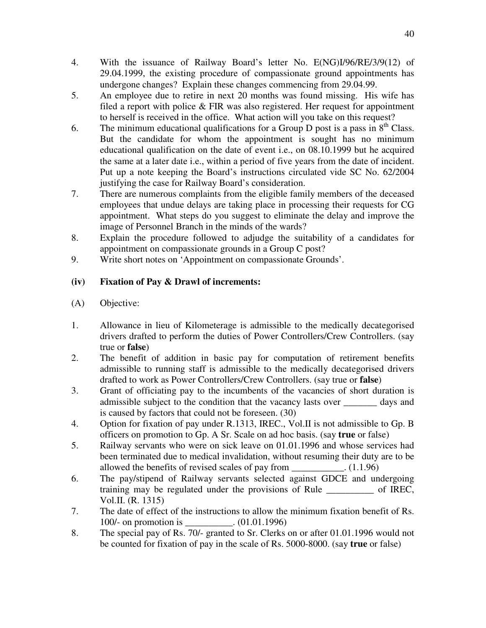- 4. With the issuance of Railway Board's letter No. E(NG)I/96/RE/3/9(12) of 29.04.1999, the existing procedure of compassionate ground appointments has undergone changes? Explain these changes commencing from 29.04.99.
- 5. An employee due to retire in next 20 months was found missing. His wife has filed a report with police & FIR was also registered. Her request for appointment to herself is received in the office. What action will you take on this request?
- 6. The minimum educational qualifications for a Group D post is a pass in  $8<sup>th</sup>$  Class. But the candidate for whom the appointment is sought has no minimum educational qualification on the date of event i.e., on 08.10.1999 but he acquired the same at a later date i.e., within a period of five years from the date of incident. Put up a note keeping the Board's instructions circulated vide SC No. 62/2004 justifying the case for Railway Board's consideration.
- 7. There are numerous complaints from the eligible family members of the deceased employees that undue delays are taking place in processing their requests for CG appointment. What steps do you suggest to eliminate the delay and improve the image of Personnel Branch in the minds of the wards?
- 8. Explain the procedure followed to adjudge the suitability of a candidates for appointment on compassionate grounds in a Group C post?
- 9. Write short notes on 'Appointment on compassionate Grounds'.

# **(iv) Fixation of Pay & Drawl of increments:**

- (A) Objective:
- 1. Allowance in lieu of Kilometerage is admissible to the medically decategorised drivers drafted to perform the duties of Power Controllers/Crew Controllers. (say true or **false**)
- 2. The benefit of addition in basic pay for computation of retirement benefits admissible to running staff is admissible to the medically decategorised drivers drafted to work as Power Controllers/Crew Controllers. (say true or **false**)
- 3. Grant of officiating pay to the incumbents of the vacancies of short duration is admissible subject to the condition that the vacancy lasts over days and is caused by factors that could not be foreseen. (30)
- 4. Option for fixation of pay under R.1313, IREC., Vol.II is not admissible to Gp. B officers on promotion to Gp. A Sr. Scale on ad hoc basis. (say **true** or false)
- 5. Railway servants who were on sick leave on 01.01.1996 and whose services had been terminated due to medical invalidation, without resuming their duty are to be allowed the benefits of revised scales of pay from  $(1.1.96)$
- 6. The pay/stipend of Railway servants selected against GDCE and undergoing training may be regulated under the provisions of Rule of IREC, Vol.II. (R. 1315)
- 7. The date of effect of the instructions to allow the minimum fixation benefit of Rs. 100/- on promotion is  $(01.01.1996)$
- 8. The special pay of Rs. 70/- granted to Sr. Clerks on or after 01.01.1996 would not be counted for fixation of pay in the scale of Rs. 5000-8000. (say **true** or false)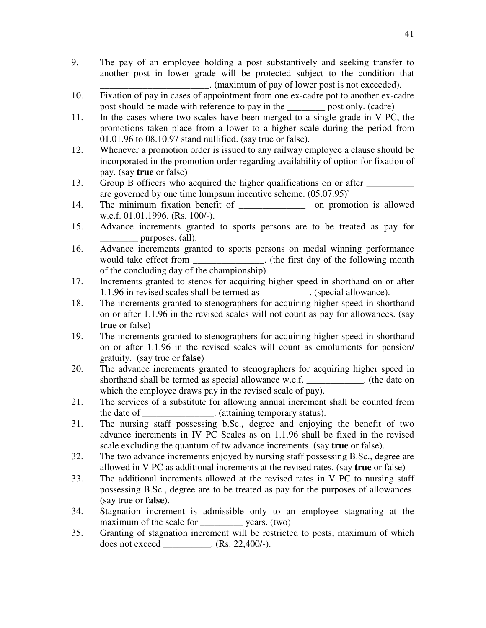- 9. The pay of an employee holding a post substantively and seeking transfer to another post in lower grade will be protected subject to the condition that \_\_\_\_\_\_\_\_\_\_\_\_\_\_\_\_\_\_\_\_\_\_\_. (maximum of pay of lower post is not exceeded).
- 10. Fixation of pay in cases of appointment from one ex-cadre pot to another ex-cadre post should be made with reference to pay in the \_\_\_\_\_\_\_\_ post only. (cadre)
- 11. In the cases where two scales have been merged to a single grade in V PC, the promotions taken place from a lower to a higher scale during the period from 01.01.96 to 08.10.97 stand nullified. (say true or false).
- 12. Whenever a promotion order is issued to any railway employee a clause should be incorporated in the promotion order regarding availability of option for fixation of pay. (say **true** or false)
- 13. Group B officers who acquired the higher qualifications on or after are governed by one time lumpsum incentive scheme. (05.07.95)`
- 14. The minimum fixation benefit of \_\_\_\_\_\_\_\_\_\_\_\_\_\_\_\_\_ on promotion is allowed w.e.f. 01.01.1996. (Rs. 100/-).
- 15. Advance increments granted to sports persons are to be treated as pay for purposes. (all).
- 16. Advance increments granted to sports persons on medal winning performance would take effect from \_\_\_\_\_\_\_\_\_\_\_\_\_\_. (the first day of the following month of the concluding day of the championship).
- 17. Increments granted to stenos for acquiring higher speed in shorthand on or after 1.1.96 in revised scales shall be termed as . (special allowance).
- 18. The increments granted to stenographers for acquiring higher speed in shorthand on or after 1.1.96 in the revised scales will not count as pay for allowances. (say **true** or false)
- 19. The increments granted to stenographers for acquiring higher speed in shorthand on or after 1.1.96 in the revised scales will count as emoluments for pension/ gratuity. (say true or **false**)
- 20. The advance increments granted to stenographers for acquiring higher speed in shorthand shall be termed as special allowance w.e.f.  $\qquad \qquad$  (the date on which the employee draws pay in the revised scale of pay).
- 21. The services of a substitute for allowing annual increment shall be counted from the date of \_\_\_\_\_\_\_\_\_\_\_\_\_\_\_. (attaining temporary status).
- 31. The nursing staff possessing b.Sc., degree and enjoying the benefit of two advance increments in IV PC Scales as on 1.1.96 shall be fixed in the revised scale excluding the quantum of tw advance increments. (say **true** or false).
- 32. The two advance increments enjoyed by nursing staff possessing B.Sc., degree are allowed in V PC as additional increments at the revised rates. (say **true** or false)
- 33. The additional increments allowed at the revised rates in V PC to nursing staff possessing B.Sc., degree are to be treated as pay for the purposes of allowances. (say true or **false**).
- 34. Stagnation increment is admissible only to an employee stagnating at the maximum of the scale for vears. (two)
- 35. Granting of stagnation increment will be restricted to posts, maximum of which does not exceed \_\_\_\_\_\_\_\_\_\_. (Rs. 22,400/-).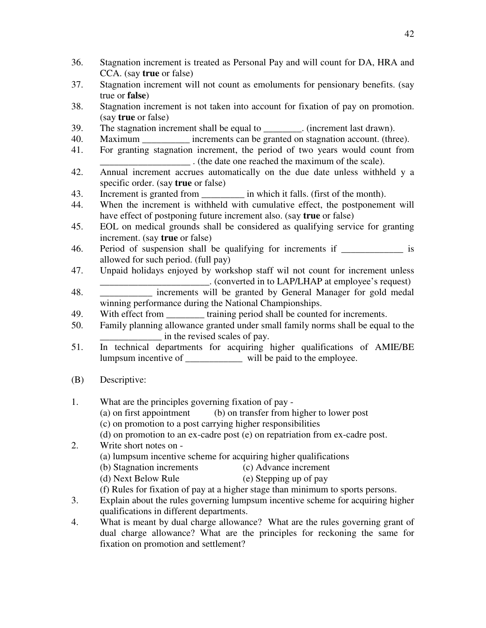- 36. Stagnation increment is treated as Personal Pay and will count for DA, HRA and CCA. (say **true** or false)
- 37. Stagnation increment will not count as emoluments for pensionary benefits. (say true or **false**)
- 38. Stagnation increment is not taken into account for fixation of pay on promotion. (say **true** or false)
- 39. The stagnation increment shall be equal to \_\_\_\_\_\_\_\_. (increment last drawn).
- 40. Maximum \_\_\_\_\_\_\_\_\_\_ increments can be granted on stagnation account. (three).
- 41. For granting stagnation increment, the period of two years would count from \_\_\_\_\_\_\_\_\_\_\_\_\_\_\_\_\_\_\_ . (the date one reached the maximum of the scale).
- 42. Annual increment accrues automatically on the due date unless withheld y a specific order. (say **true** or false)
- 43. Increment is granted from  $\qquad$  in which it falls. (first of the month).
- 44. When the increment is withheld with cumulative effect, the postponement will have effect of postponing future increment also. (say **true** or false)
- 45. EOL on medical grounds shall be considered as qualifying service for granting increment. (say **true** or false)
- 46. Period of suspension shall be qualifying for increments if \_\_\_\_\_\_\_\_\_\_\_\_\_ is allowed for such period. (full pay)
- 47. Unpaid holidays enjoyed by workshop staff wil not count for increment unless \_\_\_\_\_\_\_\_\_\_\_\_\_\_\_\_\_\_\_\_\_\_\_. (converted in to LAP/LHAP at employee's request)
- 48. **Example 18** increments will be granted by General Manager for gold medal winning performance during the National Championships.
- 49. With effect from <u>training</u> period shall be counted for increments.
- 50. Family planning allowance granted under small family norms shall be equal to the in the revised scales of pay.
- 51. In technical departments for acquiring higher qualifications of AMIE/BE lumpsum incentive of \_\_\_\_\_\_\_\_\_\_\_\_ will be paid to the employee.
- (B) Descriptive:
- 1. What are the principles governing fixation of pay (a) on first appointment (b) on transfer from higher to lower post (c) on promotion to a post carrying higher responsibilities (d) on promotion to an ex-cadre post (e) on repatriation from ex-cadre post. 2. Write short notes on - (a) lumpsum incentive scheme for acquiring higher qualifications (b) Stagnation increments (c) Advance increment (d) Next Below Rule (e) Stepping up of pay (f) Rules for fixation of pay at a higher stage than minimum to sports persons.
- 3. Explain about the rules governing lumpsum incentive scheme for acquiring higher qualifications in different departments.
- 4. What is meant by dual charge allowance? What are the rules governing grant of dual charge allowance? What are the principles for reckoning the same for fixation on promotion and settlement?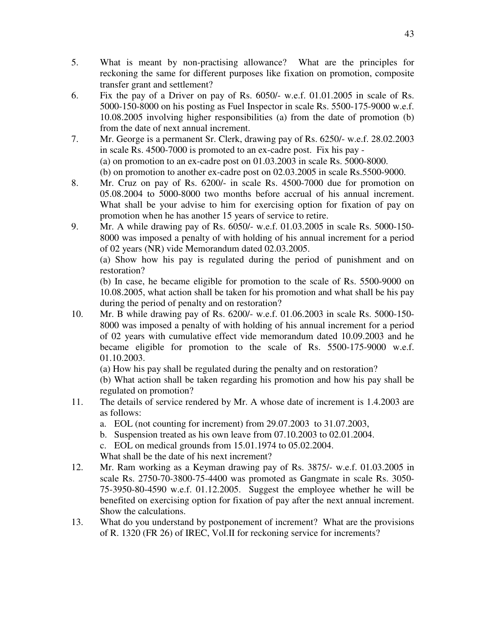- 5. What is meant by non-practising allowance? What are the principles for reckoning the same for different purposes like fixation on promotion, composite transfer grant and settlement?
- 6. Fix the pay of a Driver on pay of Rs. 6050/- w.e.f. 01.01.2005 in scale of Rs. 5000-150-8000 on his posting as Fuel Inspector in scale Rs. 5500-175-9000 w.e.f. 10.08.2005 involving higher responsibilities (a) from the date of promotion (b) from the date of next annual increment.
- 7. Mr. George is a permanent Sr. Clerk, drawing pay of Rs. 6250/- w.e.f. 28.02.2003 in scale Rs. 4500-7000 is promoted to an ex-cadre post. Fix his pay - (a) on promotion to an ex-cadre post on 01.03.2003 in scale Rs. 5000-8000. (b) on promotion to another ex-cadre post on 02.03.2005 in scale Rs.5500-9000.
- 8. Mr. Cruz on pay of Rs. 6200/- in scale Rs. 4500-7000 due for promotion on 05.08.2004 to 5000-8000 two months before accrual of his annual increment. What shall be your advise to him for exercising option for fixation of pay on promotion when he has another 15 years of service to retire.
- 9. Mr. A while drawing pay of Rs. 6050/- w.e.f. 01.03.2005 in scale Rs. 5000-150- 8000 was imposed a penalty of with holding of his annual increment for a period of 02 years (NR) vide Memorandum dated 02.03.2005.

(a) Show how his pay is regulated during the period of punishment and on restoration?

 (b) In case, he became eligible for promotion to the scale of Rs. 5500-9000 on 10.08.2005, what action shall be taken for his promotion and what shall be his pay during the period of penalty and on restoration?

10. Mr. B while drawing pay of Rs. 6200/- w.e.f. 01.06.2003 in scale Rs. 5000-150- 8000 was imposed a penalty of with holding of his annual increment for a period of 02 years with cumulative effect vide memorandum dated 10.09.2003 and he became eligible for promotion to the scale of Rs. 5500-175-9000 w.e.f. 01.10.2003.

(a) How his pay shall be regulated during the penalty and on restoration?

 (b) What action shall be taken regarding his promotion and how his pay shall be regulated on promotion?

- 11. The details of service rendered by Mr. A whose date of increment is 1.4.2003 are as follows:
	- a. EOL (not counting for increment) from 29.07.2003 to 31.07.2003,
	- b. Suspension treated as his own leave from 07.10.2003 to 02.01.2004.
	- c. EOL on medical grounds from 15.01.1974 to 05.02.2004.

What shall be the date of his next increment?

- 12. Mr. Ram working as a Keyman drawing pay of Rs. 3875/- w.e.f. 01.03.2005 in scale Rs. 2750-70-3800-75-4400 was promoted as Gangmate in scale Rs. 3050- 75-3950-80-4590 w.e.f. 01.12.2005. Suggest the employee whether he will be benefited on exercising option for fixation of pay after the next annual increment. Show the calculations.
- 13. What do you understand by postponement of increment? What are the provisions of R. 1320 (FR 26) of IREC, Vol.II for reckoning service for increments?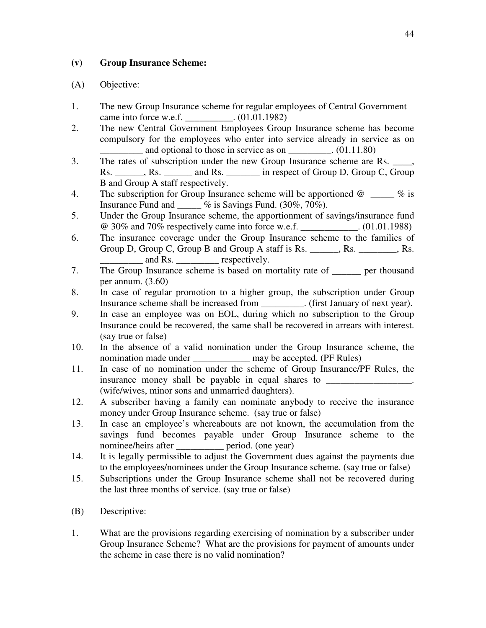### **(v) Group Insurance Scheme:**

- 1. The new Group Insurance scheme for regular employees of Central Government came into force w.e.f. \_\_\_\_\_\_\_\_\_\_. (01.01.1982)
- 2. The new Central Government Employees Group Insurance scheme has become compulsory for the employees who enter into service already in service as on and optional to those in service as on \_\_\_\_\_\_\_\_. (01.11.80)
- 3. The rates of subscription under the new Group Insurance scheme are Rs. \_\_\_\_, Rs. Rs. Rs. And Rs. The respect of Group D, Group C, Group B and Group A staff respectively.
- 4. The subscription for Group Insurance scheme will be apportioned  $\omega$  % is Insurance Fund and \_\_\_\_\_ % is Savings Fund. (30%, 70%).
- 5. Under the Group Insurance scheme, the apportionment of savings/insurance fund @ 30% and 70% respectively came into force w.e.f. \_\_\_\_\_\_\_\_\_\_\_\_. (01.01.1988)
- 6. The insurance coverage under the Group Insurance scheme to the families of Group D, Group C, Group B and Group A staff is Rs. \_\_\_\_\_\_, Rs. \_\_\_\_\_\_\_, Rs. and Rs. <u>comes</u> respectively.
- 7. The Group Insurance scheme is based on mortality rate of \_\_\_\_\_\_ per thousand per annum. (3.60)
- 8. In case of regular promotion to a higher group, the subscription under Group Insurance scheme shall be increased from \_\_\_\_\_\_\_\_\_. (first January of next year).
- 9. In case an employee was on EOL, during which no subscription to the Group Insurance could be recovered, the same shall be recovered in arrears with interest. (say true or false)
- 10. In the absence of a valid nomination under the Group Insurance scheme, the nomination made under \_\_\_\_\_\_\_\_\_\_\_\_\_\_ may be accepted. (PF Rules)
- 11. In case of no nomination under the scheme of Group Insurance/PF Rules, the insurance money shall be payable in equal shares to (wife/wives, minor sons and unmarried daughters).
- 12. A subscriber having a family can nominate anybody to receive the insurance money under Group Insurance scheme. (say true or false)
- 13. In case an employee's whereabouts are not known, the accumulation from the savings fund becomes payable under Group Insurance scheme to the nominee/heirs after period. (one year)
- 14. It is legally permissible to adjust the Government dues against the payments due to the employees/nominees under the Group Insurance scheme. (say true or false)
- 15. Subscriptions under the Group Insurance scheme shall not be recovered during the last three months of service. (say true or false)
- (B) Descriptive:
- 1. What are the provisions regarding exercising of nomination by a subscriber under Group Insurance Scheme? What are the provisions for payment of amounts under the scheme in case there is no valid nomination?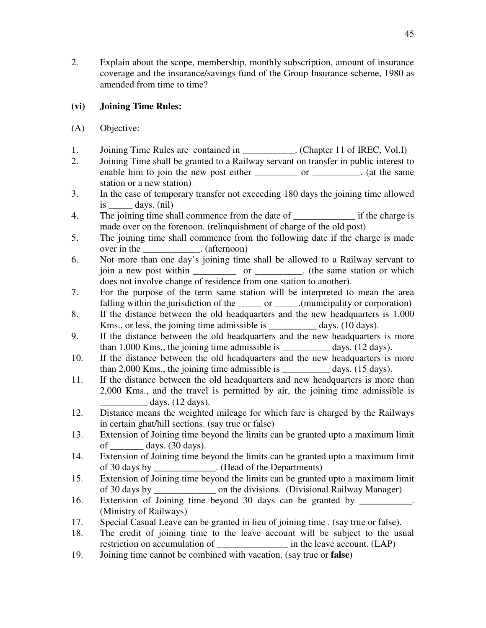2. Explain about the scope, membership, monthly subscription, amount of insurance coverage and the insurance/savings fund of the Group Insurance scheme, 1980 as amended from time to time?

# **(vi) Joining Time Rules:**

- (A) Objective:
- 1. Joining Time Rules are contained in \_\_\_\_\_\_\_\_\_\_. (Chapter 11 of IREC, Vol.I)
- 2. Joining Time shall be granted to a Railway servant on transfer in public interest to enable him to join the new post either \_\_\_\_\_\_\_\_\_\_ or \_\_\_\_\_\_\_\_\_. (at the same station or a new station)
- 3. In the case of temporary transfer not exceeding 180 days the joining time allowed  $is \_\_\_\_$  days. (nil)
- 4. The joining time shall commence from the date of if the charge is made over on the forenoon. (relinquishment of charge of the old post)
- 5. The joining time shall commence from the following date if the charge is made over in the \_\_\_\_\_\_\_\_\_\_\_\_. (afternoon)
- 6. Not more than one day's joining time shall be allowed to a Railway servant to join a new post within \_\_\_\_\_\_\_\_\_ or \_\_\_\_\_\_\_\_\_\_. (the same station or which does not involve change of residence from one station to another).
- 7. For the purpose of the term same station will be interpreted to mean the area falling within the jurisdiction of the \_\_\_\_\_\_ or \_\_\_\_\_.(municipality or corporation)
- 8. If the distance between the old headquarters and the new headquarters is 1,000 Kms., or less, the joining time admissible is days. (10 days).
- 9. If the distance between the old headquarters and the new headquarters is more than 1,000 Kms., the joining time admissible is \_\_\_\_\_\_\_\_\_\_ days. (12 days).
- 10. If the distance between the old headquarters and the new headquarters is more than 2,000 Kms., the joining time admissible is \_\_\_\_\_\_\_\_\_\_ days. (15 days).
- 11. If the distance between the old headquarters and new headquarters is more than 2,000 Kms., and the travel is permitted by air, the joining time admissible is days.  $(12 \text{ days})$ .
- 12. Distance means the weighted mileage for which fare is charged by the Railways in certain ghat/hill sections. (say true or false)
- 13. Extension of Joining time beyond the limits can be granted upto a maximum limit of  $_{\text{days.}}$  (30 days).
- 14. Extension of Joining time beyond the limits can be granted upto a maximum limit of 30 days by . (Head of the Departments)
- 15. Extension of Joining time beyond the limits can be granted upto a maximum limit of 30 days by \_\_\_\_\_\_\_\_\_\_\_\_\_ on the divisions. (Divisional Railway Manager)
- 16. Extension of Joining time beyond 30 days can be granted by \_\_\_\_\_\_\_\_\_\_\_. (Ministry of Railways)
- 17. Special Casual Leave can be granted in lieu of joining time . (say true or false).
- 18. The credit of joining time to the leave account will be subject to the usual restriction on accumulation of  $\qquad \qquad$  in the leave account. (LAP)
- 19. Joining time cannot be combined with vacation. (say true or **false**)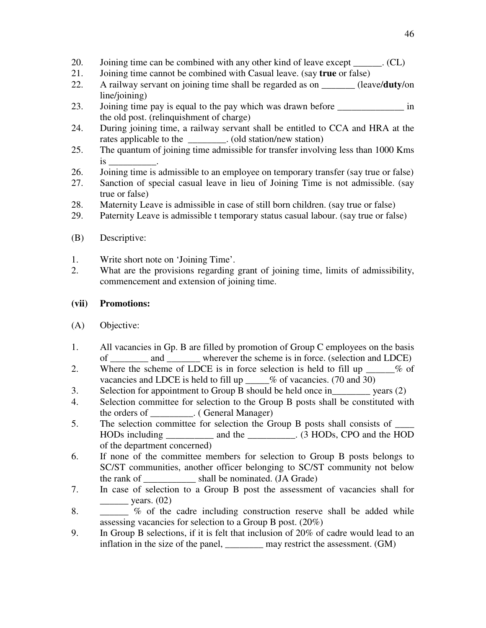- 20. Joining time can be combined with any other kind of leave except \_\_\_\_\_\_. (CL)
- 21. Joining time cannot be combined with Casual leave. (say **true** or false)
- 22. A railway servant on joining time shall be regarded as on \_\_\_\_\_\_\_ (leave/**duty**/on line/joining)
- 23. Joining time pay is equal to the pay which was drawn before in the old post. (relinquishment of charge)
- 24. During joining time, a railway servant shall be entitled to CCA and HRA at the rates applicable to the \_\_\_\_\_\_\_\_. (old station/new station)
- 25. The quantum of joining time admissible for transfer involving less than 1000 Kms is \_\_\_\_\_\_\_\_\_\_.
- 26. Joining time is admissible to an employee on temporary transfer (say true or false)
- 27. Sanction of special casual leave in lieu of Joining Time is not admissible. (say true or false)
- 28. Maternity Leave is admissible in case of still born children. (say true or false)
- 29. Paternity Leave is admissible t temporary status casual labour. (say true or false)
- (B) Descriptive:
- 1. Write short note on 'Joining Time'.
- 2. What are the provisions regarding grant of joining time, limits of admissibility, commencement and extension of joining time.

#### **(vii) Promotions:**

- (A) Objective:
- 1. All vacancies in Gp. B are filled by promotion of Group C employees on the basis of and wherever the scheme is in force. (selection and LDCE)
- 2. Where the scheme of LDCE is in force selection is held to fill up  $\sim$  % of vacancies and LDCE is held to fill up  $\%$  of vacancies. (70 and 30)
- 3. Selection for appointment to Group B should be held once in vears (2)
- 4. Selection committee for selection to the Group B posts shall be constituted with the orders of \_\_\_\_\_\_\_\_\_. ( General Manager)
- 5. The selection committee for selection the Group B posts shall consists of  $\overline{\phantom{a}}$ HODs including and the  $(3 \text{ HODs}, \text{CPO} \text{ and the HOD})$ of the department concerned)
- 6. If none of the committee members for selection to Group B posts belongs to SC/ST communities, another officer belonging to SC/ST community not below the rank of \_\_\_\_\_\_\_\_\_\_\_ shall be nominated. (JA Grade)
- 7. In case of selection to a Group B post the assessment of vacancies shall for  $\frac{\text{years.} (02)}{2}$
- 8. \_\_\_\_\_ % of the cadre including construction reserve shall be added while assessing vacancies for selection to a Group B post. (20%)
- 9. In Group B selections, if it is felt that inclusion of 20% of cadre would lead to an inflation in the size of the panel, \_\_\_\_\_\_\_\_ may restrict the assessment. (GM)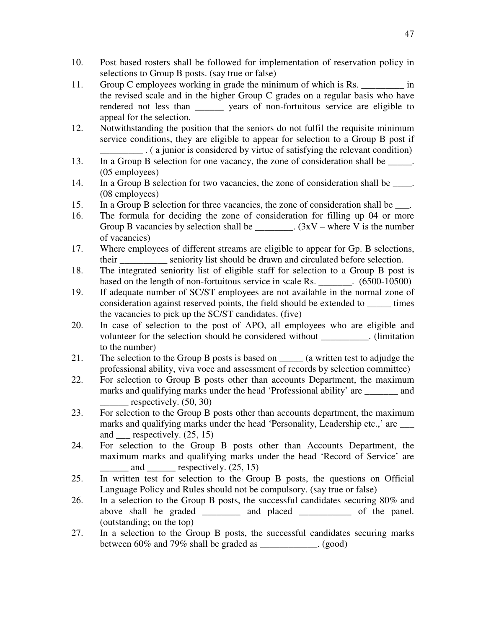- 10. Post based rosters shall be followed for implementation of reservation policy in selections to Group B posts. (say true or false)
- 11. Group C employees working in grade the minimum of which is Rs.  $\frac{1}{2}$  in the revised scale and in the higher Group C grades on a regular basis who have rendered not less than years of non-fortuitous service are eligible to appeal for the selection.
- 12. Notwithstanding the position that the seniors do not fulfil the requisite minimum service conditions, they are eligible to appear for selection to a Group B post if \_\_\_\_\_\_\_\_\_ . ( a junior is considered by virtue of satisfying the relevant condition)
- 13. In a Group B selection for one vacancy, the zone of consideration shall be \_\_\_\_\_. (05 employees)
- 14. In a Group B selection for two vacancies, the zone of consideration shall be \_\_\_\_. (08 employees)
- 15. In a Group B selection for three vacancies, the zone of consideration shall be \_\_\_.
- 16. The formula for deciding the zone of consideration for filling up 04 or more Group B vacancies by selection shall be \_\_\_\_\_\_\_\_\_.  $(3xV - \text{where } V \text{ is the number})$ of vacancies)
- 17. Where employees of different streams are eligible to appear for Gp. B selections, their \_\_\_\_\_\_\_\_\_\_ seniority list should be drawn and circulated before selection.
- 18. The integrated seniority list of eligible staff for selection to a Group B post is based on the length of non-fortuitous service in scale Rs. \_\_\_\_\_\_\_. (6500-10500)
- 19. If adequate number of SC/ST employees are not available in the normal zone of consideration against reserved points, the field should be extended to times the vacancies to pick up the SC/ST candidates. (five)
- 20. In case of selection to the post of APO, all employees who are eligible and volunteer for the selection should be considered without \_\_\_\_\_\_\_\_\_\_. (limitation to the number)
- 21. The selection to the Group B posts is based on (a written test to adjudge the professional ability, viva voce and assessment of records by selection committee)
- 22. For selection to Group B posts other than accounts Department, the maximum marks and qualifying marks under the head 'Professional ability' are \_\_\_\_\_\_\_ and respectively.  $(50, 30)$
- 23. For selection to the Group B posts other than accounts department, the maximum marks and qualifying marks under the head 'Personality, Leadership etc.,' are \_\_\_\_ and respectively.  $(25, 15)$
- 24. For selection to the Group B posts other than Accounts Department, the maximum marks and qualifying marks under the head 'Record of Service' are and respectively.  $(25, 15)$
- 25. In written test for selection to the Group B posts, the questions on Official Language Policy and Rules should not be compulsory. (say true or false)
- 26. In a selection to the Group B posts, the successful candidates securing 80% and above shall be graded and placed of the panel. (outstanding; on the top)
- 27. In a selection to the Group B posts, the successful candidates securing marks between 60% and 79% shall be graded as \_\_\_\_\_\_\_\_\_\_\_\_. (good)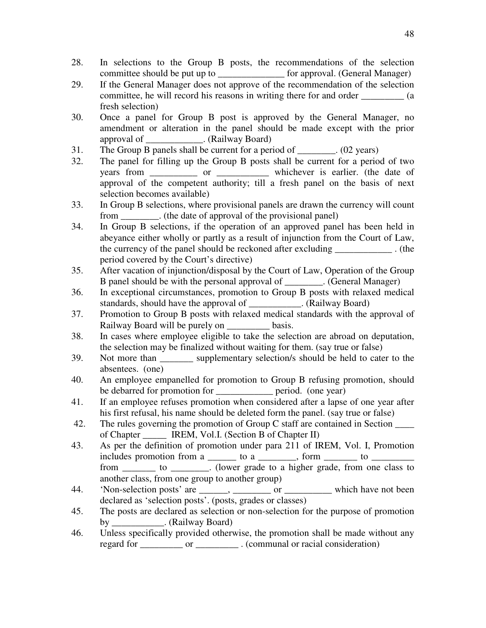- 28. In selections to the Group B posts, the recommendations of the selection committee should be put up to \_\_\_\_\_\_\_\_\_\_\_\_\_\_ for approval. (General Manager)
- 29. If the General Manager does not approve of the recommendation of the selection committee, he will record his reasons in writing there for and order \_\_\_\_\_\_\_\_\_ (a fresh selection)
- 30. Once a panel for Group B post is approved by the General Manager, no amendment or alteration in the panel should be made except with the prior approval of . (Railway Board)
- 31. The Group B panels shall be current for a period of \_\_\_\_\_\_\_\_. (02 years)
- 32. The panel for filling up the Group B posts shall be current for a period of two years from \_\_\_\_\_\_\_\_\_\_ or \_\_\_\_\_\_\_\_\_ whichever is earlier. (the date of approval of the competent authority; till a fresh panel on the basis of next selection becomes available)
- 33. In Group B selections, where provisional panels are drawn the currency will count from  $\therefore$  (the date of approval of the provisional panel)
- 34. In Group B selections, if the operation of an approved panel has been held in abeyance either wholly or partly as a result of injunction from the Court of Law, the currency of the panel should be reckoned after excluding \_\_\_\_\_\_\_\_\_\_\_\_ . (the period covered by the Court's directive)
- 35. After vacation of injunction/disposal by the Court of Law, Operation of the Group B panel should be with the personal approval of \_\_\_\_\_\_\_\_. (General Manager)
- 36. In exceptional circumstances, promotion to Group B posts with relaxed medical standards, should have the approval of \_\_\_\_\_\_\_\_\_\_\_. (Railway Board)
- 37. Promotion to Group B posts with relaxed medical standards with the approval of Railway Board will be purely on basis.
- 38. In cases where employee eligible to take the selection are abroad on deputation, the selection may be finalized without waiting for them. (say true or false)
- 39. Not more than supplementary selection/s should be held to cater to the absentees. (one)
- 40. An employee empanelled for promotion to Group B refusing promotion, should be debarred for promotion for example period. (one year)
- 41. If an employee refuses promotion when considered after a lapse of one year after his first refusal, his name should be deleted form the panel. (say true or false)
- 42. The rules governing the promotion of Group C staff are contained in Section of Chapter **IREM, Vol.I.** (Section B of Chapter II)
- 43. As per the definition of promotion under para 211 of IREM, Vol. I, Promotion includes promotion from a \_\_\_\_\_\_\_ to a \_\_\_\_\_\_\_, form \_\_\_\_\_\_\_\_\_ to \_\_\_\_\_\_\_\_\_\_\_\_\_\_\_ from to to the state of the state to a higher grade, from one class to the state of the state of the state of the state of the state of the state of the state of the state of the state of the state of the state of the stat
	- another class, from one group to another group)
- 44. 'Non-selection posts' are  $\frac{1}{\sqrt{2}}$ ,  $\frac{1}{\sqrt{2}}$  or  $\frac{1}{\sqrt{2}}$  which have not been declared as 'selection posts'. (posts, grades or classes)
- 45. The posts are declared as selection or non-selection for the purpose of promotion by \_\_\_\_\_\_\_\_\_\_\_. (Railway Board)
- 46. Unless specifically provided otherwise, the promotion shall be made without any regard for \_\_\_\_\_\_\_\_\_\_ or \_\_\_\_\_\_\_\_\_\_. (communal or racial consideration)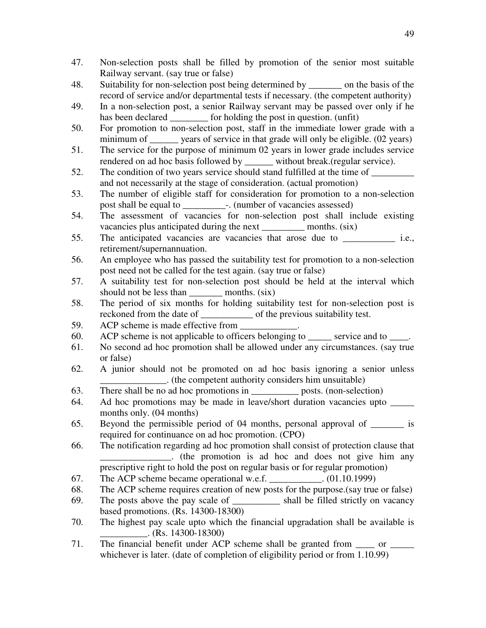- 47. Non-selection posts shall be filled by promotion of the senior most suitable Railway servant. (say true or false)
- 48. Suitability for non-selection post being determined by on the basis of the record of service and/or departmental tests if necessary. (the competent authority)
- 49. In a non-selection post, a senior Railway servant may be passed over only if he has been declared \_\_\_\_\_\_\_\_\_ for holding the post in question. (unfit)
- 50. For promotion to non-selection post, staff in the immediate lower grade with a minimum of \_\_\_\_\_\_ years of service in that grade will only be eligible. (02 years)
- 51. The service for the purpose of minimum 02 years in lower grade includes service rendered on ad hoc basis followed by \_\_\_\_\_\_ without break.(regular service).
- 52. The condition of two years service should stand fulfilled at the time of  $\frac{1}{\sqrt{2\pi}}$ and not necessarily at the stage of consideration. (actual promotion)
- 53. The number of eligible staff for consideration for promotion to a non-selection post shall be equal to \_\_\_\_\_\_\_\_\_-. (number of vacancies assessed)
- 54. The assessment of vacancies for non-selection post shall include existing vacancies plus anticipated during the next \_\_\_\_\_\_\_\_\_\_\_ months. (six)
- 55. The anticipated vacancies are vacancies that arose due to  $i.e.,$ retirement/supernannuation.
- 56. An employee who has passed the suitability test for promotion to a non-selection post need not be called for the test again. (say true or false)
- 57. A suitability test for non-selection post should be held at the interval which should not be less than months. (six)
- 58. The period of six months for holding suitability test for non-selection post is reckoned from the date of \_\_\_\_\_\_\_\_\_\_\_ of the previous suitability test.
- 59. ACP scheme is made effective from
- 60. ACP scheme is not applicable to officers belonging to \_\_\_\_\_ service and to \_\_\_\_.
- 61. No second ad hoc promotion shall be allowed under any circumstances. (say true or false)
- 62. A junior should not be promoted on ad hoc basis ignoring a senior unless \_\_\_\_\_\_\_\_\_\_\_\_\_\_. (the competent authority considers him unsuitable)
- 63. There shall be no ad hoc promotions in posts. (non-selection)
- 64. Ad hoc promotions may be made in leave/short duration vacancies upto \_\_\_\_\_ months only. (04 months)
- 65. Beyond the permissible period of 04 months, personal approval of \_\_\_\_\_\_\_ is required for continuance on ad hoc promotion. (CPO)
- 66. The notification regarding ad hoc promotion shall consist of protection clause that **Example 2.1** (the promotion is ad hoc and does not give him any prescriptive right to hold the post on regular basis or for regular promotion)
- 67. The ACP scheme became operational w.e.f. \_\_\_\_\_\_\_\_\_\_\_. (01.10.1999)
- 68. The ACP scheme requires creation of new posts for the purpose.(say true or false)
- 69. The posts above the pay scale of \_\_\_\_\_\_\_\_\_\_ shall be filled strictly on vacancy based promotions. (Rs. 14300-18300)
- 70. The highest pay scale upto which the financial upgradation shall be available is  $(Rs. 14300-18300)$
- 71. The financial benefit under ACP scheme shall be granted from  $\frac{1}{\sqrt{2}}$  or  $\frac{1}{\sqrt{2}}$ whichever is later. (date of completion of eligibility period or from 1.10.99)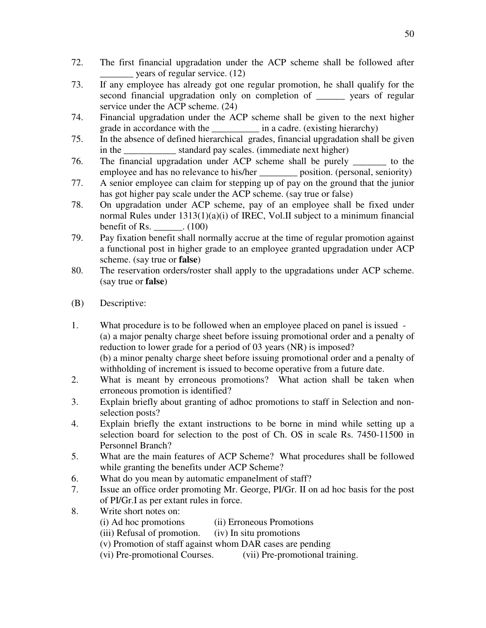- 72. The first financial upgradation under the ACP scheme shall be followed after \_\_\_\_\_\_\_ years of regular service. (12)
- 73. If any employee has already got one regular promotion, he shall qualify for the second financial upgradation only on completion of \_\_\_\_\_\_ years of regular service under the ACP scheme. (24)
- 74. Financial upgradation under the ACP scheme shall be given to the next higher grade in accordance with the  $\qquad \qquad$  in a cadre. (existing hierarchy)
- 75. In the absence of defined hierarchical grades, financial upgradation shall be given in the standard pay scales. (immediate next higher)
- 76. The financial upgradation under ACP scheme shall be purely \_\_\_\_\_\_\_ to the employee and has no relevance to his/her \_\_\_\_\_\_\_\_\_ position. (personal, seniority)
- 77. A senior employee can claim for stepping up of pay on the ground that the junior has got higher pay scale under the ACP scheme. (say true or false)
- 78. On upgradation under ACP scheme, pay of an employee shall be fixed under normal Rules under 1313(1)(a)(i) of IREC, Vol.II subject to a minimum financial benefit of Rs.  $\qquad \qquad . \tag{100}$
- 79. Pay fixation benefit shall normally accrue at the time of regular promotion against a functional post in higher grade to an employee granted upgradation under ACP scheme. (say true or **false**)
- 80. The reservation orders/roster shall apply to the upgradations under ACP scheme. (say true or **false**)
- (B) Descriptive:
- 1. What procedure is to be followed when an employee placed on panel is issued (a) a major penalty charge sheet before issuing promotional order and a penalty of reduction to lower grade for a period of 03 years (NR) is imposed? (b) a minor penalty charge sheet before issuing promotional order and a penalty of withholding of increment is issued to become operative from a future date.
- 2. What is meant by erroneous promotions? What action shall be taken when erroneous promotion is identified?
- 3. Explain briefly about granting of adhoc promotions to staff in Selection and nonselection posts?
- 4. Explain briefly the extant instructions to be borne in mind while setting up a selection board for selection to the post of Ch. OS in scale Rs. 7450-11500 in Personnel Branch?
- 5. What are the main features of ACP Scheme? What procedures shall be followed while granting the benefits under ACP Scheme?
- 6. What do you mean by automatic empanelment of staff?
- 7. Issue an office order promoting Mr. George, PI/Gr. II on ad hoc basis for the post of PI/Gr.I as per extant rules in force.
- 8. Write short notes on:
	- (i) Ad hoc promotions (ii) Erroneous Promotions
	- (iii) Refusal of promotion. (iv) In situ promotions
	- (v) Promotion of staff against whom DAR cases are pending
	- (vi) Pre-promotional Courses. (vii) Pre-promotional training.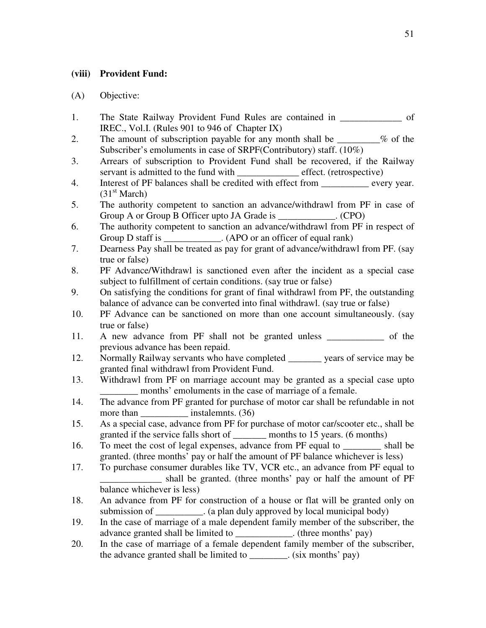### **(viii) Provident Fund:**

- 1. The State Railway Provident Fund Rules are contained in \_\_\_\_\_\_\_\_\_\_\_\_\_\_ of IREC., Vol.I. (Rules 901 to 946 of Chapter IX)
- 2. The amount of subscription payable for any month shall be \_\_\_\_\_\_\_\_% of the Subscriber's emoluments in case of SRPF(Contributory) staff. (10%)
- 3. Arrears of subscription to Provident Fund shall be recovered, if the Railway servant is admitted to the fund with effect. (retrospective)
- 4. Interest of PF balances shall be credited with effect from \_\_\_\_\_\_\_\_\_\_ every year.  $(31<sup>st</sup> March)$
- 5. The authority competent to sanction an advance/withdrawl from PF in case of Group A or Group B Officer upto JA Grade is  $(CPO)$
- 6. The authority competent to sanction an advance/withdrawl from PF in respect of Group D staff is  $(APO \text{ or an officer of equal rank})$
- 7. Dearness Pay shall be treated as pay for grant of advance/withdrawl from PF. (say true or false)
- 8. PF Advance/Withdrawl is sanctioned even after the incident as a special case subject to fulfillment of certain conditions. (say true or false)
- 9. On satisfying the conditions for grant of final withdrawl from PF, the outstanding balance of advance can be converted into final withdrawl. (say true or false)
- 10. PF Advance can be sanctioned on more than one account simultaneously. (say true or false)
- 11. A new advance from PF shall not be granted unless \_\_\_\_\_\_\_\_\_\_\_\_ of the previous advance has been repaid.
- 12. Normally Railway servants who have completed vears of service may be granted final withdrawl from Provident Fund.
- 13. Withdrawl from PF on marriage account may be granted as a special case upto months' emoluments in the case of marriage of a female.
- 14. The advance from PF granted for purchase of motor car shall be refundable in not more than \_\_\_\_\_\_\_\_\_\_\_\_\_ instalemnts. (36)
- 15. As a special case, advance from PF for purchase of motor car/scooter etc., shall be granted if the service falls short of \_\_\_\_\_\_\_ months to 15 years. (6 months)
- 16. To meet the cost of legal expenses, advance from PF equal to \_\_\_\_\_\_\_\_ shall be granted. (three months' pay or half the amount of PF balance whichever is less)
- 17. To purchase consumer durables like TV, VCR etc., an advance from PF equal to \_\_\_\_\_\_\_\_\_\_\_\_\_ shall be granted. (three months' pay or half the amount of PF balance whichever is less)
- 18. An advance from PF for construction of a house or flat will be granted only on submission of  $\qquad \qquad$  . (a plan duly approved by local municipal body)
- 19. In the case of marriage of a male dependent family member of the subscriber, the advance granted shall be limited to \_\_\_\_\_\_\_\_\_\_\_\_\_. (three months' pay)
- 20. In the case of marriage of a female dependent family member of the subscriber, the advance granted shall be limited to  $\cdot$  (six months' pay)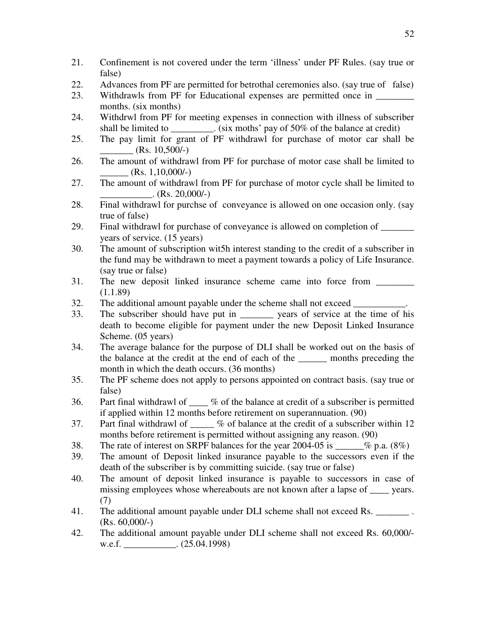- 21. Confinement is not covered under the term 'illness' under PF Rules. (say true or false)
- 22. Advances from PF are permitted for betrothal ceremonies also. (say true of false)
- 23. Withdrawls from PF for Educational expenses are permitted once in months. (six months)
- 24. Withdrwl from PF for meeting expenses in connection with illness of subscriber shall be limited to  $\cdot$  (six moths' pay of 50% of the balance at credit)
- 25. The pay limit for grant of PF withdrawl for purchase of motor car shall be  $(Rs. 10,500/-)$
- 26. The amount of withdrawl from PF for purchase of motor case shall be limited to  $(Rs. 1, 10, 000/-)$
- 27. The amount of withdrawl from PF for purchase of motor cycle shall be limited to  $(Rs. 20,000/-)$
- 28. Final withdrawl for purchse of conveyance is allowed on one occasion only. (say true of false)
- 29. Final withdrawl for purchase of conveyance is allowed on completion of \_\_\_\_\_\_\_ years of service. (15 years)
- 30. The amount of subscription wit5h interest standing to the credit of a subscriber in the fund may be withdrawn to meet a payment towards a policy of Life Insurance. (say true or false)
- 31. The new deposit linked insurance scheme came into force from  $(1.1.89)$
- 32. The additional amount payable under the scheme shall not exceed
- 33. The subscriber should have put in \_\_\_\_\_\_\_ years of service at the time of his death to become eligible for payment under the new Deposit Linked Insurance Scheme. (05 years)
- 34. The average balance for the purpose of DLI shall be worked out on the basis of the balance at the credit at the end of each of the months preceding the month in which the death occurs. (36 months)
- 35. The PF scheme does not apply to persons appointed on contract basis. (say true or false)
- 36. Part final withdrawl of % of the balance at credit of a subscriber is permitted if applied within 12 months before retirement on superannuation. (90)
- 37. Part final withdrawl of \_\_\_\_ % of balance at the credit of a subscriber within 12 months before retirement is permitted without assigning any reason. (90)
- 38. The rate of interest on SRPF balances for the year 2004-05 is  $\%$  p.a. (8%)
- 39. The amount of Deposit linked insurance payable to the successors even if the death of the subscriber is by committing suicide. (say true or false)
- 40. The amount of deposit linked insurance is payable to successors in case of missing employees whose whereabouts are not known after a lapse of years. (7)
- 41. The additional amount payable under DLI scheme shall not exceed Rs. (Rs. 60,000/-)
- 42. The additional amount payable under DLI scheme shall not exceed Rs. 60,000/ w.e.f. \_\_\_\_\_\_\_\_\_\_\_\_. (25.04.1998)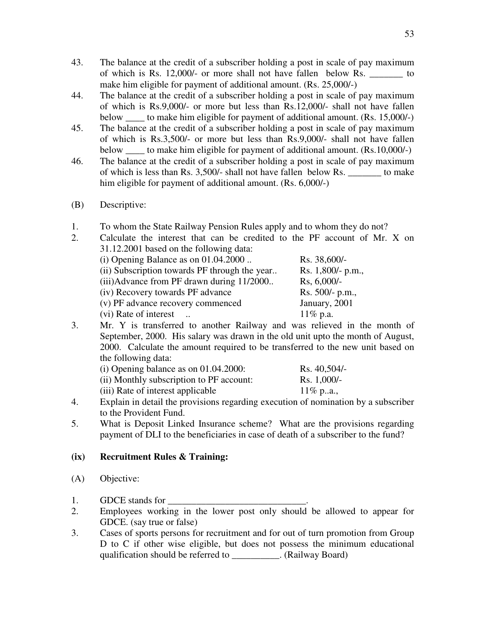- 43. The balance at the credit of a subscriber holding a post in scale of pay maximum of which is Rs. 12,000/- or more shall not have fallen below Rs.  $\qquad \qquad$  to make him eligible for payment of additional amount. (Rs. 25,000/-)
- 44. The balance at the credit of a subscriber holding a post in scale of pay maximum of which is Rs.9,000/- or more but less than Rs.12,000/- shall not have fallen below \_\_\_\_ to make him eligible for payment of additional amount. (Rs. 15,000/-)
- 45. The balance at the credit of a subscriber holding a post in scale of pay maximum of which is Rs.3,500/- or more but less than Rs.9,000/- shall not have fallen below to make him eligible for payment of additional amount. (Rs.10,000/-)
- 46. The balance at the credit of a subscriber holding a post in scale of pay maximum of which is less than Rs. 3,500/- shall not have fallen below Rs. \_\_\_\_\_\_\_ to make him eligible for payment of additional amount. (Rs. 6,000/-)
- (B) Descriptive:
- 1. To whom the State Railway Pension Rules apply and to whom they do not?
- 2. Calculate the interest that can be credited to the PF account of Mr. X on 31.12.2001 based on the following data:

| (i) Opening Balance as on $01.04.2000$        | Rs. 38,600/-      |  |
|-----------------------------------------------|-------------------|--|
| (ii) Subscription towards PF through the year | Rs. 1,800/- p.m., |  |
| (iii) Advance from PF drawn during 11/2000    | $Rs, 6,000/-$     |  |
| (iv) Recovery towards PF advance              | $Rs. 500/- p.m.,$ |  |
| (v) PF advance recovery commenced             | January, 2001     |  |
| (vi) Rate of interest                         | $11\%$ p.a.       |  |
|                                               |                   |  |

3. Mr. Y is transferred to another Railway and was relieved in the month of September, 2000. His salary was drawn in the old unit upto the month of August, 2000. Calculate the amount required to be transferred to the new unit based on the following data:

| $(i)$ Opening balance as on 01.04.2000:  | $Rs. 40,504/-$ |
|------------------------------------------|----------------|
| (ii) Monthly subscription to PF account: | $Rs. 1,000/-$  |
| (iii) Rate of interest applicable        | $11\%$ pa.,    |

- 4. Explain in detail the provisions regarding execution of nomination by a subscriber to the Provident Fund.
- 5. What is Deposit Linked Insurance scheme? What are the provisions regarding payment of DLI to the beneficiaries in case of death of a subscriber to the fund?

## **(ix) Recruitment Rules & Training:**

- (A) Objective:
- 1. GDCE stands for
- 2. Employees working in the lower post only should be allowed to appear for GDCE. (say true or false)
- 3. Cases of sports persons for recruitment and for out of turn promotion from Group D to C if other wise eligible, but does not possess the minimum educational qualification should be referred to  $\qquad \qquad$  (Railway Board)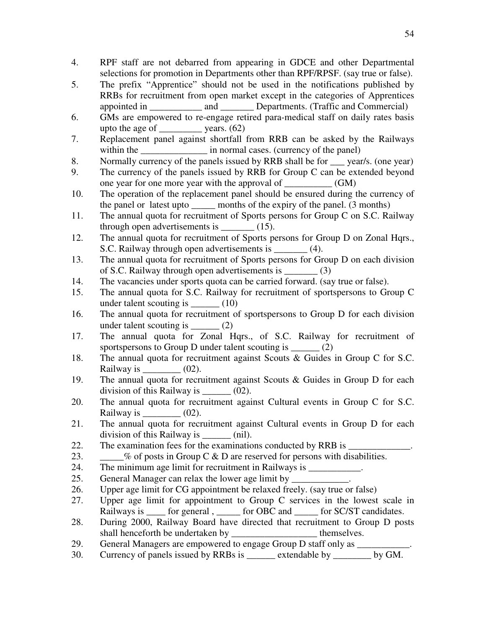- 4. RPF staff are not debarred from appearing in GDCE and other Departmental selections for promotion in Departments other than RPF/RPSF. (say true or false).
- 5. The prefix "Apprentice" should not be used in the notifications published by RRBs for recruitment from open market except in the categories of Apprentices appointed in and Departments. (Traffic and Commercial)
- 6. GMs are empowered to re-engage retired para-medical staff on daily rates basis upto the age of  $\qquad \qquad$  years. (62)
- 7. Replacement panel against shortfall from RRB can be asked by the Railways within the \_\_\_\_\_\_\_\_\_\_\_\_\_\_\_\_\_\_\_\_ in normal cases. (currency of the panel)
- 8. Normally currency of the panels issued by RRB shall be for \_\_\_ year/s. (one year)
- 9. The currency of the panels issued by RRB for Group C can be extended beyond one year for one more year with the approval of \_\_\_\_\_\_\_\_\_\_ (GM)
- 10. The operation of the replacement panel should be ensured during the currency of the panel or latest upto \_\_\_\_\_ months of the expiry of the panel. (3 months)
- 11. The annual quota for recruitment of Sports persons for Group C on S.C. Railway through open advertisements is \_\_\_\_\_\_\_ (15).
- 12. The annual quota for recruitment of Sports persons for Group D on Zonal Hqrs., S.C. Railway through open advertisements is \_\_\_\_\_\_\_ (4).
- 13. The annual quota for recruitment of Sports persons for Group D on each division of S.C. Railway through open advertisements is \_\_\_\_\_\_\_ (3)
- 14. The vacancies under sports quota can be carried forward. (say true or false).
- 15. The annual quota for S.C. Railway for recruitment of sportspersons to Group C under talent scouting is  $(10)$
- 16. The annual quota for recruitment of sportspersons to Group D for each division under talent scouting is  $(2)$
- 17. The annual quota for Zonal Hqrs., of S.C. Railway for recruitment of sportspersons to Group  $D$  under talent scouting is  $(2)$
- 18. The annual quota for recruitment against Scouts & Guides in Group C for S.C. Railway is  $\qquad \qquad$  (02).
- 19. The annual quota for recruitment against Scouts & Guides in Group D for each division of this Railway is  $(02)$ .
- 20. The annual quota for recruitment against Cultural events in Group C for S.C. Railway is  $(02)$ .
- 21. The annual quota for recruitment against Cultural events in Group D for each division of this Railway is  $\qquad$  (nil).
- 22. The examination fees for the examinations conducted by RRB is
- 23.  $\%$  of posts in Group C & D are reserved for persons with disabilities.
- 24. The minimum age limit for recruitment in Railways is
- 25. General Manager can relax the lower age limit by
- 26. Upper age limit for CG appointment be relaxed freely. (say true or false)
- 27. Upper age limit for appointment to Group C services in the lowest scale in Railways is for general , compared for SC/ST candidates.
- 28. During 2000, Railway Board have directed that recruitment to Group D posts shall henceforth be undertaken by themselves.
- 29. General Managers are empowered to engage Group D staff only as  $\Box$
- 30. Currency of panels issued by RRBs is extendable by  $\mu$  by GM.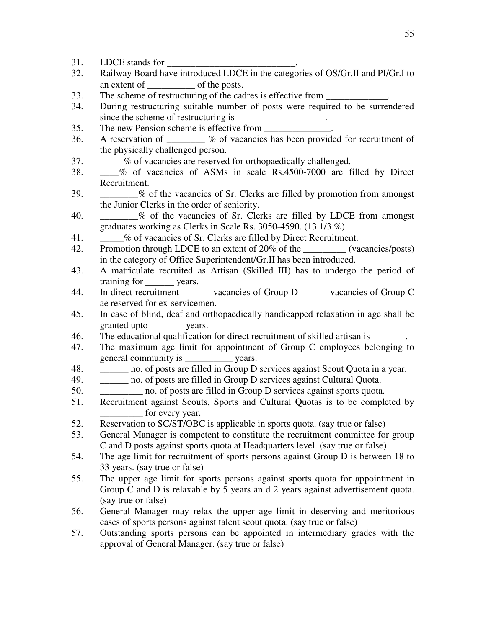- 31. LDCE stands for
- 32. Railway Board have introduced LDCE in the categories of OS/Gr.II and PI/Gr.I to an extent of of the posts.
- 33. The scheme of restructuring of the cadres is effective from
- 34. During restructuring suitable number of posts were required to be surrendered since the scheme of restructuring is  $\Box$
- 35. The new Pension scheme is effective from \_\_\_\_\_\_\_\_\_\_\_\_\_\_\_\_\_\_\_\_\_\_\_\_\_\_\_\_\_\_\_\_\_\_\_
- 36. A reservation of \_\_\_\_\_\_\_\_ % of vacancies has been provided for recruitment of the physically challenged person.
- 37. \_\_\_\_\_% of vacancies are reserved for orthopaedically challenged.
- 38. \_\_\_\_% of vacancies of ASMs in scale Rs.4500-7000 are filled by Direct Recruitment.
- 39. \_\_\_\_\_\_\_\_% of the vacancies of Sr. Clerks are filled by promotion from amongst the Junior Clerks in the order of seniority.
- 40.  $\%$  of the vacancies of Sr. Clerks are filled by LDCE from amongst graduates working as Clerks in Scale Rs. 3050-4590. (13 1/3 %)
- 41.  $\%$  of vacancies of Sr. Clerks are filled by Direct Recruitment.
- 42. Promotion through LDCE to an extent of 20% of the \_\_\_\_\_\_\_\_\_ (vacancies/posts) in the category of Office Superintendent/Gr.II has been introduced.
- 43. A matriculate recruited as Artisan (Skilled III) has to undergo the period of training for vears.
- 44. In direct recruitment \_\_\_\_\_\_\_ vacancies of Group D \_\_\_\_\_ vacancies of Group C ae reserved for ex-servicemen.
- 45. In case of blind, deaf and orthopaedically handicapped relaxation in age shall be granted upto vears.
- 46. The educational qualification for direct recruitment of skilled artisan is \_\_\_\_\_\_\_.
- 47. The maximum age limit for appointment of Group C employees belonging to general community is \_\_\_\_\_\_\_\_\_\_ years.
- 48. \_\_\_\_\_\_ no. of posts are filled in Group D services against Scout Quota in a year.
- 49. \_\_\_\_\_\_ no. of posts are filled in Group D services against Cultural Quota.
- 50. \_\_\_\_\_\_\_\_\_ no. of posts are filled in Group D services against sports quota.
- 51. Recruitment against Scouts, Sports and Cultural Quotas is to be completed by \_\_\_\_\_\_\_\_\_ for every year.
- 52. Reservation to SC/ST/OBC is applicable in sports quota. (say true or false)
- 53. General Manager is competent to constitute the recruitment committee for group C and D posts against sports quota at Headquarters level. (say true or false)
- 54. The age limit for recruitment of sports persons against Group D is between 18 to 33 years. (say true or false)
- 55. The upper age limit for sports persons against sports quota for appointment in Group C and D is relaxable by 5 years and 2 years against advertisement quota. (say true or false)
- 56. General Manager may relax the upper age limit in deserving and meritorious cases of sports persons against talent scout quota. (say true or false)
- 57. Outstanding sports persons can be appointed in intermediary grades with the approval of General Manager. (say true or false)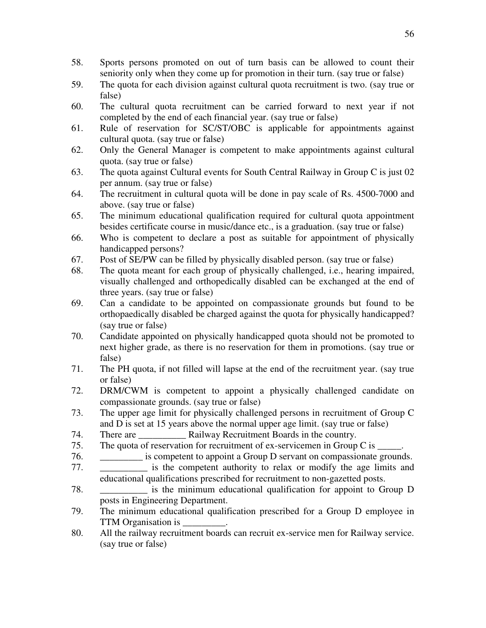- 58. Sports persons promoted on out of turn basis can be allowed to count their seniority only when they come up for promotion in their turn. (say true or false)
- 59. The quota for each division against cultural quota recruitment is two. (say true or false)
- 60. The cultural quota recruitment can be carried forward to next year if not completed by the end of each financial year. (say true or false)
- 61. Rule of reservation for SC/ST/OBC is applicable for appointments against cultural quota. (say true or false)
- 62. Only the General Manager is competent to make appointments against cultural quota. (say true or false)
- 63. The quota against Cultural events for South Central Railway in Group C is just 02 per annum. (say true or false)
- 64. The recruitment in cultural quota will be done in pay scale of Rs. 4500-7000 and above. (say true or false)
- 65. The minimum educational qualification required for cultural quota appointment besides certificate course in music/dance etc., is a graduation. (say true or false)
- 66. Who is competent to declare a post as suitable for appointment of physically handicapped persons?
- 67. Post of SE/PW can be filled by physically disabled person. (say true or false)
- 68. The quota meant for each group of physically challenged, i.e., hearing impaired, visually challenged and orthopedically disabled can be exchanged at the end of three years. (say true or false)
- 69. Can a candidate to be appointed on compassionate grounds but found to be orthopaedically disabled be charged against the quota for physically handicapped? (say true or false)
- 70. Candidate appointed on physically handicapped quota should not be promoted to next higher grade, as there is no reservation for them in promotions. (say true or false)
- 71. The PH quota, if not filled will lapse at the end of the recruitment year. (say true or false)
- 72. DRM/CWM is competent to appoint a physically challenged candidate on compassionate grounds. (say true or false)
- 73. The upper age limit for physically challenged persons in recruitment of Group C and D is set at 15 years above the normal upper age limit. (say true or false)
- 74. There are **Railway Recruitment Boards in the country.**
- 75. The quota of reservation for recruitment of ex-servicemen in Group C is
- 76. \_\_\_\_\_\_\_\_\_ is competent to appoint a Group D servant on compassionate grounds.
- 77. \_\_\_\_\_\_\_\_\_\_ is the competent authority to relax or modify the age limits and educational qualifications prescribed for recruitment to non-gazetted posts.
- 78. \_\_\_\_\_\_\_\_\_\_ is the minimum educational qualification for appoint to Group D posts in Engineering Department.
- 79. The minimum educational qualification prescribed for a Group D employee in TTM Organisation is \_\_\_\_\_\_\_\_\_.
- 80. All the railway recruitment boards can recruit ex-service men for Railway service. (say true or false)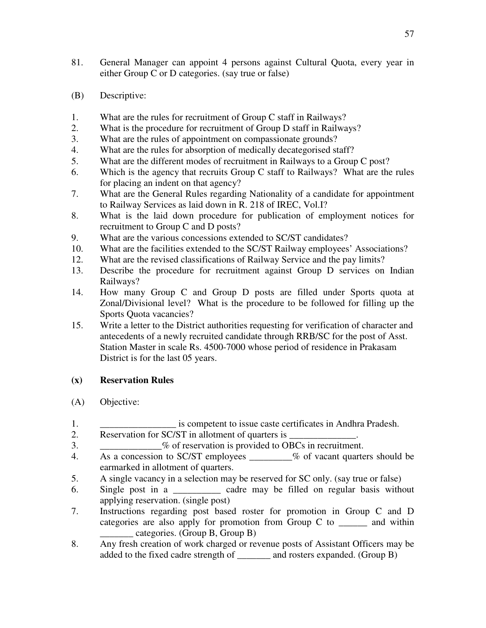- 81. General Manager can appoint 4 persons against Cultural Quota, every year in either Group C or D categories. (say true or false)
- (B) Descriptive:
- 1. What are the rules for recruitment of Group C staff in Railways?
- 2. What is the procedure for recruitment of Group D staff in Railways?
- 3. What are the rules of appointment on compassionate grounds?
- 4. What are the rules for absorption of medically decategorised staff?
- 5. What are the different modes of recruitment in Railways to a Group C post?
- 6. Which is the agency that recruits Group C staff to Railways? What are the rules for placing an indent on that agency?
- 7. What are the General Rules regarding Nationality of a candidate for appointment to Railway Services as laid down in R. 218 of IREC, Vol.I?
- 8. What is the laid down procedure for publication of employment notices for recruitment to Group C and D posts?
- 9. What are the various concessions extended to SC/ST candidates?
- 10. What are the facilities extended to the SC/ST Railway employees' Associations?
- 12. What are the revised classifications of Railway Service and the pay limits?
- 13. Describe the procedure for recruitment against Group D services on Indian Railways?
- 14. How many Group C and Group D posts are filled under Sports quota at Zonal/Divisional level? What is the procedure to be followed for filling up the Sports Quota vacancies?
- 15. Write a letter to the District authorities requesting for verification of character and antecedents of a newly recruited candidate through RRB/SC for the post of Asst. Station Master in scale Rs. 4500-7000 whose period of residence in Prakasam District is for the last 05 years.

## **(x) Reservation Rules**

- (A) Objective:
- 1. \_\_\_\_\_\_\_\_\_\_\_\_\_\_\_\_ is competent to issue caste certificates in Andhra Pradesh.
- 2. Reservation for SC/ST in allotment of quarters is
- 3.  $\%$  of reservation is provided to OBCs in recruitment.
- 4. As a concession to SC/ST employees \_\_\_\_\_\_\_\_\_% of vacant quarters should be earmarked in allotment of quarters.
- 5. A single vacancy in a selection may be reserved for SC only. (say true or false)
- 6. Single post in a \_\_\_\_\_\_\_\_\_\_ cadre may be filled on regular basis without applying reservation. (single post)
- 7. Instructions regarding post based roster for promotion in Group C and D categories are also apply for promotion from Group C to \_\_\_\_\_\_ and within \_\_\_\_\_\_\_ categories. (Group B, Group B)
- 8. Any fresh creation of work charged or revenue posts of Assistant Officers may be added to the fixed cadre strength of \_\_\_\_\_\_\_ and rosters expanded. (Group B)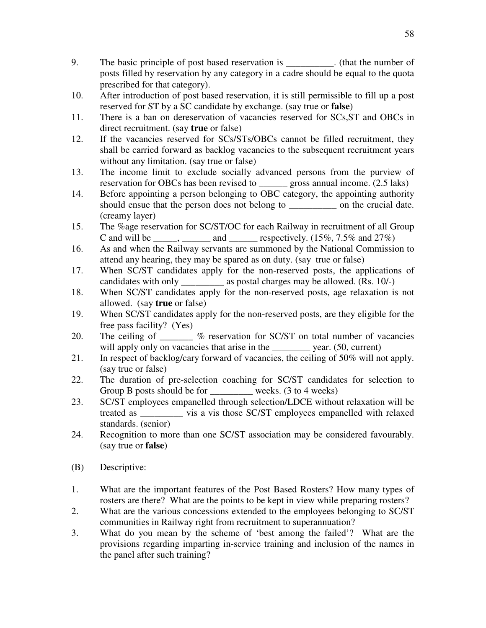- 9. The basic principle of post based reservation is \_\_\_\_\_\_\_\_\_\_. (that the number of posts filled by reservation by any category in a cadre should be equal to the quota prescribed for that category).
- 10. After introduction of post based reservation, it is still permissible to fill up a post reserved for ST by a SC candidate by exchange. (say true or **false**)
- 11. There is a ban on dereservation of vacancies reserved for SCs,ST and OBCs in direct recruitment. (say **true** or false)
- 12. If the vacancies reserved for SCs/STs/OBCs cannot be filled recruitment, they shall be carried forward as backlog vacancies to the subsequent recruitment years without any limitation. (say true or false)
- 13. The income limit to exclude socially advanced persons from the purview of reservation for OBCs has been revised to gross annual income. (2.5 laks)
- 14. Before appointing a person belonging to OBC category, the appointing authority should ensue that the person does not belong to \_\_\_\_\_\_\_\_\_\_ on the crucial date. (creamy layer)
- 15. The %age reservation for SC/ST/OC for each Railway in recruitment of all Group C and will be  $\qquad \qquad$ , and  $\qquad \qquad$  respectively. (15%, 7.5% and 27%)
- 16. As and when the Railway servants are summoned by the National Commission to attend any hearing, they may be spared as on duty. (say true or false)
- 17. When SC/ST candidates apply for the non-reserved posts, the applications of candidates with only \_\_\_\_\_\_\_\_\_ as postal charges may be allowed. (Rs. 10/-)
- 18. When SC/ST candidates apply for the non-reserved posts, age relaxation is not allowed. (say **true** or false)
- 19. When SC/ST candidates apply for the non-reserved posts, are they eligible for the free pass facility? (Yes)
- 20. The ceiling of  $\frac{1}{2}$  % reservation for SC/ST on total number of vacancies will apply only on vacancies that arise in the \_\_\_\_\_\_\_\_\_ year. (50, current)
- 21. In respect of backlog/cary forward of vacancies, the ceiling of 50% will not apply. (say true or false)
- 22. The duration of pre-selection coaching for SC/ST candidates for selection to Group B posts should be for weeks. (3 to 4 weeks)
- 23. SC/ST employees empanelled through selection/LDCE without relaxation will be treated as \_\_\_\_\_\_\_\_\_ vis a vis those SC/ST employees empanelled with relaxed standards. (senior)
- 24. Recognition to more than one SC/ST association may be considered favourably. (say true or **false**)
- (B) Descriptive:
- 1. What are the important features of the Post Based Rosters? How many types of rosters are there? What are the points to be kept in view while preparing rosters?
- 2. What are the various concessions extended to the employees belonging to SC/ST communities in Railway right from recruitment to superannuation?
- 3. What do you mean by the scheme of 'best among the failed'? What are the provisions regarding imparting in-service training and inclusion of the names in the panel after such training?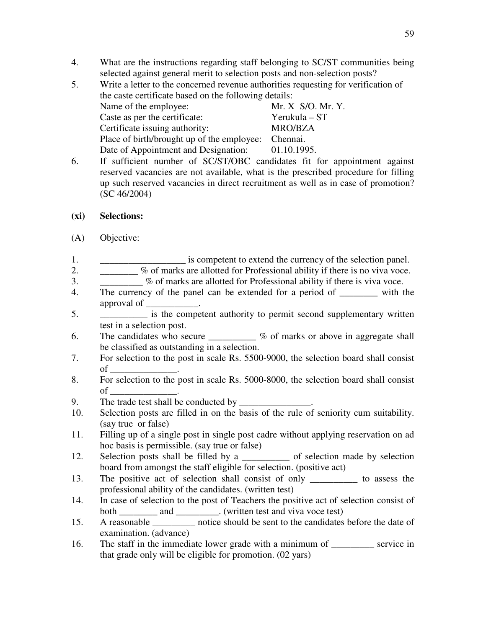- 4. What are the instructions regarding staff belonging to SC/ST communities being selected against general merit to selection posts and non-selection posts?
- 5. Write a letter to the concerned revenue authorities requesting for verification of the caste certificate based on the following details: Name of the employee: Mr. X S/O. Mr. Y. Caste as per the certificate: Yerukula – ST Certificate issuing authority: MRO/BZA Place of birth/brought up of the employee: Chennai. Date of Appointment and Designation: 01.10.1995.
- 6. If sufficient number of SC/ST/OBC candidates fit for appointment against reserved vacancies are not available, what is the prescribed procedure for filling up such reserved vacancies in direct recruitment as well as in case of promotion? (SC 46/2004)
- **(xi) Selections:**
- (A) Objective:
- 1. \_\_\_\_\_\_\_\_\_\_\_\_\_\_\_\_\_\_\_\_ is competent to extend the currency of the selection panel.
- 2. \_\_\_\_\_\_\_\_ % of marks are allotted for Professional ability if there is no viva voce.
- 3. \_\_\_\_\_\_\_\_\_ % of marks are allotted for Professional ability if there is viva voce.
- 4. The currency of the panel can be extended for a period of with the approval of \_\_\_\_\_\_\_\_\_\_\_.
- 5. \_\_\_\_\_\_\_\_\_\_ is the competent authority to permit second supplementary written test in a selection post.
- 6. The candidates who secure  $\frac{1}{\sqrt{6}}$  of marks or above in aggregate shall be classified as outstanding in a selection.
- 7. For selection to the post in scale Rs. 5500-9000, the selection board shall consist  $of$   $\qquad \qquad$
- 8. For selection to the post in scale Rs. 5000-8000, the selection board shall consist  $\circ$  f  $\circ$
- 9. The trade test shall be conducted by
- 10. Selection posts are filled in on the basis of the rule of seniority cum suitability. (say true or false)
- 11. Filling up of a single post in single post cadre without applying reservation on ad hoc basis is permissible. (say true or false)
- 12. Selection posts shall be filled by a \_\_\_\_\_\_\_\_\_\_\_\_ of selection made by selection board from amongst the staff eligible for selection. (positive act)
- 13. The positive act of selection shall consist of only \_\_\_\_\_\_\_\_\_\_ to assess the professional ability of the candidates. (written test)
- 14. In case of selection to the post of Teachers the positive act of selection consist of both \_\_\_\_\_\_\_\_\_\_ and \_\_\_\_\_\_\_\_\_. (written test and viva voce test)
- 15. A reasonable \_\_\_\_\_\_\_\_\_ notice should be sent to the candidates before the date of examination. (advance)
- 16. The staff in the immediate lower grade with a minimum of \_\_\_\_\_\_\_\_\_ service in that grade only will be eligible for promotion. (02 yars)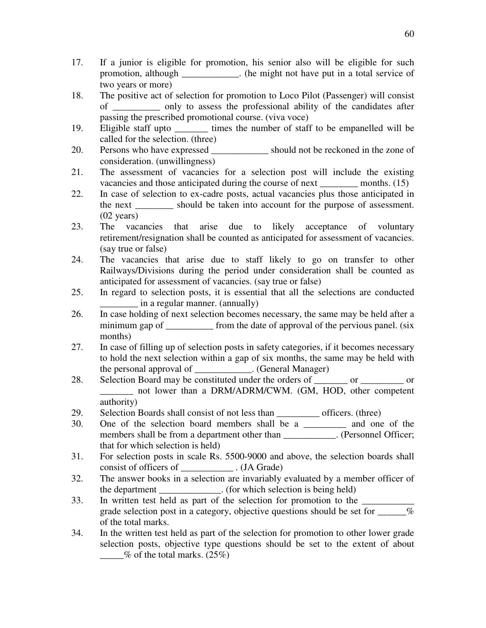- 17. If a junior is eligible for promotion, his senior also will be eligible for such promotion, although \_\_\_\_\_\_\_\_\_\_\_\_. (he might not have put in a total service of two years or more)
- 18. The positive act of selection for promotion to Loco Pilot (Passenger) will consist of \_\_\_\_\_\_\_\_\_\_ only to assess the professional ability of the candidates after passing the prescribed promotional course. (viva voce)
- 19. Eligible staff upto times the number of staff to be empanelled will be called for the selection. (three)
- 20. Persons who have expressed \_\_\_\_\_\_\_\_\_\_\_\_ should not be reckoned in the zone of consideration. (unwillingness)
- 21. The assessment of vacancies for a selection post will include the existing vacancies and those anticipated during the course of next \_\_\_\_\_\_\_\_ months. (15)
- 22. In case of selection to ex-cadre posts, actual vacancies plus those anticipated in the next \_\_\_\_\_\_\_\_ should be taken into account for the purpose of assessment. (02 years)
- 23. The vacancies that arise due to likely acceptance of voluntary retirement/resignation shall be counted as anticipated for assessment of vacancies. (say true or false)
- 24. The vacancies that arise due to staff likely to go on transfer to other Railways/Divisions during the period under consideration shall be counted as anticipated for assessment of vacancies. (say true or false)
- 25. In regard to selection posts, it is essential that all the selections are conducted \_\_\_\_\_\_\_\_ in a regular manner. (annually)
- 26. In case holding of next selection becomes necessary, the same may be held after a minimum gap of from the date of approval of the pervious panel. (six months)
- 27. In case of filling up of selection posts in safety categories, if it becomes necessary to hold the next selection within a gap of six months, the same may be held with the personal approval of \_\_\_\_\_\_\_\_\_\_\_\_. (General Manager)
- 28. Selection Board may be constituted under the orders of or  $\qquad$  or  $\qquad$  or  $\qquad$ \_\_\_\_\_\_\_ not lower than a DRM/ADRM/CWM. (GM, HOD, other competent authority)
- 29. Selection Boards shall consist of not less than \_\_\_\_\_\_\_\_\_ officers. (three)
- 30. One of the selection board members shall be a \_\_\_\_\_\_\_\_\_ and one of the members shall be from a department other than . (Personnel Officer; that for which selection is held)
- 31. For selection posts in scale Rs. 5500-9000 and above, the selection boards shall consist of officers of  $\qquad \qquad$  . (JA Grade)
- 32. The answer books in a selection are invariably evaluated by a member officer of the department \_\_\_\_\_\_\_\_\_\_\_\_\_. (for which selection is being held)
- 33. In written test held as part of the selection for promotion to the \_\_\_\_\_\_\_\_\_ grade selection post in a category, objective questions should be set for  $\%$ of the total marks.
- 34. In the written test held as part of the selection for promotion to other lower grade selection posts, objective type questions should be set to the extent of about  $\%$  of the total marks. (25%)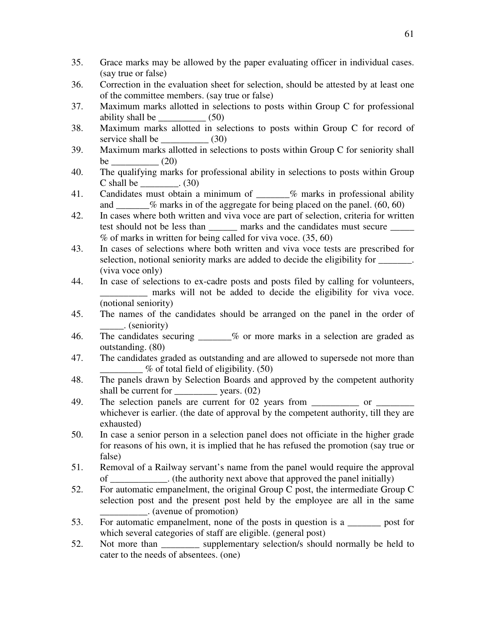- 35. Grace marks may be allowed by the paper evaluating officer in individual cases. (say true or false)
- 36. Correction in the evaluation sheet for selection, should be attested by at least one of the committee members. (say true or false)
- 37. Maximum marks allotted in selections to posts within Group C for professional ability shall be  $(50)$
- 38. Maximum marks allotted in selections to posts within Group C for record of service shall be  $(30)$
- 39. Maximum marks allotted in selections to posts within Group C for seniority shall be  $(20)$
- 40. The qualifying marks for professional ability in selections to posts within Group  $C$  shall be  $(30)$
- 41. Candidates must obtain a minimum of  $\%$  marks in professional ability and  $\frac{\%}{\%}$  marks in of the aggregate for being placed on the panel. (60, 60)
- 42. In cases where both written and viva voce are part of selection, criteria for written test should not be less than \_\_\_\_\_\_\_ marks and the candidates must secure \_\_\_\_\_\_ % of marks in written for being called for viva voce. (35, 60)
- 43. In cases of selections where both written and viva voce tests are prescribed for selection, notional seniority marks are added to decide the eligibility for \_\_\_\_\_\_\_. (viva voce only)
- 44. In case of selections to ex-cadre posts and posts filed by calling for volunteers, marks will not be added to decide the eligibility for viva voce. (notional seniority)
- 45. The names of the candidates should be arranged on the panel in the order of \_\_\_\_\_. (seniority)
- 46. The candidates securing  $\frac{1}{2}$  % or more marks in a selection are graded as outstanding. (80)
- 47. The candidates graded as outstanding and are allowed to supersede not more than  $\frac{1}{2}$  % of total field of eligibility. (50)
- 48. The panels drawn by Selection Boards and approved by the competent authority shall be current for  $\qquad \qquad$  years. (02)
- 49. The selection panels are current for 02 years from \_\_\_\_\_\_\_\_\_\_\_ or \_\_\_\_\_\_\_\_ whichever is earlier. (the date of approval by the competent authority, till they are exhausted)
- 50. In case a senior person in a selection panel does not officiate in the higher grade for reasons of his own, it is implied that he has refused the promotion (say true or false)
- 51. Removal of a Railway servant's name from the panel would require the approval of \_\_\_\_\_\_\_\_\_\_\_\_. (the authority next above that approved the panel initially)
- 52. For automatic empanelment, the original Group C post, the intermediate Group C selection post and the present post held by the employee are all in the same \_\_\_\_\_\_\_\_\_\_. (avenue of promotion)
- 53. For automatic empanelment, none of the posts in question is a \_\_\_\_\_\_\_ post for which several categories of staff are eligible. (general post)
- 52. Not more than supplementary selection/s should normally be held to cater to the needs of absentees. (one)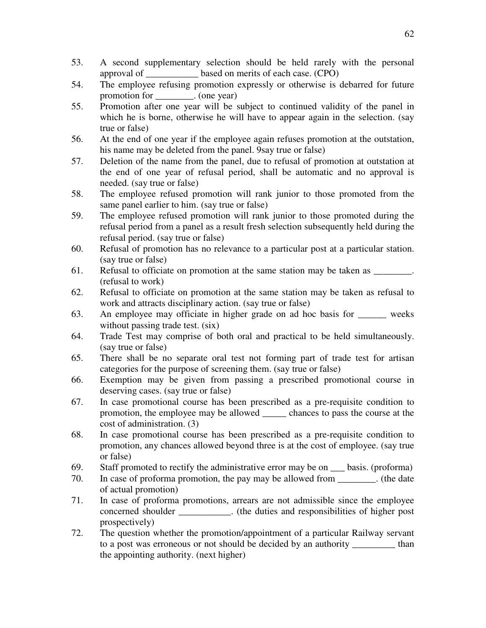- 53. A second supplementary selection should be held rarely with the personal approval of based on merits of each case. (CPO)
- 54. The employee refusing promotion expressly or otherwise is debarred for future promotion for \_\_\_\_\_\_\_\_. (one year)
- 55. Promotion after one year will be subject to continued validity of the panel in which he is borne, otherwise he will have to appear again in the selection. (say true or false)
- 56. At the end of one year if the employee again refuses promotion at the outstation, his name may be deleted from the panel. 9say true or false)
- 57. Deletion of the name from the panel, due to refusal of promotion at outstation at the end of one year of refusal period, shall be automatic and no approval is needed. (say true or false)
- 58. The employee refused promotion will rank junior to those promoted from the same panel earlier to him. (say true or false)
- 59. The employee refused promotion will rank junior to those promoted during the refusal period from a panel as a result fresh selection subsequently held during the refusal period. (say true or false)
- 60. Refusal of promotion has no relevance to a particular post at a particular station. (say true or false)
- 61. Refusal to officiate on promotion at the same station may be taken as \_\_\_\_\_\_\_\_. (refusal to work)
- 62. Refusal to officiate on promotion at the same station may be taken as refusal to work and attracts disciplinary action. (say true or false)
- 63. An employee may officiate in higher grade on ad hoc basis for \_\_\_\_\_\_ weeks without passing trade test. (six)
- 64. Trade Test may comprise of both oral and practical to be held simultaneously. (say true or false)
- 65. There shall be no separate oral test not forming part of trade test for artisan categories for the purpose of screening them. (say true or false)
- 66. Exemption may be given from passing a prescribed promotional course in deserving cases. (say true or false)
- 67. In case promotional course has been prescribed as a pre-requisite condition to promotion, the employee may be allowed \_\_\_\_\_ chances to pass the course at the cost of administration. (3)
- 68. In case promotional course has been prescribed as a pre-requisite condition to promotion, any chances allowed beyond three is at the cost of employee. (say true or false)
- 69. Staff promoted to rectify the administrative error may be on \_\_\_ basis. (proforma)
- 70. In case of proforma promotion, the pay may be allowed from \_\_\_\_\_\_\_\_. (the date of actual promotion)
- 71. In case of proforma promotions, arrears are not admissible since the employee concerned shoulder  $\cdot$  (the duties and responsibilities of higher post prospectively)
- 72. The question whether the promotion/appointment of a particular Railway servant to a post was erroneous or not should be decided by an authority than the appointing authority. (next higher)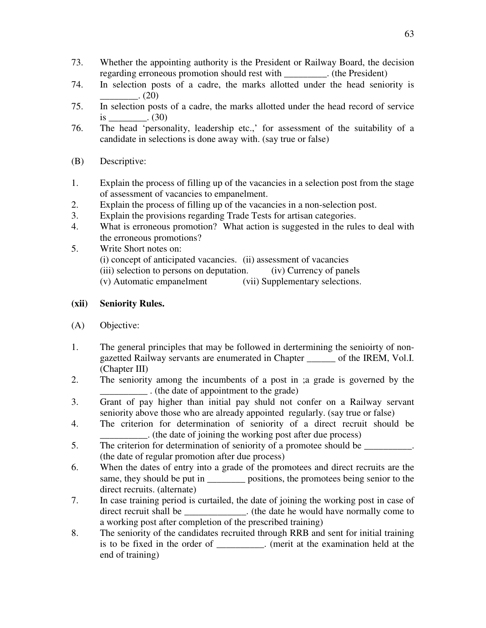- 73. Whether the appointing authority is the President or Railway Board, the decision regarding erroneous promotion should rest with  $\cdot$  (the President)
- 74. In selection posts of a cadre, the marks allotted under the head seniority is  $(20)$
- 75. In selection posts of a cadre, the marks allotted under the head record of service  $is$  (30)
- 76. The head 'personality, leadership etc.,' for assessment of the suitability of a candidate in selections is done away with. (say true or false)
- (B) Descriptive:
- 1. Explain the process of filling up of the vacancies in a selection post from the stage of assessment of vacancies to empanelment.
- 2. Explain the process of filling up of the vacancies in a non-selection post.
- 3. Explain the provisions regarding Trade Tests for artisan categories.
- 4. What is erroneous promotion? What action is suggested in the rules to deal with the erroneous promotions?
- 5. Write Short notes on: (i) concept of anticipated vacancies. (ii) assessment of vacancies (iii) selection to persons on deputation. (iv) Currency of panels (v) Automatic empanelment (vii) Supplementary selections.

## **(xii) Seniority Rules.**

- (A) Objective:
- 1. The general principles that may be followed in dertermining the senioirty of nongazetted Railway servants are enumerated in Chapter \_\_\_\_\_\_ of the IREM, Vol.I. (Chapter III)
- 2. The seniority among the incumbents of a post in ;a grade is governed by the \_\_\_\_\_\_\_\_\_\_ . (the date of appointment to the grade)
- 3. Grant of pay higher than initial pay shuld not confer on a Railway servant seniority above those who are already appointed regularly. (say true or false)
- 4. The criterion for determination of seniority of a direct recruit should be \_\_\_\_\_\_\_\_\_\_. (the date of joining the working post after due process)
- 5. The criterion for determination of seniority of a promotee should be (the date of regular promotion after due process)
- 6. When the dates of entry into a grade of the promotees and direct recruits are the same, they should be put in \_\_\_\_\_\_\_\_\_\_ positions, the promotees being senior to the direct recruits. (alternate)
- 7. In case training period is curtailed, the date of joining the working post in case of direct recruit shall be  $\qquad \qquad$  (the date he would have normally come to a working post after completion of the prescribed training)
- 8. The seniority of the candidates recruited through RRB and sent for initial training is to be fixed in the order of \_\_\_\_\_\_\_\_\_\_. (merit at the examination held at the end of training)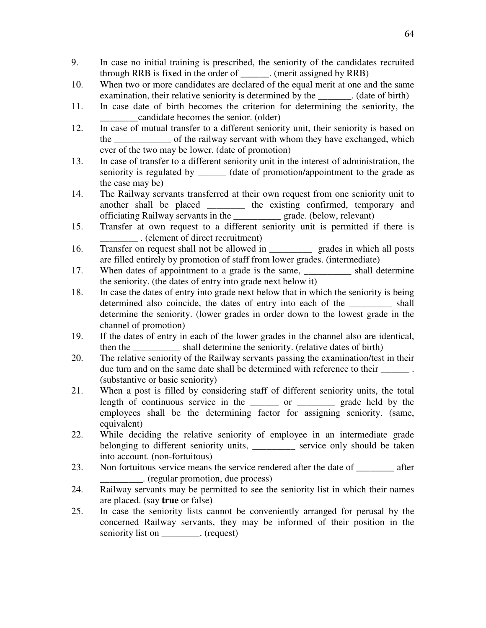- 9. In case no initial training is prescribed, the seniority of the candidates recruited through RRB is fixed in the order of \_\_\_\_\_\_. (merit assigned by RRB)
- 10. When two or more candidates are declared of the equal merit at one and the same examination, their relative seniority is determined by the \_\_\_\_\_\_\_. (date of birth)
- 11. In case date of birth becomes the criterion for determining the seniority, the \_\_\_\_\_\_\_\_candidate becomes the senior. (older)
- 12. In case of mutual transfer to a different seniority unit, their seniority is based on the \_\_\_\_\_\_\_\_\_\_\_\_\_\_ of the railway servant with whom they have exchanged, which ever of the two may be lower. (date of promotion)
- 13. In case of transfer to a different seniority unit in the interest of administration, the seniority is regulated by \_\_\_\_\_\_\_ (date of promotion/appointment to the grade as the case may be)
- 14. The Railway servants transferred at their own request from one seniority unit to another shall be placed \_\_\_\_\_\_\_\_ the existing confirmed, temporary and officiating Railway servants in the \_\_\_\_\_\_\_\_\_\_ grade. (below, relevant)
- 15. Transfer at own request to a different seniority unit is permitted if there is \_\_\_\_\_\_\_\_ . (element of direct recruitment)
- 16. Transfer on request shall not be allowed in \_\_\_\_\_\_\_\_\_ grades in which all posts are filled entirely by promotion of staff from lower grades. (intermediate)
- 17. When dates of appointment to a grade is the same, when the shall determine the seniority. (the dates of entry into grade next below it)
- 18. In case the dates of entry into grade next below that in which the seniority is being determined also coincide, the dates of entry into each of the shall determine the seniority. (lower grades in order down to the lowest grade in the channel of promotion)
- 19. If the dates of entry in each of the lower grades in the channel also are identical, then the \_\_\_\_\_\_\_\_\_\_ shall determine the seniority. (relative dates of birth)
- 20. The relative seniority of the Railway servants passing the examination/test in their due turn and on the same date shall be determined with reference to their \_\_\_\_\_\_\_\_. (substantive or basic seniority)
- 21. When a post is filled by considering staff of different seniority units, the total length of continuous service in the or the grade held by the employees shall be the determining factor for assigning seniority. (same, equivalent)
- 22. While deciding the relative seniority of employee in an intermediate grade belonging to different seniority units, service only should be taken into account. (non-fortuitous)
- 23. Non fortuitous service means the service rendered after the date of after \_\_\_\_\_\_\_\_\_. (regular promotion, due process)
- 24. Railway servants may be permitted to see the seniority list in which their names are placed. (say **true** or false)
- 25. In case the seniority lists cannot be conveniently arranged for perusal by the concerned Railway servants, they may be informed of their position in the seniority list on \_\_\_\_\_\_\_\_\_. (request)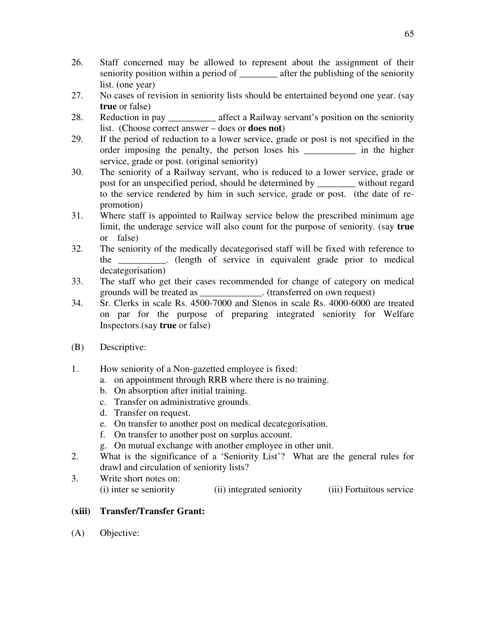- 26. Staff concerned may be allowed to represent about the assignment of their seniority position within a period of \_\_\_\_\_\_\_\_ after the publishing of the seniority list. (one year)
- 27. No cases of revision in seniority lists should be entertained beyond one year. (say **true** or false)
- 28. Reduction in pay \_\_\_\_\_\_\_\_\_\_ affect a Railway servant's position on the seniority list. (Choose correct answer – does or **does not**)
- 29. If the period of reduction to a lower service, grade or post is not specified in the order imposing the penalty, the person loses his \_\_\_\_\_\_\_\_\_\_\_ in the higher service, grade or post. (original seniority)
- 30. The seniority of a Railway servant, who is reduced to a lower service, grade or post for an unspecified period, should be determined by \_\_\_\_\_\_\_\_ without regard to the service rendered by him in such service, grade or post. (the date of repromotion)
- 31. Where staff is appointed to Railway service below the prescribed minimum age limit, the underage service will also count for the purpose of seniority. (say **true** or false)
- 32. The seniority of the medically decategorised staff will be fixed with reference to the \_\_\_\_\_\_\_\_\_\_. (length of service in equivalent grade prior to medical decategorisation)
- 33. The staff who get their cases recommended for change of category on medical grounds will be treated as  $\qquad \qquad$  (transferred on own request)
- 34. Sr. Clerks in scale Rs. 4500-7000 and Stenos in scale Rs. 4000-6000 are treated on par for the purpose of preparing integrated seniority for Welfare Inspectors.(say **true** or false)
- (B) Descriptive:
- 1. How seniority of a Non-gazetted employee is fixed:
	- a. on appointment through RRB where there is no training.
	- b. On absorption after initial training.
	- c. Transfer on administrative grounds.
	- d. Transfer on request.
	- e. On transfer to another post on medical decategorisation.
	- f. On transfer to another post on surplus account.
	- g. On mutual exchange with another employee in other unit.
- 2. What is the significance of a 'Seniority List'? What are the general rules for drawl and circulation of seniority lists?
- 3. Write short notes on: (i) inter se seniority (ii) integrated seniority (iii) Fortuitous service

# **(xiii) Transfer/Transfer Grant:**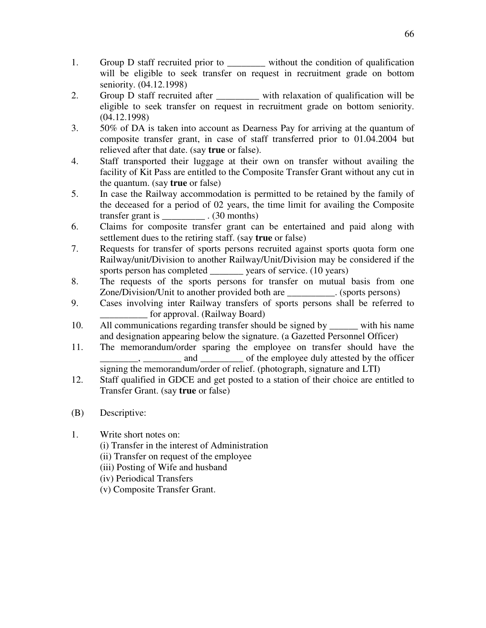- 1. Group D staff recruited prior to \_\_\_\_\_\_\_\_ without the condition of qualification will be eligible to seek transfer on request in recruitment grade on bottom seniority. (04.12.1998)
- 2. Group D staff recruited after \_\_\_\_\_\_\_\_\_ with relaxation of qualification will be eligible to seek transfer on request in recruitment grade on bottom seniority. (04.12.1998)
- 3. 50% of DA is taken into account as Dearness Pay for arriving at the quantum of composite transfer grant, in case of staff transferred prior to 01.04.2004 but relieved after that date. (say **true** or false).
- 4. Staff transported their luggage at their own on transfer without availing the facility of Kit Pass are entitled to the Composite Transfer Grant without any cut in the quantum. (say **true** or false)
- 5. In case the Railway accommodation is permitted to be retained by the family of the deceased for a period of 02 years, the time limit for availing the Composite transfer grant is  $(30 \text{ months})$
- 6. Claims for composite transfer grant can be entertained and paid along with settlement dues to the retiring staff. (say **true** or false)
- 7. Requests for transfer of sports persons recruited against sports quota form one Railway/unit/Division to another Railway/Unit/Division may be considered if the sports person has completed vears of service. (10 years)
- 8. The requests of the sports persons for transfer on mutual basis from one Zone/Division/Unit to another provided both are \_\_\_\_\_\_\_\_\_\_. (sports persons)
- 9. Cases involving inter Railway transfers of sports persons shall be referred to for approval. (Railway Board)
- 10. All communications regarding transfer should be signed by with his name and designation appearing below the signature. (a Gazetted Personnel Officer)
- 11. The memorandum/order sparing the employee on transfer should have the  $\Box$ , and  $\Box$  of the employee duly attested by the officer signing the memorandum/order of relief. (photograph, signature and LTI)
- 12. Staff qualified in GDCE and get posted to a station of their choice are entitled to Transfer Grant. (say **true** or false)
- (B) Descriptive:
- 1. Write short notes on:
	- (i) Transfer in the interest of Administration
	- (ii) Transfer on request of the employee
	- (iii) Posting of Wife and husband
	- (iv) Periodical Transfers
	- (v) Composite Transfer Grant.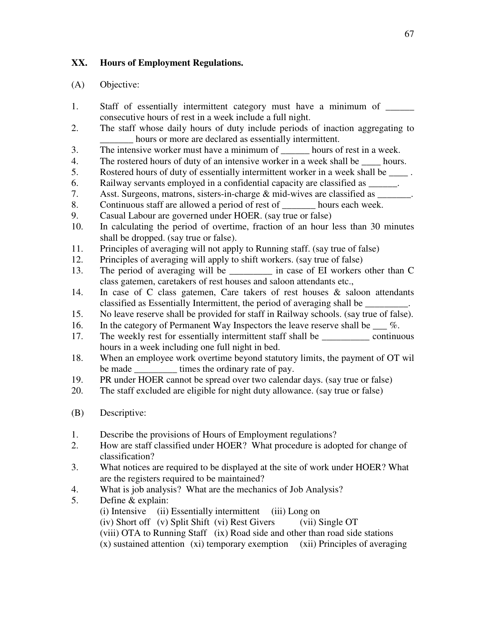# **XX. Hours of Employment Regulations.**

- 1. Staff of essentially intermittent category must have a minimum of consecutive hours of rest in a week include a full night.
- 2. The staff whose daily hours of duty include periods of inaction aggregating to hours or more are declared as essentially intermittent.
- 3. The intensive worker must have a minimum of hours of rest in a week.
- 4. The rostered hours of duty of an intensive worker in a week shall be \_\_\_\_ hours.
- 5. Rostered hours of duty of essentially intermittent worker in a week shall be \_\_\_\_ .
- 6. Railway servants employed in a confidential capacity are classified as \_\_\_\_\_\_.
- 7. Asst. Surgeons, matrons, sisters-in-charge & mid-wives are classified as
- 8. Continuous staff are allowed a period of rest of \_\_\_\_\_\_\_ hours each week.
- 9. Casual Labour are governed under HOER. (say true or false)
- 10. In calculating the period of overtime, fraction of an hour less than 30 minutes shall be dropped. (say true or false).
- 11. Principles of averaging will not apply to Running staff. (say true of false)
- 12. Principles of averaging will apply to shift workers. (say true of false)
- 13. The period of averaging will be \_\_\_\_\_\_\_\_\_ in case of EI workers other than C class gatemen, caretakers of rest houses and saloon attendants etc.,
- 14. In case of C class gatemen, Care takers of rest houses & saloon attendants classified as Essentially Intermittent, the period of averaging shall be \_\_\_\_\_\_\_\_\_.
- 15. No leave reserve shall be provided for staff in Railway schools. (say true of false).
- 16. In the category of Permanent Way Inspectors the leave reserve shall be  $\%$ .
- 17. The weekly rest for essentially intermittent staff shall be continuous hours in a week including one full night in bed.
- 18. When an employee work overtime beyond statutory limits, the payment of OT wil be made \_\_\_\_\_\_\_\_\_\_\_ times the ordinary rate of pay.
- 19. PR under HOER cannot be spread over two calendar days. (say true or false)
- 20. The staff excluded are eligible for night duty allowance. (say true or false)
- (B) Descriptive:
- 1. Describe the provisions of Hours of Employment regulations?
- 2. How are staff classified under HOER? What procedure is adopted for change of classification?
- 3. What notices are required to be displayed at the site of work under HOER? What are the registers required to be maintained?
- 4. What is job analysis? What are the mechanics of Job Analysis?
- 5. Define & explain:
	- (i) Intensive (ii) Essentially intermittent (iii) Long on
	- (iv) Short off (v) Split Shift (vi) Rest Givers (vii) Single OT
	- (viii) OTA to Running Staff (ix) Road side and other than road side stations
	- (x) sustained attention (xi) temporary exemption (xii) Principles of averaging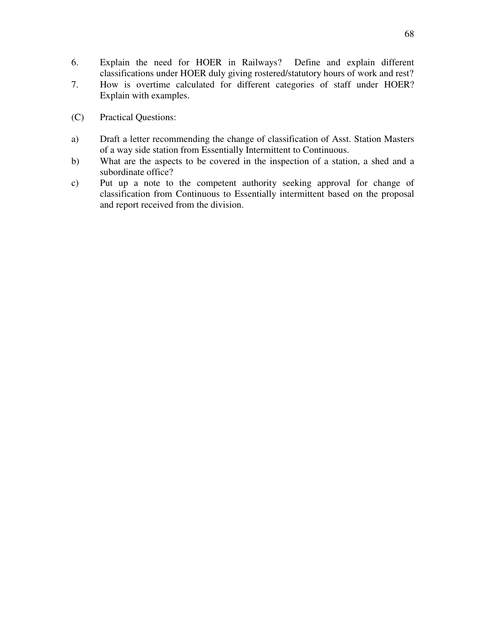- 6. Explain the need for HOER in Railways? Define and explain different classifications under HOER duly giving rostered/statutory hours of work and rest?
- 7. How is overtime calculated for different categories of staff under HOER? Explain with examples.
- (C) Practical Questions:
- a) Draft a letter recommending the change of classification of Asst. Station Masters of a way side station from Essentially Intermittent to Continuous.
- b) What are the aspects to be covered in the inspection of a station, a shed and a subordinate office?
- c) Put up a note to the competent authority seeking approval for change of classification from Continuous to Essentially intermittent based on the proposal and report received from the division.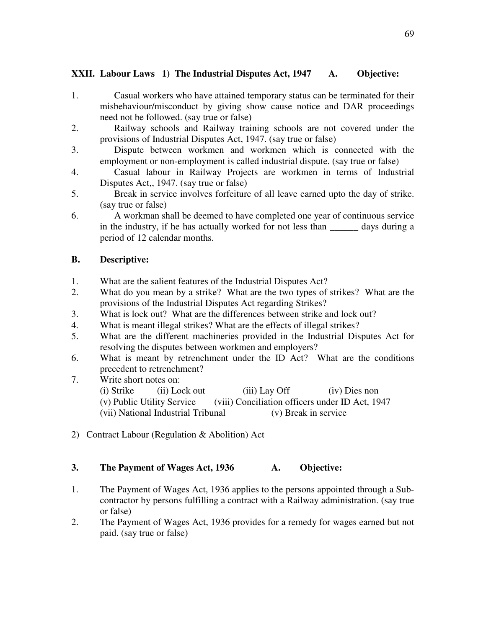# **XXII. Labour Laws 1) The Industrial Disputes Act, 1947 A. Objective:**

- 1. Casual workers who have attained temporary status can be terminated for their misbehaviour/misconduct by giving show cause notice and DAR proceedings need not be followed. (say true or false)
- 2. Railway schools and Railway training schools are not covered under the provisions of Industrial Disputes Act, 1947. (say true or false)
- 3. Dispute between workmen and workmen which is connected with the employment or non-employment is called industrial dispute. (say true or false)
- 4. Casual labour in Railway Projects are workmen in terms of Industrial Disputes Act,, 1947. (say true or false)
- 5. Break in service involves forfeiture of all leave earned upto the day of strike. (say true or false)
- 6. A workman shall be deemed to have completed one year of continuous service in the industry, if he has actually worked for not less than \_\_\_\_\_\_\_\_ days during a period of 12 calendar months.

### **B. Descriptive:**

- 1. What are the salient features of the Industrial Disputes Act?
- 2. What do you mean by a strike? What are the two types of strikes? What are the provisions of the Industrial Disputes Act regarding Strikes?
- 3. What is lock out? What are the differences between strike and lock out?
- 4. What is meant illegal strikes? What are the effects of illegal strikes?
- 5. What are the different machineries provided in the Industrial Disputes Act for resolving the disputes between workmen and employers?
- 6. What is meant by retrenchment under the ID Act? What are the conditions precedent to retrenchment?
- 7. Write short notes on: (i) Strike (ii) Lock out (iii) Lay Off (iv) Dies non (v) Public Utility Service (viii) Conciliation officers under ID Act, 1947 (vii) National Industrial Tribunal (v) Break in service
- 2) Contract Labour (Regulation & Abolition) Act

#### 3. The Payment of Wages Act, 1936 A. Objective:

- 1. The Payment of Wages Act, 1936 applies to the persons appointed through a Subcontractor by persons fulfilling a contract with a Railway administration. (say true or false)
- 2. The Payment of Wages Act, 1936 provides for a remedy for wages earned but not paid. (say true or false)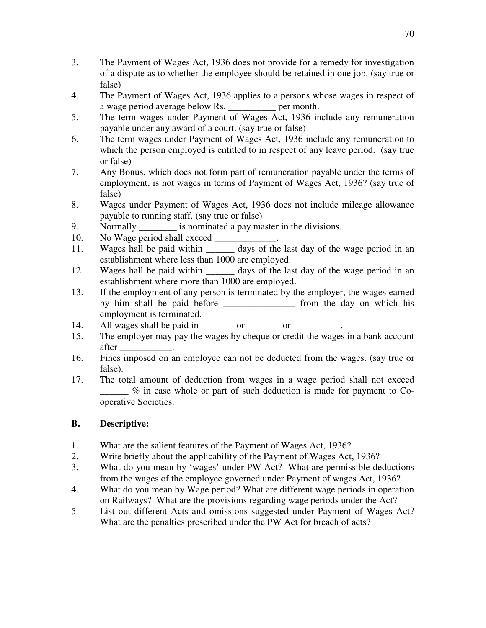- 3. The Payment of Wages Act, 1936 does not provide for a remedy for investigation of a dispute as to whether the employee should be retained in one job. (say true or false)
- 4. The Payment of Wages Act, 1936 applies to a persons whose wages in respect of a wage period average below Rs. \_\_\_\_\_\_\_\_\_\_ per month.
- 5. The term wages under Payment of Wages Act, 1936 include any remuneration payable under any award of a court. (say true or false)
- 6. The term wages under Payment of Wages Act, 1936 include any remuneration to which the person employed is entitled to in respect of any leave period. (say true or false)
- 7. Any Bonus, which does not form part of remuneration payable under the terms of employment, is not wages in terms of Payment of Wages Act, 1936? (say true of false)
- 8. Wages under Payment of Wages Act, 1936 does not include mileage allowance payable to running staff. (say true or false)
- 9. Normally is nominated a pay master in the divisions.
- 10. No Wage period shall exceed \_\_\_\_\_\_\_\_\_\_\_\_.
- 11. Wages hall be paid within \_\_\_\_\_\_\_ days of the last day of the wage period in an establishment where less than 1000 are employed.
- 12. Wages hall be paid within \_\_\_\_\_\_ days of the last day of the wage period in an establishment where more than 1000 are employed.
- 13. If the employment of any person is terminated by the employer, the wages earned by him shall be paid before \_\_\_\_\_\_\_\_\_\_\_\_\_\_\_ from the day on which his employment is terminated.
- 14. All wages shall be paid in \_\_\_\_\_\_\_ or \_\_\_\_\_\_\_ or \_\_\_\_\_\_\_\_\_.
- 15. The employer may pay the wages by cheque or credit the wages in a bank account after \_\_\_\_\_\_\_\_\_\_\_.
- 16. Fines imposed on an employee can not be deducted from the wages. (say true or false).
- 17. The total amount of deduction from wages in a wage period shall not exceed \_\_\_\_\_\_ % in case whole or part of such deduction is made for payment to Cooperative Societies.

# **B. Descriptive:**

- 1. What are the salient features of the Payment of Wages Act, 1936?
- 2. Write briefly about the applicability of the Payment of Wages Act, 1936?
- 3. What do you mean by 'wages' under PW Act? What are permissible deductions from the wages of the employee governed under Payment of wages Act, 1936?
- 4. What do you mean by Wage period? What are different wage periods in operation on Railways? What are the provisions regarding wage periods under the Act?
- 5 List out different Acts and omissions suggested under Payment of Wages Act? What are the penalties prescribed under the PW Act for breach of acts?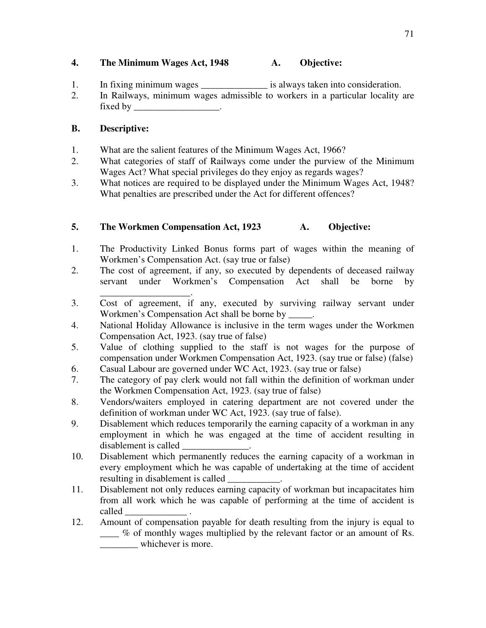## **4. The Minimum Wages Act, 1948 A. Objective:**

- 1. In fixing minimum wages \_\_\_\_\_\_\_\_\_\_\_\_\_\_\_\_\_ is always taken into consideration.
- 2. In Railways, minimum wages admissible to workers in a particular locality are fixed by

# **B. Descriptive:**

- 1. What are the salient features of the Minimum Wages Act, 1966?
- 2. What categories of staff of Railways come under the purview of the Minimum Wages Act? What special privileges do they enjoy as regards wages?
- 3. What notices are required to be displayed under the Minimum Wages Act, 1948? What penalties are prescribed under the Act for different offences?

# **5. The Workmen Compensation Act, 1923 A. Objective:**

- 1. The Productivity Linked Bonus forms part of wages within the meaning of Workmen's Compensation Act. (say true or false)
- 2. The cost of agreement, if any, so executed by dependents of deceased railway servant under Workmen's Compensation Act shall be borne by
- \_\_\_\_\_\_\_\_\_\_\_\_\_\_\_\_\_\_\_. 3. Cost of agreement, if any, executed by surviving railway servant under Workmen's Compensation Act shall be borne by \_
- 4. National Holiday Allowance is inclusive in the term wages under the Workmen Compensation Act, 1923. (say true of false)
- 5. Value of clothing supplied to the staff is not wages for the purpose of compensation under Workmen Compensation Act, 1923. (say true or false) (false)
- 6. Casual Labour are governed under WC Act, 1923. (say true or false)
- 7. The category of pay clerk would not fall within the definition of workman under the Workmen Compensation Act, 1923. (say true of false)
- 8. Vendors/waiters employed in catering department are not covered under the definition of workman under WC Act, 1923. (say true of false).
- 9. Disablement which reduces temporarily the earning capacity of a workman in any employment in which he was engaged at the time of accident resulting in disablement is called
- 10. Disablement which permanently reduces the earning capacity of a workman in every employment which he was capable of undertaking at the time of accident resulting in disablement is called
- 11. Disablement not only reduces earning capacity of workman but incapacitates him from all work which he was capable of performing at the time of accident is called \_\_\_\_\_\_\_\_\_\_\_\_\_ .
- 12. Amount of compensation payable for death resulting from the injury is equal to \_\_\_\_ % of monthly wages multiplied by the relevant factor or an amount of Rs. \_\_\_\_\_\_\_\_ whichever is more.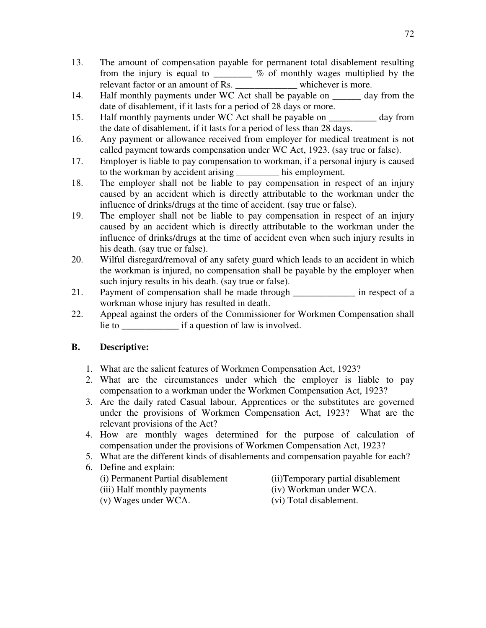- 13. The amount of compensation payable for permanent total disablement resulting from the injury is equal to \_\_\_\_\_\_\_\_ % of monthly wages multiplied by the relevant factor or an amount of Rs. \_\_\_\_\_\_\_\_\_\_\_\_\_\_ whichever is more.
- 14. Half monthly payments under WC Act shall be payable on <u>equilibration</u> day from the date of disablement, if it lasts for a period of 28 days or more.
- 15. Half monthly payments under WC Act shall be payable on \_\_\_\_\_\_\_\_\_\_ day from the date of disablement, if it lasts for a period of less than 28 days.
- 16. Any payment or allowance received from employer for medical treatment is not called payment towards compensation under WC Act, 1923. (say true or false).
- 17. Employer is liable to pay compensation to workman, if a personal injury is caused to the workman by accident arising \_\_\_\_\_\_\_\_\_ his employment.
- 18. The employer shall not be liable to pay compensation in respect of an injury caused by an accident which is directly attributable to the workman under the influence of drinks/drugs at the time of accident. (say true or false).
- 19. The employer shall not be liable to pay compensation in respect of an injury caused by an accident which is directly attributable to the workman under the influence of drinks/drugs at the time of accident even when such injury results in his death. (say true or false).
- 20. Wilful disregard/removal of any safety guard which leads to an accident in which the workman is injured, no compensation shall be payable by the employer when such injury results in his death. (say true or false).
- 21. Payment of compensation shall be made through in respect of a workman whose injury has resulted in death.
- 22. Appeal against the orders of the Commissioner for Workmen Compensation shall lie to lie if a question of law is involved.

## **B. Descriptive:**

- 1. What are the salient features of Workmen Compensation Act, 1923?
- 2. What are the circumstances under which the employer is liable to pay compensation to a workman under the Workmen Compensation Act, 1923?
- 3. Are the daily rated Casual labour, Apprentices or the substitutes are governed under the provisions of Workmen Compensation Act, 1923? What are the relevant provisions of the Act?
- 4. How are monthly wages determined for the purpose of calculation of compensation under the provisions of Workmen Compensation Act, 1923?
- 5. What are the different kinds of disablements and compensation payable for each?
- 6. Define and explain:
	-
	- (i) Permanent Partial disablement (ii)Temporary partial disablement (iii) Half monthly payments (iv) Workman under WCA.
	- (v) Wages under WCA. (vi) Total disablement.
-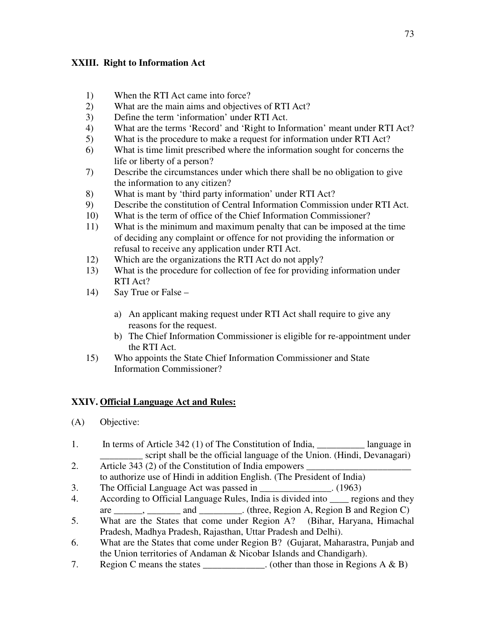## **XXIII. Right to Information Act**

- 1) When the RTI Act came into force?
- 2) What are the main aims and objectives of RTI Act?
- 3) Define the term 'information' under RTI Act.
- 4) What are the terms 'Record' and 'Right to Information' meant under RTI Act?
- 5) What is the procedure to make a request for information under RTI Act?
- 6) What is time limit prescribed where the information sought for concerns the life or liberty of a person?
- 7) Describe the circumstances under which there shall be no obligation to give the information to any citizen?
- 8) What is mant by 'third party information' under RTI Act?
- 9) Describe the constitution of Central Information Commission under RTI Act.
- 10) What is the term of office of the Chief Information Commissioner?
- 11) What is the minimum and maximum penalty that can be imposed at the time of deciding any complaint or offence for not providing the information or refusal to receive any application under RTI Act.
- 12) Which are the organizations the RTI Act do not apply?
- 13) What is the procedure for collection of fee for providing information under RTI Act?
- 14) Say True or False
	- a) An applicant making request under RTI Act shall require to give any reasons for the request.
	- b) The Chief Information Commissioner is eligible for re-appointment under the RTI Act.
- 15) Who appoints the State Chief Information Commissioner and State Information Commissioner?

## **XXIV. Official Language Act and Rules:**

- (A) Objective:
- 1. In terms of Article 342 (1) of The Constitution of India, \_\_\_\_\_\_\_\_\_\_ language in \_\_\_\_\_\_\_\_\_ script shall be the official language of the Union. (Hindi, Devanagari)
- 2. Article 343 (2) of the Constitution of India empowers to authorize use of Hindi in addition English. (The President of India)
- 3. The Official Language Act was passed in \_\_\_\_\_\_\_\_\_\_\_\_\_\_\_. (1963)
- 4. According to Official Language Rules, India is divided into \_\_\_\_ regions and they are \_\_\_\_\_\_, \_\_\_\_\_\_\_\_ and \_\_\_\_\_\_\_\_\_. (three, Region A, Region B and Region C)
- 5. What are the States that come under Region A? (Bihar, Haryana, Himachal Pradesh, Madhya Pradesh, Rajasthan, Uttar Pradesh and Delhi).
- 6. What are the States that come under Region B? (Gujarat, Maharastra, Punjab and the Union territories of Andaman & Nicobar Islands and Chandigarh).
- 7. Region C means the states \_\_\_\_\_\_\_\_\_\_\_\_. (other than those in Regions  $A \& B$ )